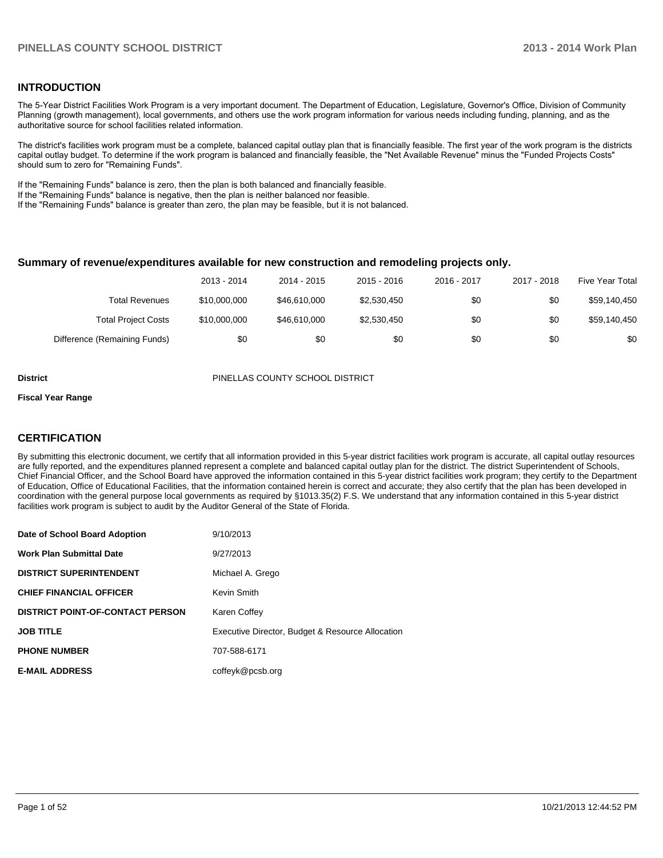#### **INTRODUCTION**

The 5-Year District Facilities Work Program is a very important document. The Department of Education, Legislature, Governor's Office, Division of Community Planning (growth management), local governments, and others use the work program information for various needs including funding, planning, and as the authoritative source for school facilities related information.

The district's facilities work program must be a complete, balanced capital outlay plan that is financially feasible. The first year of the work program is the districts capital outlay budget. To determine if the work program is balanced and financially feasible, the "Net Available Revenue" minus the "Funded Projects Costs" should sum to zero for "Remaining Funds".

If the "Remaining Funds" balance is zero, then the plan is both balanced and financially feasible.

If the "Remaining Funds" balance is negative, then the plan is neither balanced nor feasible.

If the "Remaining Funds" balance is greater than zero, the plan may be feasible, but it is not balanced.

#### **Summary of revenue/expenditures available for new construction and remodeling projects only.**

| Five Year Total | 2017 - 2018 | 2016 - 2017 | $2015 - 2016$ | 2014 - 2015  | 2013 - 2014  |                              |
|-----------------|-------------|-------------|---------------|--------------|--------------|------------------------------|
| \$59,140,450    | \$0         | \$0         | \$2,530,450   | \$46,610,000 | \$10,000,000 | Total Revenues               |
| \$59,140,450    | \$0         | \$0         | \$2,530,450   | \$46,610,000 | \$10,000,000 | <b>Total Project Costs</b>   |
| \$0             | \$0         | \$0         | \$0           | \$0          | \$0          | Difference (Remaining Funds) |

**District** PINELLAS COUNTY SCHOOL DISTRICT

#### **Fiscal Year Range**

#### **CERTIFICATION**

By submitting this electronic document, we certify that all information provided in this 5-year district facilities work program is accurate, all capital outlay resources are fully reported, and the expenditures planned represent a complete and balanced capital outlay plan for the district. The district Superintendent of Schools, Chief Financial Officer, and the School Board have approved the information contained in this 5-year district facilities work program; they certify to the Department of Education, Office of Educational Facilities, that the information contained herein is correct and accurate; they also certify that the plan has been developed in coordination with the general purpose local governments as required by §1013.35(2) F.S. We understand that any information contained in this 5-year district facilities work program is subject to audit by the Auditor General of the State of Florida.

| Date of School Board Adoption           | 9/10/2013                                        |
|-----------------------------------------|--------------------------------------------------|
| <b>Work Plan Submittal Date</b>         | 9/27/2013                                        |
| <b>DISTRICT SUPERINTENDENT</b>          | Michael A. Grego                                 |
| <b>CHIEF FINANCIAL OFFICER</b>          | Kevin Smith                                      |
| <b>DISTRICT POINT-OF-CONTACT PERSON</b> | Karen Coffey                                     |
| <b>JOB TITLE</b>                        | Executive Director, Budget & Resource Allocation |
| <b>PHONE NUMBER</b>                     | 707-588-6171                                     |
| <b>E-MAIL ADDRESS</b>                   | coffeyk@pcsb.org                                 |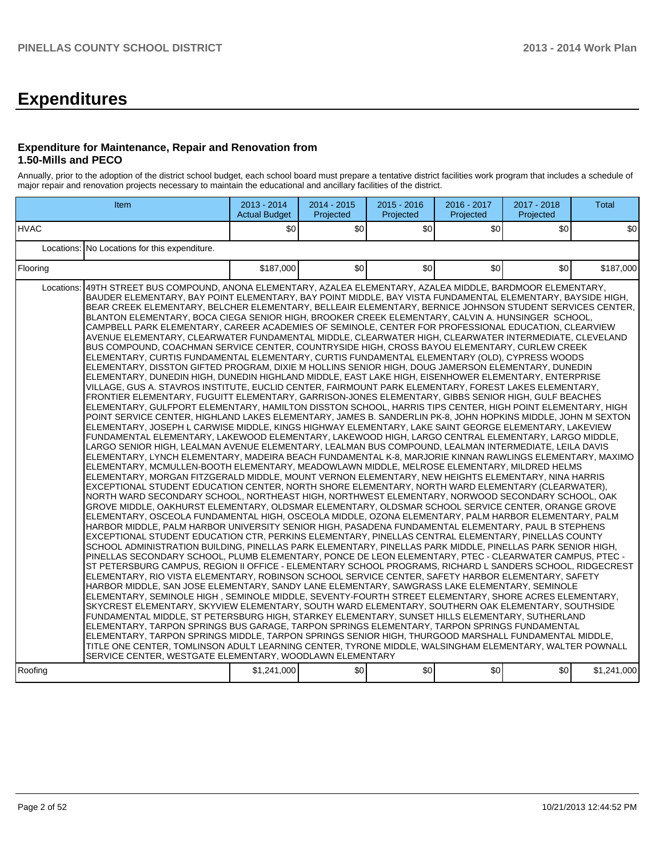# **Expenditures**

#### **Expenditure for Maintenance, Repair and Renovation from 1.50-Mills and PECO**

Annually, prior to the adoption of the district school budget, each school board must prepare a tentative district facilities work program that includes a schedule of major repair and renovation projects necessary to maintain the educational and ancillary facilities of the district.

|                       | Item                                                                                                                                                                                                                                                                                                                                                                                                                                                                                                                                                                                                                                                                                                                                                                                                                                                                                                                                                                                                                                                                                                                                                                                                                                                                                                                                                                                                                                                                                                                                                                                                                                                                                                                                                                                                                                                                                                                                                                                                                                                                                                                                                                                                                                                                                                                                                                                                                                                                                                                                                                                                                                                                                                                                                                                                                                                                                                                                                                                                                                                                                                                                                                                                                                                                                                                                                                                                                                                                                                                                                                                                                                                                                                                                                                                                                                                                                                                                                                                                                                           | 2013 - 2014<br><b>Actual Budget</b> | 2014 - 2015<br>Projected | $2015 - 2016$<br>Projected | 2016 - 2017<br>Projected | 2017 - 2018<br>Projected | <b>Total</b> |
|-----------------------|------------------------------------------------------------------------------------------------------------------------------------------------------------------------------------------------------------------------------------------------------------------------------------------------------------------------------------------------------------------------------------------------------------------------------------------------------------------------------------------------------------------------------------------------------------------------------------------------------------------------------------------------------------------------------------------------------------------------------------------------------------------------------------------------------------------------------------------------------------------------------------------------------------------------------------------------------------------------------------------------------------------------------------------------------------------------------------------------------------------------------------------------------------------------------------------------------------------------------------------------------------------------------------------------------------------------------------------------------------------------------------------------------------------------------------------------------------------------------------------------------------------------------------------------------------------------------------------------------------------------------------------------------------------------------------------------------------------------------------------------------------------------------------------------------------------------------------------------------------------------------------------------------------------------------------------------------------------------------------------------------------------------------------------------------------------------------------------------------------------------------------------------------------------------------------------------------------------------------------------------------------------------------------------------------------------------------------------------------------------------------------------------------------------------------------------------------------------------------------------------------------------------------------------------------------------------------------------------------------------------------------------------------------------------------------------------------------------------------------------------------------------------------------------------------------------------------------------------------------------------------------------------------------------------------------------------------------------------------------------------------------------------------------------------------------------------------------------------------------------------------------------------------------------------------------------------------------------------------------------------------------------------------------------------------------------------------------------------------------------------------------------------------------------------------------------------------------------------------------------------------------------------------------------------------------------------------------------------------------------------------------------------------------------------------------------------------------------------------------------------------------------------------------------------------------------------------------------------------------------------------------------------------------------------------------------------------------------------------------------------------------------------------------------------|-------------------------------------|--------------------------|----------------------------|--------------------------|--------------------------|--------------|
| <b>HVAC</b>           |                                                                                                                                                                                                                                                                                                                                                                                                                                                                                                                                                                                                                                                                                                                                                                                                                                                                                                                                                                                                                                                                                                                                                                                                                                                                                                                                                                                                                                                                                                                                                                                                                                                                                                                                                                                                                                                                                                                                                                                                                                                                                                                                                                                                                                                                                                                                                                                                                                                                                                                                                                                                                                                                                                                                                                                                                                                                                                                                                                                                                                                                                                                                                                                                                                                                                                                                                                                                                                                                                                                                                                                                                                                                                                                                                                                                                                                                                                                                                                                                                                                | \$0                                 | \$0                      | \$0                        | \$0                      | \$0 <sub>0</sub>         | \$0          |
|                       | Locations: No Locations for this expenditure.                                                                                                                                                                                                                                                                                                                                                                                                                                                                                                                                                                                                                                                                                                                                                                                                                                                                                                                                                                                                                                                                                                                                                                                                                                                                                                                                                                                                                                                                                                                                                                                                                                                                                                                                                                                                                                                                                                                                                                                                                                                                                                                                                                                                                                                                                                                                                                                                                                                                                                                                                                                                                                                                                                                                                                                                                                                                                                                                                                                                                                                                                                                                                                                                                                                                                                                                                                                                                                                                                                                                                                                                                                                                                                                                                                                                                                                                                                                                                                                                  |                                     |                          |                            |                          |                          |              |
| Flooring              | \$0<br>\$0<br>\$0<br>\$187,000                                                                                                                                                                                                                                                                                                                                                                                                                                                                                                                                                                                                                                                                                                                                                                                                                                                                                                                                                                                                                                                                                                                                                                                                                                                                                                                                                                                                                                                                                                                                                                                                                                                                                                                                                                                                                                                                                                                                                                                                                                                                                                                                                                                                                                                                                                                                                                                                                                                                                                                                                                                                                                                                                                                                                                                                                                                                                                                                                                                                                                                                                                                                                                                                                                                                                                                                                                                                                                                                                                                                                                                                                                                                                                                                                                                                                                                                                                                                                                                                                 |                                     |                          |                            |                          |                          |              |
| Locations:<br>Roofing | 49TH STREET BUS COMPOUND, ANONA ELEMENTARY, AZALEA ELEMENTARY, AZALEA MIDDLE, BARDMOOR ELEMENTARY,<br>BAUDER ELEMENTARY, BAY POINT ELEMENTARY, BAY POINT MIDDLE, BAY VISTA FUNDAMENTAL ELEMENTARY, BAYSIDE HIGH,<br>BEAR CREEK ELEMENTARY, BELCHER ELEMENTARY, BELLEAIR ELEMENTARY, BERNICE JOHNSON STUDENT SERVICES CENTER,<br>BLANTON ELEMENTARY, BOCA CIEGA SENIOR HIGH, BROOKER CREEK ELEMENTARY, CALVIN A. HUNSINGER SCHOOL,<br>CAMPBELL PARK ELEMENTARY, CAREER ACADEMIES OF SEMINOLE, CENTER FOR PROFESSIONAL EDUCATION, CLEARVIEW<br>AVENUE ELEMENTARY, CLEARWATER FUNDAMENTAL MIDDLE, CLEARWATER HIGH, CLEARWATER INTERMEDIATE, CLEVELAND<br>BUS COMPOUND, COACHMAN SERVICE CENTER, COUNTRYSIDE HIGH, CROSS BAYOU ELEMENTARY, CURLEW CREEK<br>ELEMENTARY, CURTIS FUNDAMENTAL ELEMENTARY, CURTIS FUNDAMENTAL ELEMENTARY (OLD), CYPRESS WOODS<br>ELEMENTARY, DISSTON GIFTED PROGRAM, DIXIE M HOLLINS SENIOR HIGH, DOUG JAMERSON ELEMENTARY, DUNEDIN<br>ELEMENTARY. DUNEDIN HIGH. DUNEDIN HIGHLAND MIDDLE. EAST LAKE HIGH. EISENHOWER ELEMENTARY. ENTERPRISE<br>VILLAGE, GUS A. STAVROS INSTITUTE, EUCLID CENTER, FAIRMOUNT PARK ELEMENTARY, FOREST LAKES ELEMENTARY,<br>FRONTIER ELEMENTARY, FUGUITT ELEMENTARY, GARRISON-JONES ELEMENTARY, GIBBS SENIOR HIGH, GULF BEACHES<br>ELEMENTARY, GULFPORT ELEMENTARY, HAMILTON DISSTON SCHOOL, HARRIS TIPS CENTER, HIGH POINT ELEMENTARY, HIGH<br>POINT SERVICE CENTER, HIGHLAND LAKES ELEMENTARY, JAMES B. SANDERLIN PK-8, JOHN HOPKINS MIDDLE, JOHN M SEXTON<br>ELEMENTARY, JOSEPH L CARWISE MIDDLE, KINGS HIGHWAY ELEMENTARY, LAKE SAINT GEORGE ELEMENTARY, LAKEVIEW<br>FUNDAMENTAL ELEMENTARY. LAKEWOOD ELEMENTARY. LAKEWOOD HIGH. LARGO CENTRAL ELEMENTARY. LARGO MIDDLE.<br>LARGO SENIOR HIGH, LEALMAN AVENUE ELEMENTARY, LEALMAN BUS COMPOUND, LEALMAN INTERMEDIATE, LEILA DAVIS<br>IELEMENTARY, LYNCH ELEMENTARY, MADEIRA BEACH FUNDAMENTAL K-8, MARJORIE KINNAN RAWLINGS ELEMENTARY, MAXIMO<br>ELEMENTARY, MCMULLEN-BOOTH ELEMENTARY, MEADOWLAWN MIDDLE, MELROSE ELEMENTARY, MILDRED HELMS<br>ELEMENTARY, MORGAN FITZGERALD MIDDLE, MOUNT VERNON ELEMENTARY, NEW HEIGHTS ELEMENTARY, NINA HARRIS<br>EXCEPTIONAL STUDENT EDUCATION CENTER, NORTH SHORE ELEMENTARY, NORTH WARD ELEMENTARY (CLEARWATER),<br>NORTH WARD SECONDARY SCHOOL, NORTHEAST HIGH, NORTHWEST ELEMENTARY, NORWOOD SECONDARY SCHOOL, OAK<br>GROVE MIDDLE. OAKHURST ELEMENTARY. OLDSMAR ELEMENTARY. OLDSMAR SCHOOL SERVICE CENTER. ORANGE GROVE<br>ELEMENTARY, OSCEOLA FUNDAMENTAL HIGH, OSCEOLA MIDDLE, OZONA ELEMENTARY, PALM HARBOR ELEMENTARY, PALM<br>HARBOR MIDDLE, PALM HARBOR UNIVERSITY SENIOR HIGH, PASADENA FUNDAMENTAL ELEMENTARY, PAUL B STEPHENS<br>EXCEPTIONAL STUDENT EDUCATION CTR, PERKINS ELEMENTARY, PINELLAS CENTRAL ELEMENTARY, PINELLAS COUNTY<br>SCHOOL ADMINISTRATION BUILDING, PINELLAS PARK ELEMENTARY, PINELLAS PARK MIDDLE, PINELLAS PARK SENIOR HIGH,<br>PINELLAS SECONDARY SCHOOL, PLUMB ELEMENTARY, PONCE DE LEON ELEMENTARY, PTEC - CLEARWATER CAMPUS, PTEC -<br>IST PETERSBURG CAMPUS, REGION II OFFICE - ELEMENTARY SCHOOL PROGRAMS, RICHARD L SANDERS SCHOOL, RIDGECREST<br>ELEMENTARY, RIO VISTA ELEMENTARY, ROBINSON SCHOOL SERVICE CENTER, SAFETY HARBOR ELEMENTARY, SAFETY<br>HARBOR MIDDLE, SAN JOSE ELEMENTARY, SANDY LANE ELEMENTARY, SAWGRASS LAKE ELEMENTARY, SEMINOLE<br>ELEMENTARY, SEMINOLE HIGH, SEMINOLE MIDDLE, SEVENTY-FOURTH STREET ELEMENTARY, SHORE ACRES ELEMENTARY,<br>SKYCREST ELEMENTARY, SKYVIEW ELEMENTARY, SOUTH WARD ELEMENTARY, SOUTHERN OAK ELEMENTARY, SOUTHSIDE<br>FUNDAMENTAL MIDDLE, ST PETERSBURG HIGH, STARKEY ELEMENTARY, SUNSET HILLS ELEMENTARY, SUTHERLAND<br>ELEMENTARY, TARPON SPRINGS BUS GARAGE, TARPON SPRINGS ELEMENTARY, TARPON SPRINGS FUNDAMENTAL<br>ELEMENTARY, TARPON SPRINGS MIDDLE, TARPON SPRINGS SENIOR HIGH, THURGOOD MARSHALL FUNDAMENTAL MIDDLE,<br>TITLE ONE CENTER, TOMLINSON ADULT LEARNING CENTER, TYRONE MIDDLE, WALSINGHAM ELEMENTARY, WALTER POWNALL<br>SERVICE CENTER, WESTGATE ELEMENTARY, WOODLAWN ELEMENTARY | \$1,241,000                         | \$0                      | \$0]                       | \$0                      | \$0                      | \$1,241,000  |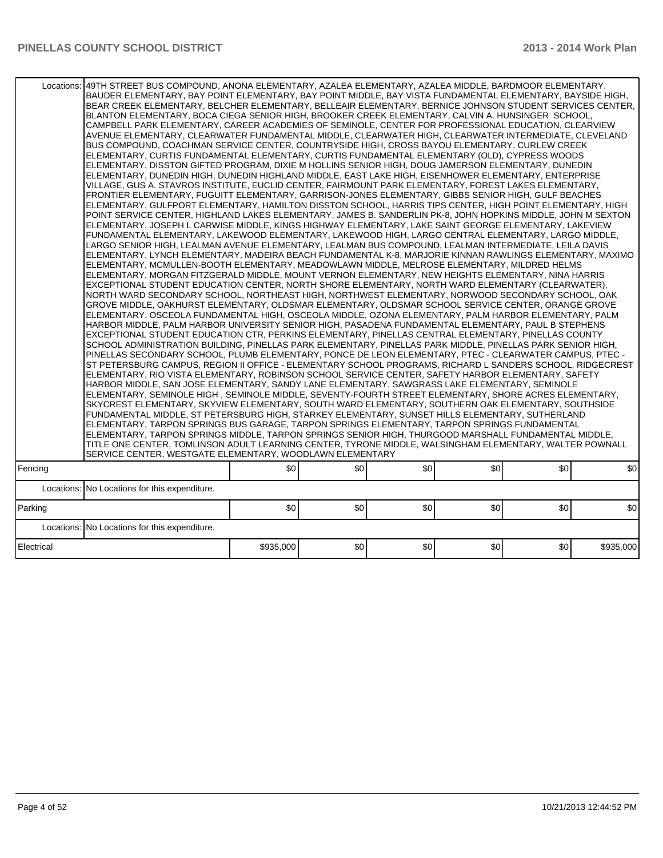| :  49TH STREET BUS COMPOUND, ANONA ELEMENTARY, AZALEA ELEMENTARY, AZALEA MIDDLE, BARDMOOR ELEMENTARY,<br>Locations: | BAUDER ELEMENTARY, BAY POINT ELEMENTARY, BAY POINT MIDDLE, BAY VISTA FUNDAMENTAL ELEMENTARY, BAYSIDE HIGH,<br>BEAR CREEK ELEMENTARY, BELCHER ELEMENTARY, BELLEAIR ELEMENTARY, BERNICE JOHNSON STUDENT SERVICES CENTER,<br>BLANTON ELEMENTARY, BOCA CIEGA SENIOR HIGH, BROOKER CREEK ELEMENTARY, CALVIN A. HUNSINGER SCHOOL,<br>CAMPBELL PARK ELEMENTARY, CAREER ACADEMIES OF SEMINOLE, CENTER FOR PROFESSIONAL EDUCATION, CLEARVIEW<br>AVENUE ELEMENTARY, CLEARWATER FUNDAMENTAL MIDDLE, CLEARWATER HIGH, CLEARWATER INTERMEDIATE, CLEVELAND<br>BUS COMPOUND, COACHMAN SERVICE CENTER, COUNTRYSIDE HIGH, CROSS BAYOU ELEMENTARY, CURLEW CREEK<br>ELEMENTARY, CURTIS FUNDAMENTAL ELEMENTARY, CURTIS FUNDAMENTAL ELEMENTARY (OLD), CYPRESS WOODS<br>ELEMENTARY, DISSTON GIFTED PROGRAM, DIXIE M HOLLINS SENIOR HIGH, DOUG JAMERSON ELEMENTARY, DUNEDIN<br>ELEMENTARY, DUNEDIN HIGH, DUNEDIN HIGHLAND MIDDLE, EAST LAKE HIGH, EISENHOWER ELEMENTARY, ENTERPRISE<br>VILLAGE, GUS A. STAVROS INSTITUTE, EUCLID CENTER, FAIRMOUNT PARK ELEMENTARY, FOREST LAKES ELEMENTARY,<br>FRONTIER ELEMENTARY. FUGUITT ELEMENTARY. GARRISON-JONES ELEMENTARY. GIBBS SENIOR HIGH. GULF BEACHES<br>ELEMENTARY, GULFPORT ELEMENTARY, HAMILTON DISSTON SCHOOL, HARRIS TIPS CENTER, HIGH POINT ELEMENTARY, HIGH<br>POINT SERVICE CENTER, HIGHLAND LAKES ELEMENTARY, JAMES B. SANDERLIN PK-8, JOHN HOPKINS MIDDLE, JOHN M SEXTON<br>ELEMENTARY, JOSEPH L CARWISE MIDDLE, KINGS HIGHWAY ELEMENTARY, LAKE SAINT GEORGE ELEMENTARY, LAKEVIEW<br>FUNDAMENTAL ELEMENTARY, LAKEWOOD ELEMENTARY, LAKEWOOD HIGH, LARGO CENTRAL ELEMENTARY, LARGO MIDDLE,<br>LARGO SENIOR HIGH, LEALMAN AVENUE ELEMENTARY, LEALMAN BUS COMPOUND, LEALMAN INTERMEDIATE, LEILA DAVIS<br>ELEMENTARY, LYNCH ELEMENTARY, MADEIRA BEACH FUNDAMENTAL K-8, MARJORIE KINNAN RAWLINGS ELEMENTARY, MAXIMO<br>ELEMENTARY, MCMULLEN-BOOTH ELEMENTARY, MEADOWLAWN MIDDLE, MELROSE ELEMENTARY, MILDRED HELMS<br>ELEMENTARY, MORGAN FITZGERALD MIDDLE, MOUNT VERNON ELEMENTARY, NEW HEIGHTS ELEMENTARY, NINA HARRIS<br>EXCEPTIONAL STUDENT EDUCATION CENTER, NORTH SHORE ELEMENTARY, NORTH WARD ELEMENTARY (CLEARWATER),<br>NORTH WARD SECONDARY SCHOOL, NORTHEAST HIGH, NORTHWEST ELEMENTARY, NORWOOD SECONDARY SCHOOL, OAK<br>GROVE MIDDLE, OAKHURST ELEMENTARY, OLDSMAR ELEMENTARY, OLDSMAR SCHOOL SERVICE CENTER, ORANGE GROVE<br>ELEMENTARY, OSCEOLA FUNDAMENTAL HIGH, OSCEOLA MIDDLE, OZONA ELEMENTARY, PALM HARBOR ELEMENTARY, PALM<br>HARBOR MIDDLE. PALM HARBOR UNIVERSITY SENIOR HIGH. PASADENA FUNDAMENTAL ELEMENTARY. PAUL B STEPHENS<br>EXCEPTIONAL STUDENT EDUCATION CTR, PERKINS ELEMENTARY, PINELLAS CENTRAL ELEMENTARY, PINELLAS COUNTY<br>SCHOOL ADMINISTRATION BUILDING, PINELLAS PARK ELEMENTARY, PINELLAS PARK MIDDLE, PINELLAS PARK SENIOR HIGH,<br>PINELLAS SECONDARY SCHOOL, PLUMB ELEMENTARY, PONCE DE LEON ELEMENTARY, PTEC - CLEARWATER CAMPUS, PTEC -<br>ST PETERSBURG CAMPUS, REGION II OFFICE - ELEMENTARY SCHOOL PROGRAMS, RICHARD L SANDERS SCHOOL, RIDGECREST<br>ELEMENTARY, RIO VISTA ELEMENTARY, ROBINSON SCHOOL SERVICE CENTER, SAFETY HARBOR ELEMENTARY, SAFETY<br>HARBOR MIDDLE, SAN JOSE ELEMENTARY, SANDY LANE ELEMENTARY, SAWGRASS LAKE ELEMENTARY, SEMINOLE<br>ELEMENTARY, SEMINOLE HIGH, SEMINOLE MIDDLE, SEVENTY-FOURTH STREET ELEMENTARY, SHORE ACRES ELEMENTARY,<br>SKYCREST ELEMENTARY, SKYVIEW ELEMENTARY, SOUTH WARD ELEMENTARY, SOUTHERN OAK ELEMENTARY, SOUTHSIDE<br>FUNDAMENTAL MIDDLE, ST PETERSBURG HIGH, STARKEY ELEMENTARY, SUNSET HILLS ELEMENTARY, SUTHERLAND<br>ELEMENTARY, TARPON SPRINGS BUS GARAGE, TARPON SPRINGS ELEMENTARY, TARPON SPRINGS FUNDAMENTAL<br>ELEMENTARY, TARPON SPRINGS MIDDLE, TARPON SPRINGS SENIOR HIGH, THURGOOD MARSHALL FUNDAMENTAL MIDDLE,<br>TITLE ONE CENTER, TOMLINSON ADULT LEARNING CENTER, TYRONE MIDDLE, WALSINGHAM ELEMENTARY, WALTER POWNALL<br>SERVICE CENTER. WESTGATE ELEMENTARY, WOODLAWN ELEMENTARY<br>\$0<br>\$0<br>\$0<br>\$0<br>\$0<br>\$0 <br>Locations: No Locations for this expenditure. |           |     |     |     |     |           |  |  |  |  |
|---------------------------------------------------------------------------------------------------------------------|------------------------------------------------------------------------------------------------------------------------------------------------------------------------------------------------------------------------------------------------------------------------------------------------------------------------------------------------------------------------------------------------------------------------------------------------------------------------------------------------------------------------------------------------------------------------------------------------------------------------------------------------------------------------------------------------------------------------------------------------------------------------------------------------------------------------------------------------------------------------------------------------------------------------------------------------------------------------------------------------------------------------------------------------------------------------------------------------------------------------------------------------------------------------------------------------------------------------------------------------------------------------------------------------------------------------------------------------------------------------------------------------------------------------------------------------------------------------------------------------------------------------------------------------------------------------------------------------------------------------------------------------------------------------------------------------------------------------------------------------------------------------------------------------------------------------------------------------------------------------------------------------------------------------------------------------------------------------------------------------------------------------------------------------------------------------------------------------------------------------------------------------------------------------------------------------------------------------------------------------------------------------------------------------------------------------------------------------------------------------------------------------------------------------------------------------------------------------------------------------------------------------------------------------------------------------------------------------------------------------------------------------------------------------------------------------------------------------------------------------------------------------------------------------------------------------------------------------------------------------------------------------------------------------------------------------------------------------------------------------------------------------------------------------------------------------------------------------------------------------------------------------------------------------------------------------------------------------------------------------------------------------------------------------------------------------------------------------------------------------------------------------------------------------------------------------------------------------------------------------------------------------------------------------------------------------------------------------------------------------------------------------------------------------------------------------------------------------------------------------------------------------------------------------------------------------------------------------------------------------------------------------------------------------------------------------------------------------------------------------------------------------------------|-----------|-----|-----|-----|-----|-----------|--|--|--|--|
| Fencing                                                                                                             |                                                                                                                                                                                                                                                                                                                                                                                                                                                                                                                                                                                                                                                                                                                                                                                                                                                                                                                                                                                                                                                                                                                                                                                                                                                                                                                                                                                                                                                                                                                                                                                                                                                                                                                                                                                                                                                                                                                                                                                                                                                                                                                                                                                                                                                                                                                                                                                                                                                                                                                                                                                                                                                                                                                                                                                                                                                                                                                                                                                                                                                                                                                                                                                                                                                                                                                                                                                                                                                                                                                                                                                                                                                                                                                                                                                                                                                                                                                                                                                                                                    |           |     |     |     |     |           |  |  |  |  |
|                                                                                                                     |                                                                                                                                                                                                                                                                                                                                                                                                                                                                                                                                                                                                                                                                                                                                                                                                                                                                                                                                                                                                                                                                                                                                                                                                                                                                                                                                                                                                                                                                                                                                                                                                                                                                                                                                                                                                                                                                                                                                                                                                                                                                                                                                                                                                                                                                                                                                                                                                                                                                                                                                                                                                                                                                                                                                                                                                                                                                                                                                                                                                                                                                                                                                                                                                                                                                                                                                                                                                                                                                                                                                                                                                                                                                                                                                                                                                                                                                                                                                                                                                                                    |           |     |     |     |     |           |  |  |  |  |
| Parking                                                                                                             |                                                                                                                                                                                                                                                                                                                                                                                                                                                                                                                                                                                                                                                                                                                                                                                                                                                                                                                                                                                                                                                                                                                                                                                                                                                                                                                                                                                                                                                                                                                                                                                                                                                                                                                                                                                                                                                                                                                                                                                                                                                                                                                                                                                                                                                                                                                                                                                                                                                                                                                                                                                                                                                                                                                                                                                                                                                                                                                                                                                                                                                                                                                                                                                                                                                                                                                                                                                                                                                                                                                                                                                                                                                                                                                                                                                                                                                                                                                                                                                                                                    | \$0       | \$0 | \$0 | \$0 | \$0 | \$0       |  |  |  |  |
|                                                                                                                     | Locations: No Locations for this expenditure.                                                                                                                                                                                                                                                                                                                                                                                                                                                                                                                                                                                                                                                                                                                                                                                                                                                                                                                                                                                                                                                                                                                                                                                                                                                                                                                                                                                                                                                                                                                                                                                                                                                                                                                                                                                                                                                                                                                                                                                                                                                                                                                                                                                                                                                                                                                                                                                                                                                                                                                                                                                                                                                                                                                                                                                                                                                                                                                                                                                                                                                                                                                                                                                                                                                                                                                                                                                                                                                                                                                                                                                                                                                                                                                                                                                                                                                                                                                                                                                      |           |     |     |     |     |           |  |  |  |  |
| Electrical                                                                                                          |                                                                                                                                                                                                                                                                                                                                                                                                                                                                                                                                                                                                                                                                                                                                                                                                                                                                                                                                                                                                                                                                                                                                                                                                                                                                                                                                                                                                                                                                                                                                                                                                                                                                                                                                                                                                                                                                                                                                                                                                                                                                                                                                                                                                                                                                                                                                                                                                                                                                                                                                                                                                                                                                                                                                                                                                                                                                                                                                                                                                                                                                                                                                                                                                                                                                                                                                                                                                                                                                                                                                                                                                                                                                                                                                                                                                                                                                                                                                                                                                                                    | \$935,000 | \$0 | \$0 | \$0 | \$0 | \$935,000 |  |  |  |  |
|                                                                                                                     |                                                                                                                                                                                                                                                                                                                                                                                                                                                                                                                                                                                                                                                                                                                                                                                                                                                                                                                                                                                                                                                                                                                                                                                                                                                                                                                                                                                                                                                                                                                                                                                                                                                                                                                                                                                                                                                                                                                                                                                                                                                                                                                                                                                                                                                                                                                                                                                                                                                                                                                                                                                                                                                                                                                                                                                                                                                                                                                                                                                                                                                                                                                                                                                                                                                                                                                                                                                                                                                                                                                                                                                                                                                                                                                                                                                                                                                                                                                                                                                                                                    |           |     |     |     |     |           |  |  |  |  |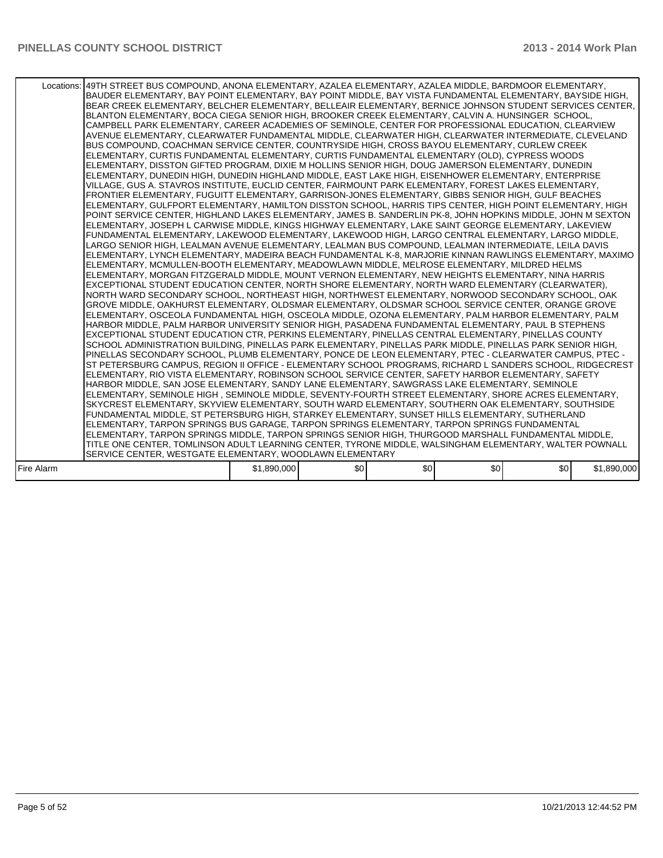|            | Locations:   49TH STREET BUS COMPOUND, ANONA ELEMENTARY, AZALEA ELEMENTARY, AZALEA MIDDLE, BARDMOOR ELEMENTARY,<br>BAUDER ELEMENTARY, BAY POINT ELEMENTARY, BAY POINT MIDDLE, BAY VISTA FUNDAMENTAL ELEMENTARY, BAYSIDE HIGH,<br>BEAR CREEK ELEMENTARY, BELCHER ELEMENTARY, BELLEAIR ELEMENTARY, BERNICE JOHNSON STUDENT SERVICES CENTER,<br>BLANTON ELEMENTARY, BOCA CIEGA SENIOR HIGH, BROOKER CREEK ELEMENTARY, CALVIN A. HUNSINGER SCHOOL,<br>CAMPBELL PARK ELEMENTARY, CAREER ACADEMIES OF SEMINOLE, CENTER FOR PROFESSIONAL EDUCATION, CLEARVIEW<br>AVENUE ELEMENTARY, CLEARWATER FUNDAMENTAL MIDDLE, CLEARWATER HIGH, CLEARWATER INTERMEDIATE, CLEVELAND<br>BUS COMPOUND, COACHMAN SERVICE CENTER, COUNTRYSIDE HIGH, CROSS BAYOU ELEMENTARY, CURLEW CREEK<br>ELEMENTARY, CURTIS FUNDAMENTAL ELEMENTARY, CURTIS FUNDAMENTAL ELEMENTARY (OLD), CYPRESS WOODS<br>ELEMENTARY, DISSTON GIFTED PROGRAM, DIXIE M HOLLINS SENIOR HIGH, DOUG JAMERSON ELEMENTARY, DUNEDIN<br>ELEMENTARY, DUNEDIN HIGH, DUNEDIN HIGHLAND MIDDLE, EAST LAKE HIGH, EISENHOWER ELEMENTARY, ENTERPRISE<br>VILLAGE, GUS A. STAVROS INSTITUTE, EUCLID CENTER, FAIRMOUNT PARK ELEMENTARY, FOREST LAKES ELEMENTARY,<br>FRONTIER ELEMENTARY, FUGUITT ELEMENTARY, GARRISON-JONES ELEMENTARY, GIBBS SENIOR HIGH, GULF BEACHES<br>ELEMENTARY, GULFPORT ELEMENTARY, HAMILTON DISSTON SCHOOL, HARRIS TIPS CENTER, HIGH POINT ELEMENTARY, HIGH<br>POINT SERVICE CENTER, HIGHLAND LAKES ELEMENTARY, JAMES B. SANDERLIN PK-8, JOHN HOPKINS MIDDLE, JOHN M SEXTON<br>ELEMENTARY, JOSEPH L CARWISE MIDDLE, KINGS HIGHWAY ELEMENTARY, LAKE SAINT GEORGE ELEMENTARY, LAKEVIEW<br>FUNDAMENTAL ELEMENTARY. LAKEWOOD ELEMENTARY. LAKEWOOD HIGH. LARGO CENTRAL ELEMENTARY. LARGO MIDDLE.<br>LARGO SENIOR HIGH, LEALMAN AVENUE ELEMENTARY, LEALMAN BUS COMPOUND, LEALMAN INTERMEDIATE, LEILA DAVIS<br>ELEMENTARY, LYNCH ELEMENTARY, MADEIRA BEACH FUNDAMENTAL K-8, MARJORIE KINNAN RAWLINGS ELEMENTARY, MAXIMO<br>ELEMENTARY, MCMULLEN-BOOTH ELEMENTARY, MEADOWLAWN MIDDLE, MELROSE ELEMENTARY, MILDRED HELMS<br>ELEMENTARY, MORGAN FITZGERALD MIDDLE, MOUNT VERNON ELEMENTARY, NEW HEIGHTS ELEMENTARY, NINA HARRIS<br>EXCEPTIONAL STUDENT EDUCATION CENTER, NORTH SHORE ELEMENTARY, NORTH WARD ELEMENTARY (CLEARWATER),<br>NORTH WARD SECONDARY SCHOOL, NORTHEAST HIGH, NORTHWEST ELEMENTARY, NORWOOD SECONDARY SCHOOL, OAK<br>GROVE MIDDLE, OAKHURST ELEMENTARY, OLDSMAR ELEMENTARY, OLDSMAR SCHOOL SERVICE CENTER, ORANGE GROVE<br>ELEMENTARY, OSCEOLA FUNDAMENTAL HIGH, OSCEOLA MIDDLE, OZONA ELEMENTARY, PALM HARBOR ELEMENTARY, PALM<br>HARBOR MIDDLE, PALM HARBOR UNIVERSITY SENIOR HIGH, PASADENA FUNDAMENTAL ELEMENTARY, PAUL B STEPHENS<br>EXCEPTIONAL STUDENT EDUCATION CTR, PERKINS ELEMENTARY, PINELLAS CENTRAL ELEMENTARY, PINELLAS COUNTY<br>SCHOOL ADMINISTRATION BUILDING, PINELLAS PARK ELEMENTARY, PINELLAS PARK MIDDLE, PINELLAS PARK SENIOR HIGH,<br>PINELLAS SECONDARY SCHOOL, PLUMB ELEMENTARY, PONCE DE LEON ELEMENTARY, PTEC - CLEARWATER CAMPUS, PTEC -<br>IST PETERSBURG CAMPUS. REGION II OFFICE - ELEMENTARY SCHOOL PROGRAMS. RICHARD L SANDERS SCHOOL. RIDGECREST<br>ELEMENTARY, RIO VISTA ELEMENTARY, ROBINSON SCHOOL SERVICE CENTER, SAFETY HARBOR ELEMENTARY, SAFETY<br>HARBOR MIDDLE, SAN JOSE ELEMENTARY, SANDY LANE ELEMENTARY, SAWGRASS LAKE ELEMENTARY, SEMINOLE<br>ELEMENTARY, SEMINOLE HIGH, SEMINOLE MIDDLE, SEVENTY-FOURTH STREET ELEMENTARY, SHORE ACRES ELEMENTARY,<br>SKYCREST ELEMENTARY, SKYVIEW ELEMENTARY, SOUTH WARD ELEMENTARY, SOUTHERN OAK ELEMENTARY, SOUTHSIDE<br>FUNDAMENTAL MIDDLE, ST PETERSBURG HIGH, STARKEY ELEMENTARY, SUNSET HILLS ELEMENTARY, SUTHERLAND<br>ELEMENTARY, TARPON SPRINGS BUS GARAGE, TARPON SPRINGS ELEMENTARY, TARPON SPRINGS FUNDAMENTAL<br>ELEMENTARY, TARPON SPRINGS MIDDLE, TARPON SPRINGS SENIOR HIGH, THURGOOD MARSHALL FUNDAMENTAL MIDDLE,<br>TITLE ONE CENTER, TOMLINSON ADULT LEARNING CENTER, TYRONE MIDDLE, WALSINGHAM ELEMENTARY, WALTER POWNALL |             |     |     |     |     |             |
|------------|------------------------------------------------------------------------------------------------------------------------------------------------------------------------------------------------------------------------------------------------------------------------------------------------------------------------------------------------------------------------------------------------------------------------------------------------------------------------------------------------------------------------------------------------------------------------------------------------------------------------------------------------------------------------------------------------------------------------------------------------------------------------------------------------------------------------------------------------------------------------------------------------------------------------------------------------------------------------------------------------------------------------------------------------------------------------------------------------------------------------------------------------------------------------------------------------------------------------------------------------------------------------------------------------------------------------------------------------------------------------------------------------------------------------------------------------------------------------------------------------------------------------------------------------------------------------------------------------------------------------------------------------------------------------------------------------------------------------------------------------------------------------------------------------------------------------------------------------------------------------------------------------------------------------------------------------------------------------------------------------------------------------------------------------------------------------------------------------------------------------------------------------------------------------------------------------------------------------------------------------------------------------------------------------------------------------------------------------------------------------------------------------------------------------------------------------------------------------------------------------------------------------------------------------------------------------------------------------------------------------------------------------------------------------------------------------------------------------------------------------------------------------------------------------------------------------------------------------------------------------------------------------------------------------------------------------------------------------------------------------------------------------------------------------------------------------------------------------------------------------------------------------------------------------------------------------------------------------------------------------------------------------------------------------------------------------------------------------------------------------------------------------------------------------------------------------------------------------------------------------------------------------------------------------------------------------------------------------------------------------------------------------------------------------------------------------------------------------------------------------------------------------------------------------------------------------------------------------------------------------------------------------------------------------------------------------------------------------------------------------|-------------|-----|-----|-----|-----|-------------|
|            | SERVICE CENTER, WESTGATE ELEMENTARY, WOODLAWN ELEMENTARY                                                                                                                                                                                                                                                                                                                                                                                                                                                                                                                                                                                                                                                                                                                                                                                                                                                                                                                                                                                                                                                                                                                                                                                                                                                                                                                                                                                                                                                                                                                                                                                                                                                                                                                                                                                                                                                                                                                                                                                                                                                                                                                                                                                                                                                                                                                                                                                                                                                                                                                                                                                                                                                                                                                                                                                                                                                                                                                                                                                                                                                                                                                                                                                                                                                                                                                                                                                                                                                                                                                                                                                                                                                                                                                                                                                                                                                                                                                                       |             |     |     |     |     |             |
| Fire Alarm |                                                                                                                                                                                                                                                                                                                                                                                                                                                                                                                                                                                                                                                                                                                                                                                                                                                                                                                                                                                                                                                                                                                                                                                                                                                                                                                                                                                                                                                                                                                                                                                                                                                                                                                                                                                                                                                                                                                                                                                                                                                                                                                                                                                                                                                                                                                                                                                                                                                                                                                                                                                                                                                                                                                                                                                                                                                                                                                                                                                                                                                                                                                                                                                                                                                                                                                                                                                                                                                                                                                                                                                                                                                                                                                                                                                                                                                                                                                                                                                                | \$1,890,000 | \$0 | \$0 | \$0 | \$0 | \$1,890,000 |
|            |                                                                                                                                                                                                                                                                                                                                                                                                                                                                                                                                                                                                                                                                                                                                                                                                                                                                                                                                                                                                                                                                                                                                                                                                                                                                                                                                                                                                                                                                                                                                                                                                                                                                                                                                                                                                                                                                                                                                                                                                                                                                                                                                                                                                                                                                                                                                                                                                                                                                                                                                                                                                                                                                                                                                                                                                                                                                                                                                                                                                                                                                                                                                                                                                                                                                                                                                                                                                                                                                                                                                                                                                                                                                                                                                                                                                                                                                                                                                                                                                |             |     |     |     |     |             |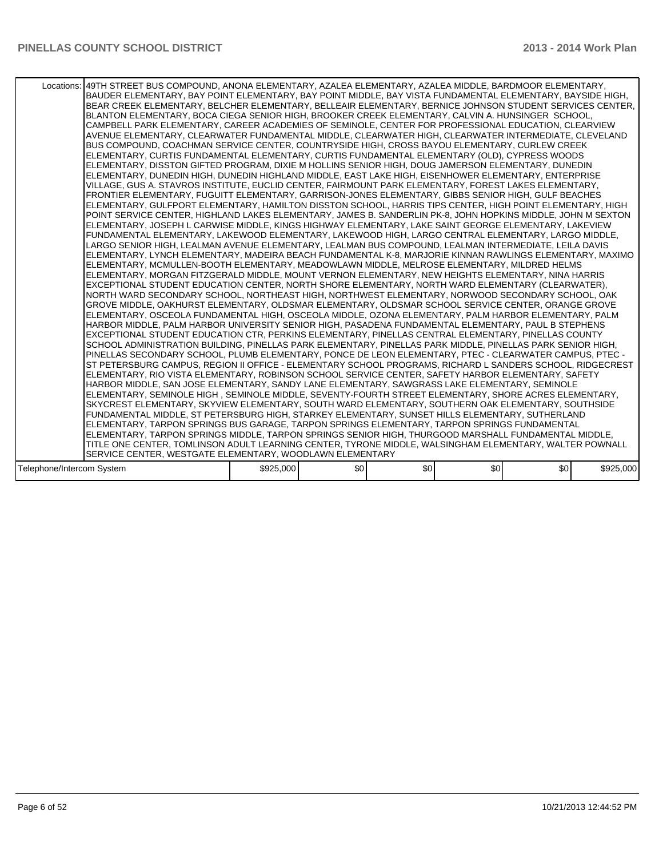|                           | Locations:   49TH STREET BUS COMPOUND, ANONA ELEMENTARY, AZALEA ELEMENTARY, AZALEA MIDDLE, BARDMOOR ELEMENTARY,<br>BAUDER ELEMENTARY, BAY POINT ELEMENTARY, BAY POINT MIDDLE, BAY VISTA FUNDAMENTAL ELEMENTARY, BAYSIDE HIGH,<br>BEAR CREEK ELEMENTARY, BELCHER ELEMENTARY, BELLEAIR ELEMENTARY, BERNICE JOHNSON STUDENT SERVICES CENTER,<br>BLANTON ELEMENTARY, BOCA CIEGA SENIOR HIGH, BROOKER CREEK ELEMENTARY, CALVIN A. HUNSINGER SCHOOL,<br>CAMPBELL PARK ELEMENTARY. CAREER ACADEMIES OF SEMINOLE. CENTER FOR PROFESSIONAL EDUCATION. CLEARVIEW<br>AVENUE ELEMENTARY, CLEARWATER FUNDAMENTAL MIDDLE, CLEARWATER HIGH, CLEARWATER INTERMEDIATE, CLEVELAND<br>BUS COMPOUND, COACHMAN SERVICE CENTER, COUNTRYSIDE HIGH, CROSS BAYOU ELEMENTARY, CURLEW CREEK<br>ELEMENTARY. CURTIS FUNDAMENTAL ELEMENTARY. CURTIS FUNDAMENTAL ELEMENTARY (OLD). CYPRESS WOODS<br>ELEMENTARY, DISSTON GIFTED PROGRAM, DIXIE M HOLLINS SENIOR HIGH, DOUG JAMERSON ELEMENTARY, DUNEDIN<br>ELEMENTARY, DUNEDIN HIGH, DUNEDIN HIGHLAND MIDDLE, EAST LAKE HIGH, EISENHOWER ELEMENTARY, ENTERPRISE<br>VILLAGE, GUS A. STAVROS INSTITUTE, EUCLID CENTER, FAIRMOUNT PARK ELEMENTARY, FOREST LAKES ELEMENTARY,<br>FRONTIER ELEMENTARY, FUGUITT ELEMENTARY, GARRISON-JONES ELEMENTARY, GIBBS SENIOR HIGH, GULF BEACHES<br>ELEMENTARY, GULFPORT ELEMENTARY, HAMILTON DISSTON SCHOOL, HARRIS TIPS CENTER, HIGH POINT ELEMENTARY, HIGH<br>POINT SERVICE CENTER, HIGHLAND LAKES ELEMENTARY, JAMES B. SANDERLIN PK-8, JOHN HOPKINS MIDDLE, JOHN M SEXTON<br>ELEMENTARY, JOSEPH L CARWISE MIDDLE, KINGS HIGHWAY ELEMENTARY, LAKE SAINT GEORGE ELEMENTARY, LAKEVIEW<br>FUNDAMENTAL ELEMENTARY, LAKEWOOD ELEMENTARY, LAKEWOOD HIGH, LARGO CENTRAL ELEMENTARY, LARGO MIDDLE,<br>LARGO SENIOR HIGH, LEALMAN AVENUE ELEMENTARY, LEALMAN BUS COMPOUND, LEALMAN INTERMEDIATE, LEILA DAVIS<br>ELEMENTARY, LYNCH ELEMENTARY, MADEIRA BEACH FUNDAMENTAL K-8, MARJORIE KINNAN RAWLINGS ELEMENTARY, MAXIMO<br>ELEMENTARY, MCMULLEN-BOOTH ELEMENTARY, MEADOWLAWN MIDDLE, MELROSE ELEMENTARY, MILDRED HELMS<br>ELEMENTARY, MORGAN FITZGERALD MIDDLE, MOUNT VERNON ELEMENTARY, NEW HEIGHTS ELEMENTARY, NINA HARRIS<br>EXCEPTIONAL STUDENT EDUCATION CENTER, NORTH SHORE ELEMENTARY, NORTH WARD ELEMENTARY (CLEARWATER),<br>NORTH WARD SECONDARY SCHOOL, NORTHEAST HIGH, NORTHWEST ELEMENTARY, NORWOOD SECONDARY SCHOOL, OAK<br>GROVE MIDDLE, OAKHURST ELEMENTARY, OLDSMAR ELEMENTARY, OLDSMAR SCHOOL SERVICE CENTER, ORANGE GROVE<br>ELEMENTARY, OSCEOLA FUNDAMENTAL HIGH, OSCEOLA MIDDLE, OZONA ELEMENTARY, PALM HARBOR ELEMENTARY, PALM<br>HARBOR MIDDLE, PALM HARBOR UNIVERSITY SENIOR HIGH, PASADENA FUNDAMENTAL ELEMENTARY, PAUL B STEPHENS<br>EXCEPTIONAL STUDENT EDUCATION CTR, PERKINS ELEMENTARY, PINELLAS CENTRAL ELEMENTARY, PINELLAS COUNTY<br>SCHOOL ADMINISTRATION BUILDING, PINELLAS PARK ELEMENTARY, PINELLAS PARK MIDDLE, PINELLAS PARK SENIOR HIGH,<br>PINELLAS SECONDARY SCHOOL, PLUMB ELEMENTARY, PONCE DE LEON ELEMENTARY, PTEC - CLEARWATER CAMPUS, PTEC -<br>IST PETERSBURG CAMPUS, REGION II OFFICE - ELEMENTARY SCHOOL PROGRAMS, RICHARD L SANDERS SCHOOL, RIDGECREST<br>ELEMENTARY, RIO VISTA ELEMENTARY, ROBINSON SCHOOL SERVICE CENTER, SAFETY HARBOR ELEMENTARY, SAFETY<br>HARBOR MIDDLE, SAN JOSE ELEMENTARY, SANDY LANE ELEMENTARY, SAWGRASS LAKE ELEMENTARY, SEMINOLE<br>ELEMENTARY, SEMINOLE HIGH, SEMINOLE MIDDLE, SEVENTY-FOURTH STREET ELEMENTARY, SHORE ACRES ELEMENTARY,<br>SKYCREST ELEMENTARY, SKYVIEW ELEMENTARY, SOUTH WARD ELEMENTARY, SOUTHERN OAK ELEMENTARY, SOUTHSIDE<br>FUNDAMENTAL MIDDLE, ST PETERSBURG HIGH, STARKEY ELEMENTARY, SUNSET HILLS ELEMENTARY, SUTHERLAND<br>ELEMENTARY, TARPON SPRINGS BUS GARAGE, TARPON SPRINGS ELEMENTARY, TARPON SPRINGS FUNDAMENTAL<br>ELEMENTARY, TARPON SPRINGS MIDDLE, TARPON SPRINGS SENIOR HIGH, THURGOOD MARSHALL FUNDAMENTAL MIDDLE,<br>TITLE ONE CENTER, TOMLINSON ADULT LEARNING CENTER, TYRONE MIDDLE, WALSINGHAM ELEMENTARY, WALTER POWNALL |           |     |     |     |     |           |
|---------------------------|------------------------------------------------------------------------------------------------------------------------------------------------------------------------------------------------------------------------------------------------------------------------------------------------------------------------------------------------------------------------------------------------------------------------------------------------------------------------------------------------------------------------------------------------------------------------------------------------------------------------------------------------------------------------------------------------------------------------------------------------------------------------------------------------------------------------------------------------------------------------------------------------------------------------------------------------------------------------------------------------------------------------------------------------------------------------------------------------------------------------------------------------------------------------------------------------------------------------------------------------------------------------------------------------------------------------------------------------------------------------------------------------------------------------------------------------------------------------------------------------------------------------------------------------------------------------------------------------------------------------------------------------------------------------------------------------------------------------------------------------------------------------------------------------------------------------------------------------------------------------------------------------------------------------------------------------------------------------------------------------------------------------------------------------------------------------------------------------------------------------------------------------------------------------------------------------------------------------------------------------------------------------------------------------------------------------------------------------------------------------------------------------------------------------------------------------------------------------------------------------------------------------------------------------------------------------------------------------------------------------------------------------------------------------------------------------------------------------------------------------------------------------------------------------------------------------------------------------------------------------------------------------------------------------------------------------------------------------------------------------------------------------------------------------------------------------------------------------------------------------------------------------------------------------------------------------------------------------------------------------------------------------------------------------------------------------------------------------------------------------------------------------------------------------------------------------------------------------------------------------------------------------------------------------------------------------------------------------------------------------------------------------------------------------------------------------------------------------------------------------------------------------------------------------------------------------------------------------------------------------------------------------------------------------------------------------------------------------------------------------|-----------|-----|-----|-----|-----|-----------|
|                           | SERVICE CENTER. WESTGATE ELEMENTARY. WOODLAWN ELEMENTARY                                                                                                                                                                                                                                                                                                                                                                                                                                                                                                                                                                                                                                                                                                                                                                                                                                                                                                                                                                                                                                                                                                                                                                                                                                                                                                                                                                                                                                                                                                                                                                                                                                                                                                                                                                                                                                                                                                                                                                                                                                                                                                                                                                                                                                                                                                                                                                                                                                                                                                                                                                                                                                                                                                                                                                                                                                                                                                                                                                                                                                                                                                                                                                                                                                                                                                                                                                                                                                                                                                                                                                                                                                                                                                                                                                                                                                                                                                                                       |           |     |     |     |     |           |
|                           |                                                                                                                                                                                                                                                                                                                                                                                                                                                                                                                                                                                                                                                                                                                                                                                                                                                                                                                                                                                                                                                                                                                                                                                                                                                                                                                                                                                                                                                                                                                                                                                                                                                                                                                                                                                                                                                                                                                                                                                                                                                                                                                                                                                                                                                                                                                                                                                                                                                                                                                                                                                                                                                                                                                                                                                                                                                                                                                                                                                                                                                                                                                                                                                                                                                                                                                                                                                                                                                                                                                                                                                                                                                                                                                                                                                                                                                                                                                                                                                                |           |     |     |     |     |           |
| Telephone/Intercom System |                                                                                                                                                                                                                                                                                                                                                                                                                                                                                                                                                                                                                                                                                                                                                                                                                                                                                                                                                                                                                                                                                                                                                                                                                                                                                                                                                                                                                                                                                                                                                                                                                                                                                                                                                                                                                                                                                                                                                                                                                                                                                                                                                                                                                                                                                                                                                                                                                                                                                                                                                                                                                                                                                                                                                                                                                                                                                                                                                                                                                                                                                                                                                                                                                                                                                                                                                                                                                                                                                                                                                                                                                                                                                                                                                                                                                                                                                                                                                                                                | \$925,000 | \$0 | \$0 | \$0 | \$0 | \$925,000 |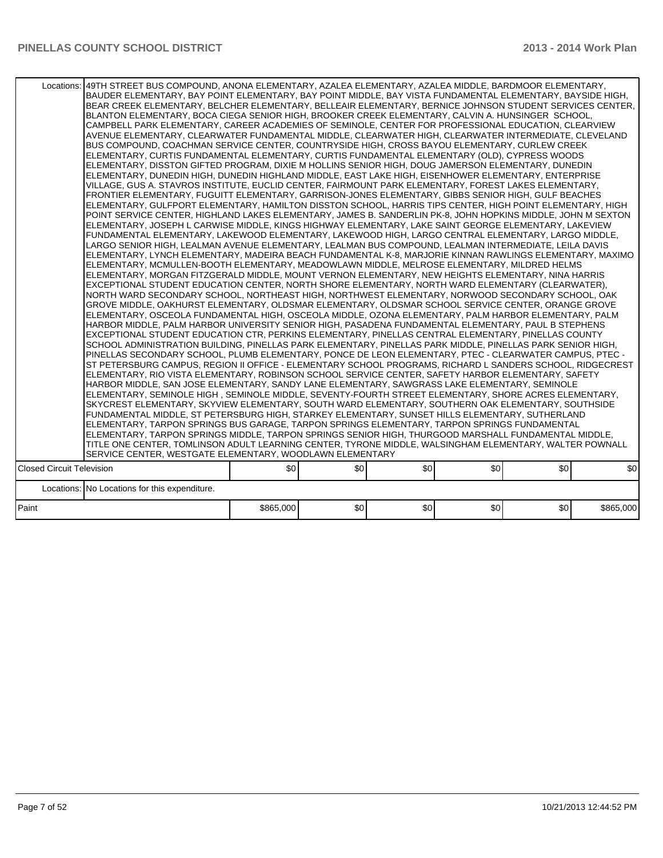|                                  | Locations: 49TH STREET BUS COMPOUND, ANONA ELEMENTARY, AZALEA ELEMENTARY, AZALEA MIDDLE, BARDMOOR ELEMENTARY,<br>BAUDER ELEMENTARY, BAY POINT ELEMENTARY, BAY POINT MIDDLE, BAY VISTA FUNDAMENTAL ELEMENTARY, BAYSIDE HIGH,<br>BEAR CREEK ELEMENTARY, BELCHER ELEMENTARY, BELLEAIR ELEMENTARY, BERNICE JOHNSON STUDENT SERVICES CENTER,<br>BLANTON ELEMENTARY, BOCA CIEGA SENIOR HIGH, BROOKER CREEK ELEMENTARY, CALVIN A. HUNSINGER SCHOOL,<br>CAMPBELL PARK ELEMENTARY, CAREER ACADEMIES OF SEMINOLE, CENTER FOR PROFESSIONAL EDUCATION, CLEARVIEW<br>AVENUE ELEMENTARY, CLEARWATER FUNDAMENTAL MIDDLE, CLEARWATER HIGH, CLEARWATER INTERMEDIATE, CLEVELAND<br>BUS COMPOUND, COACHMAN SERVICE CENTER, COUNTRYSIDE HIGH, CROSS BAYOU ELEMENTARY, CURLEW CREEK<br>ELEMENTARY, CURTIS FUNDAMENTAL ELEMENTARY, CURTIS FUNDAMENTAL ELEMENTARY (OLD), CYPRESS WOODS<br>ELEMENTARY, DISSTON GIFTED PROGRAM, DIXIE M HOLLINS SENIOR HIGH, DOUG JAMERSON ELEMENTARY, DUNEDIN<br>ELEMENTARY, DUNEDIN HIGH, DUNEDIN HIGHLAND MIDDLE, EAST LAKE HIGH, EISENHOWER ELEMENTARY, ENTERPRISE<br>VILLAGE, GUS A. STAVROS INSTITUTE, EUCLID CENTER, FAIRMOUNT PARK ELEMENTARY, FOREST LAKES ELEMENTARY,<br>FRONTIER ELEMENTARY, FUGUITT ELEMENTARY, GARRISON-JONES ELEMENTARY, GIBBS SENIOR HIGH, GULF BEACHES<br>ELEMENTARY, GULFPORT ELEMENTARY, HAMILTON DISSTON SCHOOL, HARRIS TIPS CENTER, HIGH POINT ELEMENTARY, HIGH<br>POINT SERVICE CENTER, HIGHLAND LAKES ELEMENTARY, JAMES B. SANDERLIN PK-8, JOHN HOPKINS MIDDLE, JOHN M SEXTON<br>ELEMENTARY, JOSEPH L CARWISE MIDDLE, KINGS HIGHWAY ELEMENTARY, LAKE SAINT GEORGE ELEMENTARY, LAKEVIEW<br>FUNDAMENTAL ELEMENTARY, LAKEWOOD ELEMENTARY, LAKEWOOD HIGH, LARGO CENTRAL ELEMENTARY, LARGO MIDDLE,<br>LARGO SENIOR HIGH, LEALMAN AVENUE ELEMENTARY, LEALMAN BUS COMPOUND, LEALMAN INTERMEDIATE, LEILA DAVIS<br>ELEMENTARY, LYNCH ELEMENTARY, MADEIRA BEACH FUNDAMENTAL K-8, MARJORIE KINNAN RAWLINGS ELEMENTARY, MAXIMO<br>ELEMENTARY, MCMULLEN-BOOTH ELEMENTARY, MEADOWLAWN MIDDLE, MELROSE ELEMENTARY, MILDRED HELMS<br>ELEMENTARY, MORGAN FITZGERALD MIDDLE, MOUNT VERNON ELEMENTARY, NEW HEIGHTS ELEMENTARY, NINA HARRIS<br>EXCEPTIONAL STUDENT EDUCATION CENTER, NORTH SHORE ELEMENTARY, NORTH WARD ELEMENTARY (CLEARWATER).<br>NORTH WARD SECONDARY SCHOOL, NORTHEAST HIGH, NORTHWEST ELEMENTARY, NORWOOD SECONDARY SCHOOL, OAK<br>GROVE MIDDLE, OAKHURST ELEMENTARY, OLDSMAR ELEMENTARY, OLDSMAR SCHOOL SERVICE CENTER, ORANGE GROVE<br>ELEMENTARY, OSCEOLA FUNDAMENTAL HIGH, OSCEOLA MIDDLE, OZONA ELEMENTARY, PALM HARBOR ELEMENTARY, PALM<br>HARBOR MIDDLE, PALM HARBOR UNIVERSITY SENIOR HIGH, PASADENA FUNDAMENTAL ELEMENTARY, PAUL B STEPHENS<br>EXCEPTIONAL STUDENT EDUCATION CTR, PERKINS ELEMENTARY, PINELLAS CENTRAL ELEMENTARY, PINELLAS COUNTY<br>SCHOOL ADMINISTRATION BUILDING, PINELLAS PARK ELEMENTARY, PINELLAS PARK MIDDLE, PINELLAS PARK SENIOR HIGH,<br>PINELLAS SECONDARY SCHOOL, PLUMB ELEMENTARY, PONCE DE LEON ELEMENTARY, PTEC - CLEARWATER CAMPUS, PTEC -<br>ST PETERSBURG CAMPUS, REGION II OFFICE - ELEMENTARY SCHOOL PROGRAMS, RICHARD L SANDERS SCHOOL, RIDGECREST<br>ELEMENTARY, RIO VISTA ELEMENTARY, ROBINSON SCHOOL SERVICE CENTER, SAFETY HARBOR ELEMENTARY, SAFETY<br>HARBOR MIDDLE, SAN JOSE ELEMENTARY, SANDY LANE ELEMENTARY, SAWGRASS LAKE ELEMENTARY, SEMINOLE<br>ELEMENTARY, SEMINOLE HIGH, SEMINOLE MIDDLE, SEVENTY-FOURTH STREET ELEMENTARY, SHORE ACRES ELEMENTARY,<br>SKYCREST ELEMENTARY, SKYVIEW ELEMENTARY, SOUTH WARD ELEMENTARY, SOUTHERN OAK ELEMENTARY, SOUTHSIDE<br>FUNDAMENTAL MIDDLE, ST PETERSBURG HIGH, STARKEY ELEMENTARY, SUNSET HILLS ELEMENTARY, SUTHERLAND<br>ELEMENTARY, TARPON SPRINGS BUS GARAGE, TARPON SPRINGS ELEMENTARY, TARPON SPRINGS FUNDAMENTAL<br>ELEMENTARY, TARPON SPRINGS MIDDLE, TARPON SPRINGS SENIOR HIGH, THURGOOD MARSHALL FUNDAMENTAL MIDDLE,<br>TITLE ONE CENTER, TOMLINSON ADULT LEARNING CENTER, TYRONE MIDDLE, WALSINGHAM ELEMENTARY, WALTER POWNALL<br>SERVICE CENTER, WESTGATE ELEMENTARY, WOODLAWN ELEMENTARY |           |     |     |      |     |           |
|----------------------------------|---------------------------------------------------------------------------------------------------------------------------------------------------------------------------------------------------------------------------------------------------------------------------------------------------------------------------------------------------------------------------------------------------------------------------------------------------------------------------------------------------------------------------------------------------------------------------------------------------------------------------------------------------------------------------------------------------------------------------------------------------------------------------------------------------------------------------------------------------------------------------------------------------------------------------------------------------------------------------------------------------------------------------------------------------------------------------------------------------------------------------------------------------------------------------------------------------------------------------------------------------------------------------------------------------------------------------------------------------------------------------------------------------------------------------------------------------------------------------------------------------------------------------------------------------------------------------------------------------------------------------------------------------------------------------------------------------------------------------------------------------------------------------------------------------------------------------------------------------------------------------------------------------------------------------------------------------------------------------------------------------------------------------------------------------------------------------------------------------------------------------------------------------------------------------------------------------------------------------------------------------------------------------------------------------------------------------------------------------------------------------------------------------------------------------------------------------------------------------------------------------------------------------------------------------------------------------------------------------------------------------------------------------------------------------------------------------------------------------------------------------------------------------------------------------------------------------------------------------------------------------------------------------------------------------------------------------------------------------------------------------------------------------------------------------------------------------------------------------------------------------------------------------------------------------------------------------------------------------------------------------------------------------------------------------------------------------------------------------------------------------------------------------------------------------------------------------------------------------------------------------------------------------------------------------------------------------------------------------------------------------------------------------------------------------------------------------------------------------------------------------------------------------------------------------------------------------------------------------------------------------------------------------------------------------------------------------------------------------------------------------------------------------------------------------------|-----------|-----|-----|------|-----|-----------|
| <b>Closed Circuit Television</b> |                                                                                                                                                                                                                                                                                                                                                                                                                                                                                                                                                                                                                                                                                                                                                                                                                                                                                                                                                                                                                                                                                                                                                                                                                                                                                                                                                                                                                                                                                                                                                                                                                                                                                                                                                                                                                                                                                                                                                                                                                                                                                                                                                                                                                                                                                                                                                                                                                                                                                                                                                                                                                                                                                                                                                                                                                                                                                                                                                                                                                                                                                                                                                                                                                                                                                                                                                                                                                                                                                                                                                                                                                                                                                                                                                                                                                                                                                                                                                                                                                                                         | \$0       | \$0 | \$0 | \$0] | \$0 | \$0       |
|                                  | Locations: No Locations for this expenditure.                                                                                                                                                                                                                                                                                                                                                                                                                                                                                                                                                                                                                                                                                                                                                                                                                                                                                                                                                                                                                                                                                                                                                                                                                                                                                                                                                                                                                                                                                                                                                                                                                                                                                                                                                                                                                                                                                                                                                                                                                                                                                                                                                                                                                                                                                                                                                                                                                                                                                                                                                                                                                                                                                                                                                                                                                                                                                                                                                                                                                                                                                                                                                                                                                                                                                                                                                                                                                                                                                                                                                                                                                                                                                                                                                                                                                                                                                                                                                                                                           |           |     |     |      |     |           |
| Paint                            |                                                                                                                                                                                                                                                                                                                                                                                                                                                                                                                                                                                                                                                                                                                                                                                                                                                                                                                                                                                                                                                                                                                                                                                                                                                                                                                                                                                                                                                                                                                                                                                                                                                                                                                                                                                                                                                                                                                                                                                                                                                                                                                                                                                                                                                                                                                                                                                                                                                                                                                                                                                                                                                                                                                                                                                                                                                                                                                                                                                                                                                                                                                                                                                                                                                                                                                                                                                                                                                                                                                                                                                                                                                                                                                                                                                                                                                                                                                                                                                                                                                         | \$865,000 | \$0 | \$0 | \$0  | \$0 | \$865,000 |
|                                  |                                                                                                                                                                                                                                                                                                                                                                                                                                                                                                                                                                                                                                                                                                                                                                                                                                                                                                                                                                                                                                                                                                                                                                                                                                                                                                                                                                                                                                                                                                                                                                                                                                                                                                                                                                                                                                                                                                                                                                                                                                                                                                                                                                                                                                                                                                                                                                                                                                                                                                                                                                                                                                                                                                                                                                                                                                                                                                                                                                                                                                                                                                                                                                                                                                                                                                                                                                                                                                                                                                                                                                                                                                                                                                                                                                                                                                                                                                                                                                                                                                                         |           |     |     |      |     |           |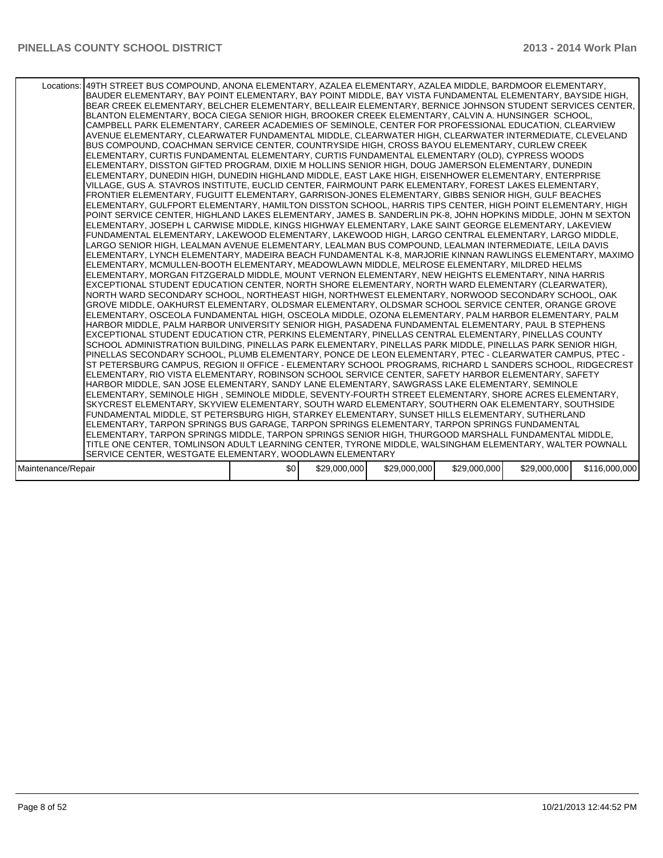|                    | Locations: 149TH STREET BUS COMPOUND, ANONA ELEMENTARY, AZALEA ELEMENTARY, AZALEA MIDDLE, BARDMOOR ELEMENTARY,<br>BAUDER ELEMENTARY, BAY POINT ELEMENTARY, BAY POINT MIDDLE, BAY VISTA FUNDAMENTAL ELEMENTARY, BAYSIDE HIGH,<br>BEAR CREEK ELEMENTARY, BELCHER ELEMENTARY, BELLEAIR ELEMENTARY, BERNICE JOHNSON STUDENT SERVICES CENTER,<br>BLANTON ELEMENTARY, BOCA CIEGA SENIOR HIGH, BROOKER CREEK ELEMENTARY, CALVIN A. HUNSINGER SCHOOL,<br>CAMPBELL PARK ELEMENTARY, CAREER ACADEMIES OF SEMINOLE, CENTER FOR PROFESSIONAL EDUCATION, CLEARVIEW<br>AVENUE ELEMENTARY, CLEARWATER FUNDAMENTAL MIDDLE, CLEARWATER HIGH, CLEARWATER INTERMEDIATE, CLEVELAND<br>BUS COMPOUND, COACHMAN SERVICE CENTER, COUNTRYSIDE HIGH, CROSS BAYOU ELEMENTARY, CURLEW CREEK<br>ELEMENTARY, CURTIS FUNDAMENTAL ELEMENTARY, CURTIS FUNDAMENTAL ELEMENTARY (OLD), CYPRESS WOODS<br>ELEMENTARY, DISSTON GIFTED PROGRAM, DIXIE M HOLLINS SENIOR HIGH, DOUG JAMERSON ELEMENTARY, DUNEDIN<br>ELEMENTARY, DUNEDIN HIGH, DUNEDIN HIGHLAND MIDDLE, EAST LAKE HIGH, EISENHOWER ELEMENTARY, ENTERPRISE<br>VILLAGE, GUS A. STAVROS INSTITUTE, EUCLID CENTER, FAIRMOUNT PARK ELEMENTARY, FOREST LAKES ELEMENTARY,<br>FRONTIER ELEMENTARY, FUGUITT ELEMENTARY, GARRISON-JONES ELEMENTARY, GIBBS SENIOR HIGH, GULF BEACHES<br>ELEMENTARY, GULFPORT ELEMENTARY, HAMILTON DISSTON SCHOOL, HARRIS TIPS CENTER, HIGH POINT ELEMENTARY, HIGH<br>POINT SERVICE CENTER, HIGHLAND LAKES ELEMENTARY, JAMES B. SANDERLIN PK-8, JOHN HOPKINS MIDDLE, JOHN M SEXTON<br>ELEMENTARY, JOSEPH L CARWISE MIDDLE, KINGS HIGHWAY ELEMENTARY, LAKE SAINT GEORGE ELEMENTARY, LAKEVIEW<br>FUNDAMENTAL ELEMENTARY, LAKEWOOD ELEMENTARY, LAKEWOOD HIGH, LARGO CENTRAL ELEMENTARY, LARGO MIDDLE,<br>LARGO SENIOR HIGH, LEALMAN AVENUE ELEMENTARY, LEALMAN BUS COMPOUND, LEALMAN INTERMEDIATE, LEILA DAVIS<br>ELEMENTARY, LYNCH ELEMENTARY, MADEIRA BEACH FUNDAMENTAL K-8, MARJORIE KINNAN RAWLINGS ELEMENTARY, MAXIMO<br>ELEMENTARY, MCMULLEN-BOOTH ELEMENTARY, MEADOWLAWN MIDDLE, MELROSE ELEMENTARY, MILDRED HELMS<br>ELEMENTARY, MORGAN FITZGERALD MIDDLE, MOUNT VERNON ELEMENTARY, NEW HEIGHTS ELEMENTARY, NINA HARRIS<br>EXCEPTIONAL STUDENT EDUCATION CENTER, NORTH SHORE ELEMENTARY, NORTH WARD ELEMENTARY (CLEARWATER),<br>NORTH WARD SECONDARY SCHOOL, NORTHEAST HIGH, NORTHWEST ELEMENTARY, NORWOOD SECONDARY SCHOOL, OAK<br>GROVE MIDDLE, OAKHURST ELEMENTARY, OLDSMAR ELEMENTARY, OLDSMAR SCHOOL SERVICE CENTER, ORANGE GROVE<br>ELEMENTARY, OSCEOLA FUNDAMENTAL HIGH, OSCEOLA MIDDLE, OZONA ELEMENTARY, PALM HARBOR ELEMENTARY, PALM<br>HARBOR MIDDLE, PALM HARBOR UNIVERSITY SENIOR HIGH, PASADENA FUNDAMENTAL ELEMENTARY, PAUL B STEPHENS<br>EXCEPTIONAL STUDENT EDUCATION CTR, PERKINS ELEMENTARY, PINELLAS CENTRAL ELEMENTARY, PINELLAS COUNTY<br>SCHOOL ADMINISTRATION BUILDING, PINELLAS PARK ELEMENTARY, PINELLAS PARK MIDDLE, PINELLAS PARK SENIOR HIGH,<br>PINELLAS SECONDARY SCHOOL, PLUMB ELEMENTARY, PONCE DE LEON ELEMENTARY, PTEC - CLEARWATER CAMPUS, PTEC -<br>ST PETERSBURG CAMPUS, REGION II OFFICE - ELEMENTARY SCHOOL PROGRAMS, RICHARD L SANDERS SCHOOL, RIDGECREST<br>ELEMENTARY, RIO VISTA ELEMENTARY, ROBINSON SCHOOL SERVICE CENTER, SAFETY HARBOR ELEMENTARY, SAFETY<br>HARBOR MIDDLE, SAN JOSE ELEMENTARY, SANDY LANE ELEMENTARY, SAWGRASS LAKE ELEMENTARY, SEMINOLE<br>ELEMENTARY, SEMINOLE HIGH , SEMINOLE MIDDLE, SEVENTY-FOURTH STREET ELEMENTARY, SHORE ACRES ELEMENTARY,<br>SKYCREST ELEMENTARY, SKYVIEW ELEMENTARY, SOUTH WARD ELEMENTARY, SOUTHERN OAK ELEMENTARY, SOUTHSIDE<br>FUNDAMENTAL MIDDLE, ST PETERSBURG HIGH, STARKEY ELEMENTARY, SUNSET HILLS ELEMENTARY, SUTHERLAND<br>ELEMENTARY, TARPON SPRINGS BUS GARAGE, TARPON SPRINGS ELEMENTARY, TARPON SPRINGS FUNDAMENTAL<br>ELEMENTARY, TARPON SPRINGS MIDDLE, TARPON SPRINGS SENIOR HIGH, THURGOOD MARSHALL FUNDAMENTAL MIDDLE,<br>TITLE ONE CENTER, TOMLINSON ADULT LEARNING CENTER, TYRONE MIDDLE, WALSINGHAM ELEMENTARY, WALTER POWNALL |     |              |              |              |              |               |
|--------------------|-----------------------------------------------------------------------------------------------------------------------------------------------------------------------------------------------------------------------------------------------------------------------------------------------------------------------------------------------------------------------------------------------------------------------------------------------------------------------------------------------------------------------------------------------------------------------------------------------------------------------------------------------------------------------------------------------------------------------------------------------------------------------------------------------------------------------------------------------------------------------------------------------------------------------------------------------------------------------------------------------------------------------------------------------------------------------------------------------------------------------------------------------------------------------------------------------------------------------------------------------------------------------------------------------------------------------------------------------------------------------------------------------------------------------------------------------------------------------------------------------------------------------------------------------------------------------------------------------------------------------------------------------------------------------------------------------------------------------------------------------------------------------------------------------------------------------------------------------------------------------------------------------------------------------------------------------------------------------------------------------------------------------------------------------------------------------------------------------------------------------------------------------------------------------------------------------------------------------------------------------------------------------------------------------------------------------------------------------------------------------------------------------------------------------------------------------------------------------------------------------------------------------------------------------------------------------------------------------------------------------------------------------------------------------------------------------------------------------------------------------------------------------------------------------------------------------------------------------------------------------------------------------------------------------------------------------------------------------------------------------------------------------------------------------------------------------------------------------------------------------------------------------------------------------------------------------------------------------------------------------------------------------------------------------------------------------------------------------------------------------------------------------------------------------------------------------------------------------------------------------------------------------------------------------------------------------------------------------------------------------------------------------------------------------------------------------------------------------------------------------------------------------------------------------------------------------------------------------------------------------------------------------------------------------------------------------------------------------------------------------|-----|--------------|--------------|--------------|--------------|---------------|
|                    |                                                                                                                                                                                                                                                                                                                                                                                                                                                                                                                                                                                                                                                                                                                                                                                                                                                                                                                                                                                                                                                                                                                                                                                                                                                                                                                                                                                                                                                                                                                                                                                                                                                                                                                                                                                                                                                                                                                                                                                                                                                                                                                                                                                                                                                                                                                                                                                                                                                                                                                                                                                                                                                                                                                                                                                                                                                                                                                                                                                                                                                                                                                                                                                                                                                                                                                                                                                                                                                                                                                                                                                                                                                                                                                                                                                                                                                                                                                                                                                               |     |              |              |              |              |               |
|                    |                                                                                                                                                                                                                                                                                                                                                                                                                                                                                                                                                                                                                                                                                                                                                                                                                                                                                                                                                                                                                                                                                                                                                                                                                                                                                                                                                                                                                                                                                                                                                                                                                                                                                                                                                                                                                                                                                                                                                                                                                                                                                                                                                                                                                                                                                                                                                                                                                                                                                                                                                                                                                                                                                                                                                                                                                                                                                                                                                                                                                                                                                                                                                                                                                                                                                                                                                                                                                                                                                                                                                                                                                                                                                                                                                                                                                                                                                                                                                                                               |     |              |              |              |              |               |
|                    |                                                                                                                                                                                                                                                                                                                                                                                                                                                                                                                                                                                                                                                                                                                                                                                                                                                                                                                                                                                                                                                                                                                                                                                                                                                                                                                                                                                                                                                                                                                                                                                                                                                                                                                                                                                                                                                                                                                                                                                                                                                                                                                                                                                                                                                                                                                                                                                                                                                                                                                                                                                                                                                                                                                                                                                                                                                                                                                                                                                                                                                                                                                                                                                                                                                                                                                                                                                                                                                                                                                                                                                                                                                                                                                                                                                                                                                                                                                                                                                               |     |              |              |              |              |               |
|                    | SERVICE CENTER, WESTGATE ELEMENTARY, WOODLAWN ELEMENTARY                                                                                                                                                                                                                                                                                                                                                                                                                                                                                                                                                                                                                                                                                                                                                                                                                                                                                                                                                                                                                                                                                                                                                                                                                                                                                                                                                                                                                                                                                                                                                                                                                                                                                                                                                                                                                                                                                                                                                                                                                                                                                                                                                                                                                                                                                                                                                                                                                                                                                                                                                                                                                                                                                                                                                                                                                                                                                                                                                                                                                                                                                                                                                                                                                                                                                                                                                                                                                                                                                                                                                                                                                                                                                                                                                                                                                                                                                                                                      |     |              |              |              |              |               |
|                    |                                                                                                                                                                                                                                                                                                                                                                                                                                                                                                                                                                                                                                                                                                                                                                                                                                                                                                                                                                                                                                                                                                                                                                                                                                                                                                                                                                                                                                                                                                                                                                                                                                                                                                                                                                                                                                                                                                                                                                                                                                                                                                                                                                                                                                                                                                                                                                                                                                                                                                                                                                                                                                                                                                                                                                                                                                                                                                                                                                                                                                                                                                                                                                                                                                                                                                                                                                                                                                                                                                                                                                                                                                                                                                                                                                                                                                                                                                                                                                                               |     |              |              |              |              |               |
| Maintenance/Repair |                                                                                                                                                                                                                                                                                                                                                                                                                                                                                                                                                                                                                                                                                                                                                                                                                                                                                                                                                                                                                                                                                                                                                                                                                                                                                                                                                                                                                                                                                                                                                                                                                                                                                                                                                                                                                                                                                                                                                                                                                                                                                                                                                                                                                                                                                                                                                                                                                                                                                                                                                                                                                                                                                                                                                                                                                                                                                                                                                                                                                                                                                                                                                                                                                                                                                                                                                                                                                                                                                                                                                                                                                                                                                                                                                                                                                                                                                                                                                                                               | \$0 | \$29,000,000 | \$29,000,000 | \$29,000,000 | \$29,000,000 | \$116,000,000 |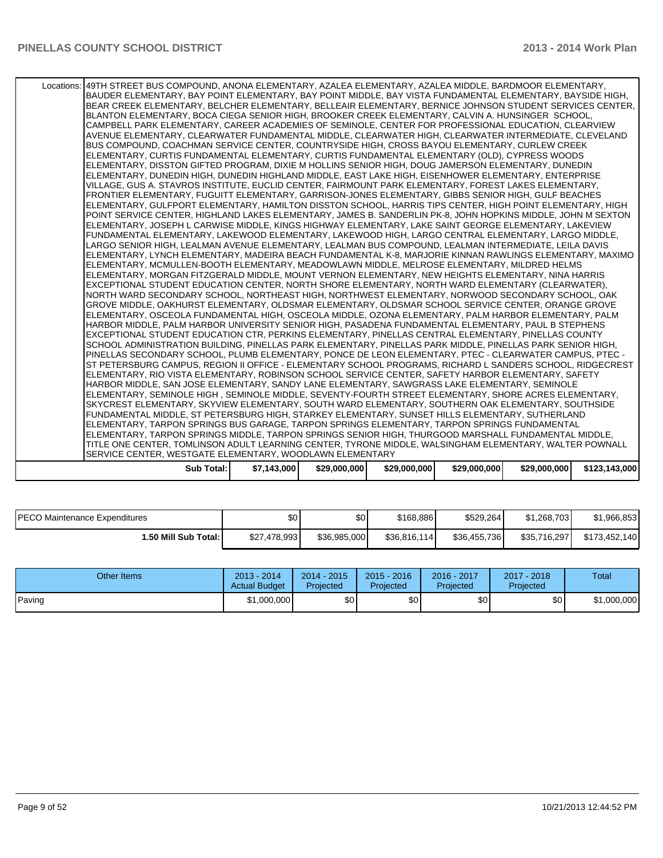| Locations: 49TH STREET BUS COMPOUND, ANONA ELEMENTARY, AZALEA ELEMENTARY, AZALEA MIDDLE, BARDMOOR ELEMENTARY,                                                                                                |             |              |              |              |              |               |
|--------------------------------------------------------------------------------------------------------------------------------------------------------------------------------------------------------------|-------------|--------------|--------------|--------------|--------------|---------------|
| BAUDER ELEMENTARY, BAY POINT ELEMENTARY, BAY POINT MIDDLE, BAY VISTA FUNDAMENTAL ELEMENTARY, BAYSIDE HIGH,                                                                                                   |             |              |              |              |              |               |
| BEAR CREEK ELEMENTARY, BELCHER ELEMENTARY, BELLEAIR ELEMENTARY, BERNICE JOHNSON STUDENT SERVICES CENTER,                                                                                                     |             |              |              |              |              |               |
| BLANTON ELEMENTARY, BOCA CIEGA SENIOR HIGH, BROOKER CREEK ELEMENTARY, CALVIN A. HUNSINGER SCHOOL,                                                                                                            |             |              |              |              |              |               |
| CAMPBELL PARK ELEMENTARY. CAREER ACADEMIES OF SEMINOLE, CENTER FOR PROFESSIONAL EDUCATION, CLEARVIEW                                                                                                         |             |              |              |              |              |               |
| AVENUE ELEMENTARY, CLEARWATER FUNDAMENTAL MIDDLE, CLEARWATER HIGH, CLEARWATER INTERMEDIATE, CLEVELAND                                                                                                        |             |              |              |              |              |               |
| BUS COMPOUND, COACHMAN SERVICE CENTER, COUNTRYSIDE HIGH, CROSS BAYOU ELEMENTARY, CURLEW CREEK                                                                                                                |             |              |              |              |              |               |
| ELEMENTARY, CURTIS FUNDAMENTAL ELEMENTARY, CURTIS FUNDAMENTAL ELEMENTARY (OLD), CYPRESS WOODS                                                                                                                |             |              |              |              |              |               |
| ELEMENTARY, DISSTON GIFTED PROGRAM, DIXIE M HOLLINS SENIOR HIGH, DOUG JAMERSON ELEMENTARY, DUNEDIN                                                                                                           |             |              |              |              |              |               |
| ELEMENTARY, DUNEDIN HIGH, DUNEDIN HIGHLAND MIDDLE, EAST LAKE HIGH, EISENHOWER ELEMENTARY, ENTERPRISE                                                                                                         |             |              |              |              |              |               |
| VILLAGE, GUS A. STAVROS INSTITUTE, EUCLID CENTER, FAIRMOUNT PARK ELEMENTARY, FOREST LAKES ELEMENTARY,<br>FRONTIER ELEMENTARY, FUGUITT ELEMENTARY, GARRISON-JONES ELEMENTARY, GIBBS SENIOR HIGH, GULF BEACHES |             |              |              |              |              |               |
| ELEMENTARY, GULFPORT ELEMENTARY, HAMILTON DISSTON SCHOOL, HARRIS TIPS CENTER, HIGH POINT ELEMENTARY, HIGH                                                                                                    |             |              |              |              |              |               |
| POINT SERVICE CENTER. HIGHLAND LAKES ELEMENTARY, JAMES B. SANDERLIN PK-8, JOHN HOPKINS MIDDLE, JOHN M SEXTON                                                                                                 |             |              |              |              |              |               |
| ELEMENTARY, JOSEPH L CARWISE MIDDLE, KINGS HIGHWAY ELEMENTARY, LAKE SAINT GEORGE ELEMENTARY, LAKEVIEW                                                                                                        |             |              |              |              |              |               |
| FUNDAMENTAL ELEMENTARY. LAKEWOOD ELEMENTARY. LAKEWOOD HIGH. LARGO CENTRAL ELEMENTARY. LARGO MIDDLE.                                                                                                          |             |              |              |              |              |               |
| LARGO SENIOR HIGH, LEALMAN AVENUE ELEMENTARY, LEALMAN BUS COMPOUND, LEALMAN INTERMEDIATE, LEILA DAVIS                                                                                                        |             |              |              |              |              |               |
| ELEMENTARY, LYNCH ELEMENTARY, MADEIRA BEACH FUNDAMENTAL K-8, MARJORIE KINNAN RAWLINGS ELEMENTARY, MAXIMO                                                                                                     |             |              |              |              |              |               |
| ELEMENTARY, MCMULLEN-BOOTH ELEMENTARY, MEADOWLAWN MIDDLE, MELROSE ELEMENTARY, MILDRED HELMS                                                                                                                  |             |              |              |              |              |               |
| ELEMENTARY, MORGAN FITZGERALD MIDDLE, MOUNT VERNON ELEMENTARY, NEW HEIGHTS ELEMENTARY, NINA HARRIS                                                                                                           |             |              |              |              |              |               |
| EXCEPTIONAL STUDENT EDUCATION CENTER, NORTH SHORE ELEMENTARY, NORTH WARD ELEMENTARY (CLEARWATER),                                                                                                            |             |              |              |              |              |               |
| NORTH WARD SECONDARY SCHOOL, NORTHEAST HIGH, NORTHWEST ELEMENTARY, NORWOOD SECONDARY SCHOOL, OAK                                                                                                             |             |              |              |              |              |               |
| GROVE MIDDLE, OAKHURST ELEMENTARY, OLDSMAR ELEMENTARY, OLDSMAR SCHOOL SERVICE CENTER, ORANGE GROVE                                                                                                           |             |              |              |              |              |               |
| ELEMENTARY, OSCEOLA FUNDAMENTAL HIGH, OSCEOLA MIDDLE, OZONA ELEMENTARY, PALM HARBOR ELEMENTARY, PALM                                                                                                         |             |              |              |              |              |               |
| HARBOR MIDDLE, PALM HARBOR UNIVERSITY SENIOR HIGH, PASADENA FUNDAMENTAL ELEMENTARY, PAUL B STEPHENS                                                                                                          |             |              |              |              |              |               |
| EXCEPTIONAL STUDENT EDUCATION CTR, PERKINS ELEMENTARY, PINELLAS CENTRAL ELEMENTARY, PINELLAS COUNTY                                                                                                          |             |              |              |              |              |               |
| SCHOOL ADMINISTRATION BUILDING. PINELLAS PARK ELEMENTARY. PINELLAS PARK MIDDLE. PINELLAS PARK SENIOR HIGH.                                                                                                   |             |              |              |              |              |               |
| PINELLAS SECONDARY SCHOOL, PLUMB ELEMENTARY, PONCE DE LEON ELEMENTARY, PTEC - CLEARWATER CAMPUS, PTEC -                                                                                                      |             |              |              |              |              |               |
| ST PETERSBURG CAMPUS, REGION II OFFICE - ELEMENTARY SCHOOL PROGRAMS, RICHARD L SANDERS SCHOOL, RIDGECREST                                                                                                    |             |              |              |              |              |               |
| ELEMENTARY, RIO VISTA ELEMENTARY, ROBINSON SCHOOL SERVICE CENTER, SAFETY HARBOR ELEMENTARY, SAFETY                                                                                                           |             |              |              |              |              |               |
| HARBOR MIDDLE, SAN JOSE ELEMENTARY, SANDY LANE ELEMENTARY, SAWGRASS LAKE ELEMENTARY, SEMINOLE                                                                                                                |             |              |              |              |              |               |
| ELEMENTARY, SEMINOLE HIGH, SEMINOLE MIDDLE, SEVENTY-FOURTH STREET ELEMENTARY, SHORE ACRES ELEMENTARY,                                                                                                        |             |              |              |              |              |               |
| SKYCREST ELEMENTARY, SKYVIEW ELEMENTARY, SOUTH WARD ELEMENTARY, SOUTHERN OAK ELEMENTARY, SOUTHSIDE                                                                                                           |             |              |              |              |              |               |
| FUNDAMENTAL MIDDLE, ST PETERSBURG HIGH, STARKEY ELEMENTARY, SUNSET HILLS ELEMENTARY, SUTHERLAND                                                                                                              |             |              |              |              |              |               |
| ELEMENTARY, TARPON SPRINGS BUS GARAGE, TARPON SPRINGS ELEMENTARY, TARPON SPRINGS FUNDAMENTAL                                                                                                                 |             |              |              |              |              |               |
| ELEMENTARY, TARPON SPRINGS MIDDLE, TARPON SPRINGS SENIOR HIGH, THURGOOD MARSHALL FUNDAMENTAL MIDDLE.                                                                                                         |             |              |              |              |              |               |
| TITLE ONE CENTER, TOMLINSON ADULT LEARNING CENTER, TYRONE MIDDLE, WALSINGHAM ELEMENTARY, WALTER POWNALL                                                                                                      |             |              |              |              |              |               |
| SERVICE CENTER. WESTGATE ELEMENTARY, WOODLAWN ELEMENTARY                                                                                                                                                     |             |              |              |              |              |               |
| <b>Sub Total:</b>                                                                                                                                                                                            | \$7,143,000 | \$29,000,000 | \$29,000,000 | \$29,000,000 | \$29,000,000 | \$123,143,000 |
|                                                                                                                                                                                                              |             |              |              |              |              |               |

| <b>IPECO Maintenance Expenditures</b> | ሖ<br>JU.     | $\sim$<br>υG | \$168.886    | \$529.264    | \$1.268.703  | \$1,966,853   |
|---------------------------------------|--------------|--------------|--------------|--------------|--------------|---------------|
| I.50 Mill Sub Total: I                | \$27,478,993 | \$36.985.000 | \$36,816,114 | \$36,455,736 | \$35,716,297 | \$173.452.140 |

| Other Items | $2013 - 2014$<br><b>Actual Budget</b> | $2014 - 2015$<br>Projected | $2015 - 2016$<br><b>Projected</b> | 2016 - 2017<br>Projected | $2017 - 2018$<br>Projected | Total       |
|-------------|---------------------------------------|----------------------------|-----------------------------------|--------------------------|----------------------------|-------------|
| Paving      | \$1,000,000                           | \$٥Ι                       | \$0                               | \$0                      | \$0                        | \$1,000,000 |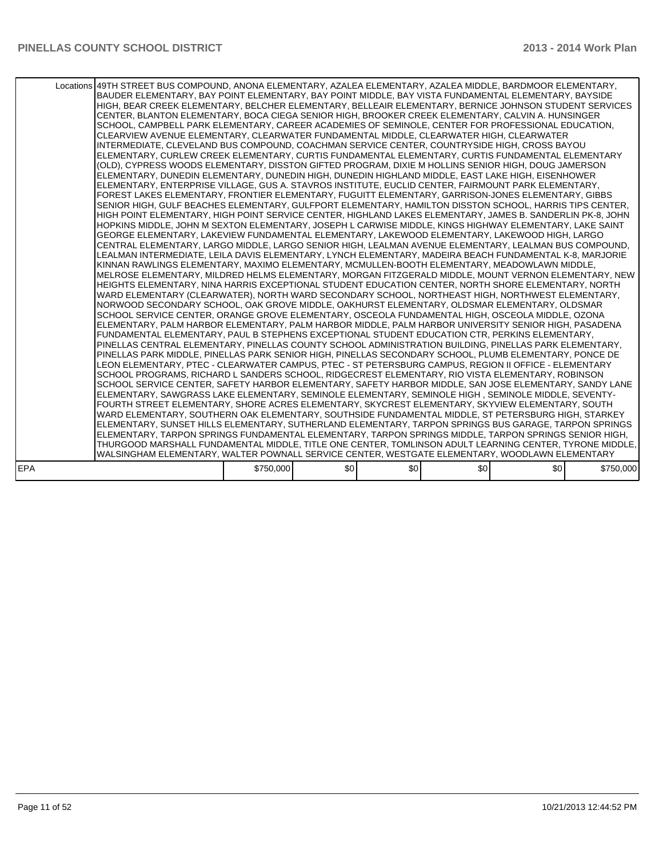|     | Locations 49TH STREET BUS COMPOUND, ANONA ELEMENTARY, AZALEA ELEMENTARY, AZALEA MIDDLE, BARDMOOR ELEMENTARY,<br>BAUDER ELEMENTARY, BAY POINT ELEMENTARY, BAY POINT MIDDLE, BAY VISTA FUNDAMENTAL ELEMENTARY, BAYSIDE<br>HIGH, BEAR CREEK ELEMENTARY, BELCHER ELEMENTARY, BELLEAIR ELEMENTARY, BERNICE JOHNSON STUDENT SERVICES<br>CENTER, BLANTON ELEMENTARY, BOCA CIEGA SENIOR HIGH, BROOKER CREEK ELEMENTARY, CALVIN A. HUNSINGER<br>SCHOOL. CAMPBELL PARK ELEMENTARY. CAREER ACADEMIES OF SEMINOLE. CENTER FOR PROFESSIONAL EDUCATION.<br>CLEARVIEW AVENUE ELEMENTARY, CLEARWATER FUNDAMENTAL MIDDLE, CLEARWATER HIGH, CLEARWATER<br>INTERMEDIATE, CLEVELAND BUS COMPOUND, COACHMAN SERVICE CENTER, COUNTRYSIDE HIGH, CROSS BAYOU<br>ELEMENTARY, CURLEW CREEK ELEMENTARY, CURTIS FUNDAMENTAL ELEMENTARY, CURTIS FUNDAMENTAL ELEMENTARY<br>(OLD), CYPRESS WOODS ELEMENTARY, DISSTON GIFTED PROGRAM, DIXIE M HOLLINS SENIOR HIGH, DOUG JAMERSON<br>ELEMENTARY, DUNEDIN ELEMENTARY, DUNEDIN HIGH, DUNEDIN HIGHLAND MIDDLE, EAST LAKE HIGH, EISENHOWER<br>ELEMENTARY, ENTERPRISE VILLAGE, GUS A. STAVROS INSTITUTE, EUCLID CENTER, FAIRMOUNT PARK ELEMENTARY,<br>FOREST LAKES ELEMENTARY, FRONTIER ELEMENTARY, FUGUITT ELEMENTARY, GARRISON-JONES ELEMENTARY, GIBBS<br>SENIOR HIGH, GULF BEACHES ELEMENTARY, GULFPORT ELEMENTARY, HAMILTON DISSTON SCHOOL, HARRIS TIPS CENTER,<br>HIGH POINT ELEMENTARY, HIGH POINT SERVICE CENTER, HIGHLAND LAKES ELEMENTARY, JAMES B. SANDERLIN PK-8, JOHN<br>HOPKINS MIDDLE, JOHN M SEXTON ELEMENTARY, JOSEPH L CARWISE MIDDLE, KINGS HIGHWAY ELEMENTARY, LAKE SAINT<br>IGEORGE ELEMENTARY. LAKEVIEW FUNDAMENTAL ELEMENTARY. LAKEWOOD ELEMENTARY. LAKEWOOD HIGH. LARGO<br>CENTRAL ELEMENTARY, LARGO MIDDLE, LARGO SENIOR HIGH, LEALMAN AVENUE ELEMENTARY, LEALMAN BUS COMPOUND,<br>LEALMAN INTERMEDIATE, LEILA DAVIS ELEMENTARY, LYNCH ELEMENTARY, MADEIRA BEACH FUNDAMENTAL K-8, MARJORIE<br>KINNAN RAWLINGS ELEMENTARY, MAXIMO ELEMENTARY, MCMULLEN-BOOTH ELEMENTARY, MEADOWLAWN MIDDLE,<br>MELROSE ELEMENTARY, MILDRED HELMS ELEMENTARY, MORGAN FITZGERALD MIDDLE, MOUNT VERNON ELEMENTARY, NEW<br>HEIGHTS ELEMENTARY, NINA HARRIS EXCEPTIONAL STUDENT EDUCATION CENTER, NORTH SHORE ELEMENTARY, NORTH<br>WARD ELEMENTARY (CLEARWATER), NORTH WARD SECONDARY SCHOOL, NORTHEAST HIGH, NORTHWEST ELEMENTARY,<br>NORWOOD SECONDARY SCHOOL, OAK GROVE MIDDLE, OAKHURST ELEMENTARY, OLDSMAR ELEMENTARY, OLDSMAR<br>SCHOOL SERVICE CENTER, ORANGE GROVE ELEMENTARY, OSCEOLA FUNDAMENTAL HIGH, OSCEOLA MIDDLE, OZONA<br>ELEMENTARY, PALM HARBOR ELEMENTARY, PALM HARBOR MIDDLE, PALM HARBOR UNIVERSITY SENIOR HIGH, PASADENA<br>FUNDAMENTAL ELEMENTARY, PAUL B STEPHENS EXCEPTIONAL STUDENT EDUCATION CTR, PERKINS ELEMENTARY,<br>PINELLAS CENTRAL ELEMENTARY, PINELLAS COUNTY SCHOOL ADMINISTRATION BUILDING, PINELLAS PARK ELEMENTARY,<br>PINELLAS PARK MIDDLE, PINELLAS PARK SENIOR HIGH, PINELLAS SECONDARY SCHOOL, PLUMB ELEMENTARY, PONCE DE<br>LEON ELEMENTARY, PTEC - CLEARWATER CAMPUS, PTEC - ST PETERSBURG CAMPUS, REGION II OFFICE - ELEMENTARY<br>SCHOOL PROGRAMS, RICHARD L SANDERS SCHOOL, RIDGECREST ELEMENTARY, RIO VISTA ELEMENTARY, ROBINSON<br>SCHOOL SERVICE CENTER, SAFETY HARBOR ELEMENTARY, SAFETY HARBOR MIDDLE, SAN JOSE ELEMENTARY, SANDY LANE<br>ELEMENTARY, SAWGRASS LAKE ELEMENTARY, SEMINOLE ELEMENTARY, SEMINOLE HIGH, SEMINOLE MIDDLE, SEVENTY-<br>FOURTH STREET ELEMENTARY. SHORE ACRES ELEMENTARY. SKYCREST ELEMENTARY. SKYVIEW ELEMENTARY. SOUTH<br>WARD ELEMENTARY, SOUTHERN OAK ELEMENTARY, SOUTHSIDE FUNDAMENTAL MIDDLE, ST PETERSBURG HIGH, STARKEY<br>ELEMENTARY, SUNSET HILLS ELEMENTARY, SUTHERLAND ELEMENTARY, TARPON SPRINGS BUS GARAGE, TARPON SPRINGS<br>ELEMENTARY, TARPON SPRINGS FUNDAMENTAL ELEMENTARY, TARPON SPRINGS MIDDLE, TARPON SPRINGS SENIOR HIGH,<br>THURGOOD MARSHALL FUNDAMENTAL MIDDLE, TITLE ONE CENTER, TOMLINSON ADULT LEARNING CENTER, TYRONE MIDDLE,<br>WALSINGHAM ELEMENTARY, WALTER POWNALL SERVICE CENTER, WESTGATE ELEMENTARY, WOODLAWN ELEMENTARY |           |     |     |     |     |           |
|-----|----------------------------------------------------------------------------------------------------------------------------------------------------------------------------------------------------------------------------------------------------------------------------------------------------------------------------------------------------------------------------------------------------------------------------------------------------------------------------------------------------------------------------------------------------------------------------------------------------------------------------------------------------------------------------------------------------------------------------------------------------------------------------------------------------------------------------------------------------------------------------------------------------------------------------------------------------------------------------------------------------------------------------------------------------------------------------------------------------------------------------------------------------------------------------------------------------------------------------------------------------------------------------------------------------------------------------------------------------------------------------------------------------------------------------------------------------------------------------------------------------------------------------------------------------------------------------------------------------------------------------------------------------------------------------------------------------------------------------------------------------------------------------------------------------------------------------------------------------------------------------------------------------------------------------------------------------------------------------------------------------------------------------------------------------------------------------------------------------------------------------------------------------------------------------------------------------------------------------------------------------------------------------------------------------------------------------------------------------------------------------------------------------------------------------------------------------------------------------------------------------------------------------------------------------------------------------------------------------------------------------------------------------------------------------------------------------------------------------------------------------------------------------------------------------------------------------------------------------------------------------------------------------------------------------------------------------------------------------------------------------------------------------------------------------------------------------------------------------------------------------------------------------------------------------------------------------------------------------------------------------------------------------------------------------------------------------------------------------------------------------------------------------------------------------------------------------------------------------------------------------------------------------------------------------------------------------------------------------------------------------------------------------------------------------------------------------------------------------------------------------------------------------------------------------------------------------------------------------------------------------------------------------------------------------------------------------------------------------------------------------------------------------------------------------------|-----------|-----|-----|-----|-----|-----------|
| EPA |                                                                                                                                                                                                                                                                                                                                                                                                                                                                                                                                                                                                                                                                                                                                                                                                                                                                                                                                                                                                                                                                                                                                                                                                                                                                                                                                                                                                                                                                                                                                                                                                                                                                                                                                                                                                                                                                                                                                                                                                                                                                                                                                                                                                                                                                                                                                                                                                                                                                                                                                                                                                                                                                                                                                                                                                                                                                                                                                                                                                                                                                                                                                                                                                                                                                                                                                                                                                                                                                                                                                                                                                                                                                                                                                                                                                                                                                                                                                                                                                                                                          | \$750,000 | \$0 | \$0 | \$0 | \$0 | \$750,000 |
|     |                                                                                                                                                                                                                                                                                                                                                                                                                                                                                                                                                                                                                                                                                                                                                                                                                                                                                                                                                                                                                                                                                                                                                                                                                                                                                                                                                                                                                                                                                                                                                                                                                                                                                                                                                                                                                                                                                                                                                                                                                                                                                                                                                                                                                                                                                                                                                                                                                                                                                                                                                                                                                                                                                                                                                                                                                                                                                                                                                                                                                                                                                                                                                                                                                                                                                                                                                                                                                                                                                                                                                                                                                                                                                                                                                                                                                                                                                                                                                                                                                                                          |           |     |     |     |     |           |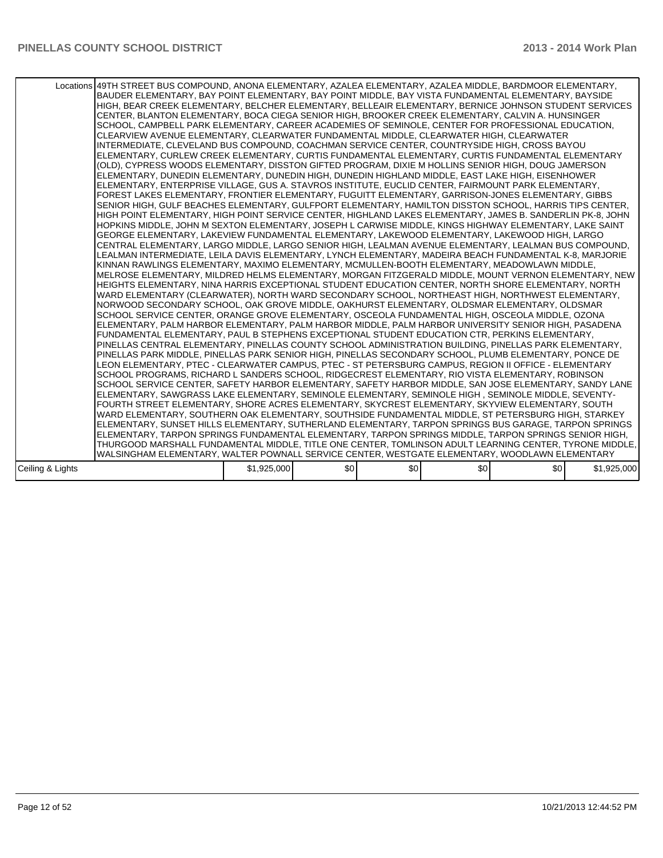|                  | Locations 49TH STREET BUS COMPOUND, ANONA ELEMENTARY, AZALEA ELEMENTARY, AZALEA MIDDLE, BARDMOOR ELEMENTARY,<br>BAUDER ELEMENTARY, BAY POINT ELEMENTARY, BAY POINT MIDDLE, BAY VISTA FUNDAMENTAL ELEMENTARY, BAYSIDE<br>HIGH, BEAR CREEK ELEMENTARY, BELCHER ELEMENTARY, BELLEAIR ELEMENTARY, BERNICE JOHNSON STUDENT SERVICES<br>CENTER, BLANTON ELEMENTARY, BOCA CIEGA SENIOR HIGH, BROOKER CREEK ELEMENTARY, CALVIN A. HUNSINGER<br>SCHOOL, CAMPBELL PARK ELEMENTARY, CAREER ACADEMIES OF SEMINOLE, CENTER FOR PROFESSIONAL EDUCATION,<br>CLEARVIEW AVENUE ELEMENTARY, CLEARWATER FUNDAMENTAL MIDDLE, CLEARWATER HIGH, CLEARWATER<br>INTERMEDIATE, CLEVELAND BUS COMPOUND, COACHMAN SERVICE CENTER, COUNTRYSIDE HIGH, CROSS BAYOU<br>ELEMENTARY, CURLEW CREEK ELEMENTARY, CURTIS FUNDAMENTAL ELEMENTARY, CURTIS FUNDAMENTAL ELEMENTARY<br>(OLD), CYPRESS WOODS ELEMENTARY, DISSTON GIFTED PROGRAM, DIXIE M HOLLINS SENIOR HIGH, DOUG JAMERSON<br>ELEMENTARY, DUNEDIN ELEMENTARY, DUNEDIN HIGH, DUNEDIN HIGHLAND MIDDLE, EAST LAKE HIGH, EISENHOWER<br>ELEMENTARY, ENTERPRISE VILLAGE, GUS A. STAVROS INSTITUTE, EUCLID CENTER, FAIRMOUNT PARK ELEMENTARY,<br>FOREST LAKES ELEMENTARY, FRONTIER ELEMENTARY, FUGUITT ELEMENTARY, GARRISON-JONES ELEMENTARY, GIBBS<br>SENIOR HIGH, GULF BEACHES ELEMENTARY, GULFPORT ELEMENTARY, HAMILTON DISSTON SCHOOL, HARRIS TIPS CENTER,<br>HIGH POINT ELEMENTARY, HIGH POINT SERVICE CENTER, HIGHLAND LAKES ELEMENTARY, JAMES B. SANDERLIN PK-8, JOHN<br>HOPKINS MIDDLE, JOHN M SEXTON ELEMENTARY, JOSEPH L CARWISE MIDDLE, KINGS HIGHWAY ELEMENTARY, LAKE SAINT<br>IGEORGE ELEMENTARY. LAKEVIEW FUNDAMENTAL ELEMENTARY. LAKEWOOD ELEMENTARY. LAKEWOOD HIGH. LARGO<br>CENTRAL ELEMENTARY, LARGO MIDDLE, LARGO SENIOR HIGH, LEALMAN AVENUE ELEMENTARY, LEALMAN BUS COMPOUND,<br>LEALMAN INTERMEDIATE, LEILA DAVIS ELEMENTARY, LYNCH ELEMENTARY, MADEIRA BEACH FUNDAMENTAL K-8, MARJORIE<br>KINNAN RAWLINGS ELEMENTARY, MAXIMO ELEMENTARY, MCMULLEN-BOOTH ELEMENTARY, MEADOWLAWN MIDDLE,<br>MELROSE ELEMENTARY, MILDRED HELMS ELEMENTARY, MORGAN FITZGERALD MIDDLE, MOUNT VERNON ELEMENTARY, NEW<br>HEIGHTS ELEMENTARY, NINA HARRIS EXCEPTIONAL STUDENT EDUCATION CENTER, NORTH SHORE ELEMENTARY, NORTH<br>WARD ELEMENTARY (CLEARWATER), NORTH WARD SECONDARY SCHOOL, NORTHEAST HIGH, NORTHWEST ELEMENTARY,<br>INORWOOD SECONDARY SCHOOL, OAK GROVE MIDDLE, OAKHURST ELEMENTARY, OLDSMAR ELEMENTARY, OLDSMAR<br>SCHOOL SERVICE CENTER, ORANGE GROVE ELEMENTARY, OSCEOLA FUNDAMENTAL HIGH, OSCEOLA MIDDLE, OZONA<br>IELEMENTARY. PALM HARBOR ELEMENTARY. PALM HARBOR MIDDLE. PALM HARBOR UNIVERSITY SENIOR HIGH. PASADENA<br>FUNDAMENTAL ELEMENTARY, PAUL B STEPHENS EXCEPTIONAL STUDENT EDUCATION CTR, PERKINS ELEMENTARY,<br>PINELLAS CENTRAL ELEMENTARY, PINELLAS COUNTY SCHOOL ADMINISTRATION BUILDING, PINELLAS PARK ELEMENTARY,<br>PINELLAS PARK MIDDLE, PINELLAS PARK SENIOR HIGH, PINELLAS SECONDARY SCHOOL, PLUMB ELEMENTARY, PONCE DE<br>LEON ELEMENTARY, PTEC - CLEARWATER CAMPUS, PTEC - ST PETERSBURG CAMPUS, REGION II OFFICE - ELEMENTARY<br>SCHOOL PROGRAMS, RICHARD L SANDERS SCHOOL, RIDGECREST ELEMENTARY, RIO VISTA ELEMENTARY, ROBINSON<br>SCHOOL SERVICE CENTER, SAFETY HARBOR ELEMENTARY, SAFETY HARBOR MIDDLE, SAN JOSE ELEMENTARY, SANDY LANE<br>ELEMENTARY, SAWGRASS LAKE ELEMENTARY, SEMINOLE ELEMENTARY, SEMINOLE HIGH, SEMINOLE MIDDLE, SEVENTY-<br>FOURTH STREET ELEMENTARY. SHORE ACRES ELEMENTARY. SKYCREST ELEMENTARY. SKYVIEW ELEMENTARY. SOUTH<br>WARD ELEMENTARY, SOUTHERN OAK ELEMENTARY, SOUTHSIDE FUNDAMENTAL MIDDLE, ST PETERSBURG HIGH, STARKEY<br>ELEMENTARY, SUNSET HILLS ELEMENTARY, SUTHERLAND ELEMENTARY, TARPON SPRINGS BUS GARAGE, TARPON SPRINGS<br>ELEMENTARY, TARPON SPRINGS FUNDAMENTAL ELEMENTARY, TARPON SPRINGS MIDDLE, TARPON SPRINGS SENIOR HIGH,<br>THURGOOD MARSHALL FUNDAMENTAL MIDDLE, TITLE ONE CENTER, TOMLINSON ADULT LEARNING CENTER, TYRONE MIDDLE,<br>WALSINGHAM ELEMENTARY, WALTER POWNALL SERVICE CENTER, WESTGATE ELEMENTARY, WOODLAWN ELEMENTARY |             |     |     |     |     |             |
|------------------|------------------------------------------------------------------------------------------------------------------------------------------------------------------------------------------------------------------------------------------------------------------------------------------------------------------------------------------------------------------------------------------------------------------------------------------------------------------------------------------------------------------------------------------------------------------------------------------------------------------------------------------------------------------------------------------------------------------------------------------------------------------------------------------------------------------------------------------------------------------------------------------------------------------------------------------------------------------------------------------------------------------------------------------------------------------------------------------------------------------------------------------------------------------------------------------------------------------------------------------------------------------------------------------------------------------------------------------------------------------------------------------------------------------------------------------------------------------------------------------------------------------------------------------------------------------------------------------------------------------------------------------------------------------------------------------------------------------------------------------------------------------------------------------------------------------------------------------------------------------------------------------------------------------------------------------------------------------------------------------------------------------------------------------------------------------------------------------------------------------------------------------------------------------------------------------------------------------------------------------------------------------------------------------------------------------------------------------------------------------------------------------------------------------------------------------------------------------------------------------------------------------------------------------------------------------------------------------------------------------------------------------------------------------------------------------------------------------------------------------------------------------------------------------------------------------------------------------------------------------------------------------------------------------------------------------------------------------------------------------------------------------------------------------------------------------------------------------------------------------------------------------------------------------------------------------------------------------------------------------------------------------------------------------------------------------------------------------------------------------------------------------------------------------------------------------------------------------------------------------------------------------------------------------------------------------------------------------------------------------------------------------------------------------------------------------------------------------------------------------------------------------------------------------------------------------------------------------------------------------------------------------------------------------------------------------------------------------------------------------------------------------------------------------------------------|-------------|-----|-----|-----|-----|-------------|
| Ceiling & Lights |                                                                                                                                                                                                                                                                                                                                                                                                                                                                                                                                                                                                                                                                                                                                                                                                                                                                                                                                                                                                                                                                                                                                                                                                                                                                                                                                                                                                                                                                                                                                                                                                                                                                                                                                                                                                                                                                                                                                                                                                                                                                                                                                                                                                                                                                                                                                                                                                                                                                                                                                                                                                                                                                                                                                                                                                                                                                                                                                                                                                                                                                                                                                                                                                                                                                                                                                                                                                                                                                                                                                                                                                                                                                                                                                                                                                                                                                                                                                                                                                                                                            | \$1,925,000 | \$0 | \$0 | \$0 | \$0 | \$1,925,000 |
|                  |                                                                                                                                                                                                                                                                                                                                                                                                                                                                                                                                                                                                                                                                                                                                                                                                                                                                                                                                                                                                                                                                                                                                                                                                                                                                                                                                                                                                                                                                                                                                                                                                                                                                                                                                                                                                                                                                                                                                                                                                                                                                                                                                                                                                                                                                                                                                                                                                                                                                                                                                                                                                                                                                                                                                                                                                                                                                                                                                                                                                                                                                                                                                                                                                                                                                                                                                                                                                                                                                                                                                                                                                                                                                                                                                                                                                                                                                                                                                                                                                                                                            |             |     |     |     |     |             |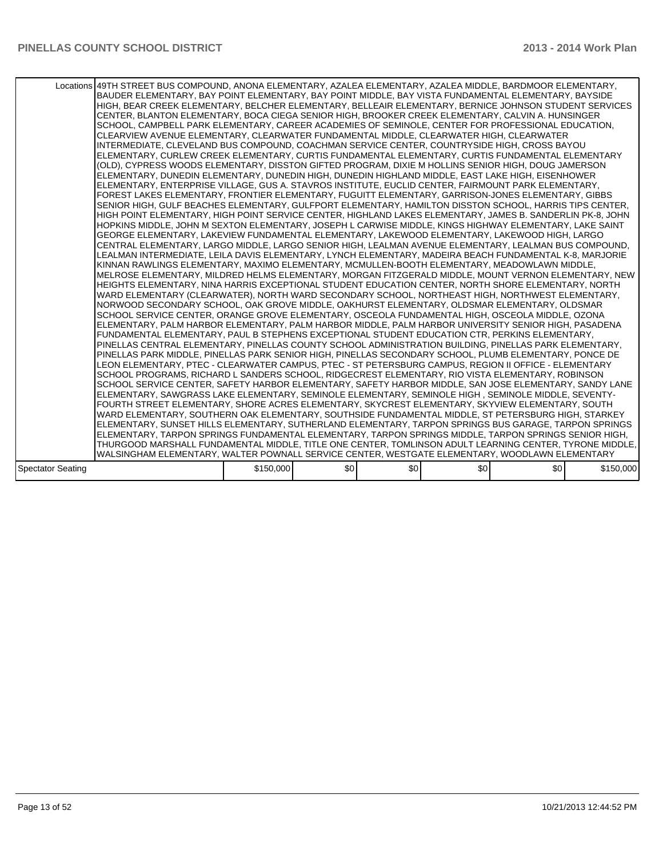|                          | Locations 49TH STREET BUS COMPOUND. ANONA ELEMENTARY. AZALEA ELEMENTARY. AZALEA MIDDLE. BARDMOOR ELEMENTARY.<br>BAUDER ELEMENTARY, BAY POINT ELEMENTARY, BAY POINT MIDDLE, BAY VISTA FUNDAMENTAL ELEMENTARY, BAYSIDE<br>HIGH, BEAR CREEK ELEMENTARY, BELCHER ELEMENTARY, BELLEAIR ELEMENTARY, BERNICE JOHNSON STUDENT SERVICES<br>CENTER, BLANTON ELEMENTARY, BOCA CIEGA SENIOR HIGH, BROOKER CREEK ELEMENTARY, CALVIN A. HUNSINGER<br>SCHOOL, CAMPBELL PARK ELEMENTARY, CAREER ACADEMIES OF SEMINOLE, CENTER FOR PROFESSIONAL EDUCATION,<br>CLEARVIEW AVENUE ELEMENTARY, CLEARWATER FUNDAMENTAL MIDDLE, CLEARWATER HIGH, CLEARWATER<br>INTERMEDIATE, CLEVELAND BUS COMPOUND, COACHMAN SERVICE CENTER, COUNTRYSIDE HIGH, CROSS BAYOU<br>ELEMENTARY, CURLEW CREEK ELEMENTARY, CURTIS FUNDAMENTAL ELEMENTARY, CURTIS FUNDAMENTAL ELEMENTARY<br>(OLD), CYPRESS WOODS ELEMENTARY, DISSTON GIFTED PROGRAM, DIXIE M HOLLINS SENIOR HIGH, DOUG JAMERSON<br>IELEMENTARY. DUNEDIN ELEMENTARY. DUNEDIN HIGH. DUNEDIN HIGHLAND MIDDLE. EAST LAKE HIGH. EISENHOWER<br>ELEMENTARY, ENTERPRISE VILLAGE, GUS A. STAVROS INSTITUTE, EUCLID CENTER, FAIRMOUNT PARK ELEMENTARY,<br>FOREST LAKES ELEMENTARY, FRONTIER ELEMENTARY, FUGUITT ELEMENTARY, GARRISON-JONES ELEMENTARY, GIBBS<br>SENIOR HIGH, GULF BEACHES ELEMENTARY, GULFPORT ELEMENTARY, HAMILTON DISSTON SCHOOL, HARRIS TIPS CENTER,<br>HIGH POINT ELEMENTARY, HIGH POINT SERVICE CENTER, HIGHLAND LAKES ELEMENTARY, JAMES B. SANDERLIN PK-8, JOHN<br>HOPKINS MIDDLE, JOHN M SEXTON ELEMENTARY, JOSEPH L CARWISE MIDDLE, KINGS HIGHWAY ELEMENTARY, LAKE SAINT<br>GEORGE ELEMENTARY, LAKEVIEW FUNDAMENTAL ELEMENTARY, LAKEWOOD ELEMENTARY, LAKEWOOD HIGH, LARGO<br> CENTRAL ELEMENTARY, LARGO MIDDLE, LARGO SENIOR HIGH, LEALMAN AVENUE ELEMENTARY, LEALMAN BUS COMPOUND,<br>LEALMAN INTERMEDIATE, LEILA DAVIS ELEMENTARY, LYNCH ELEMENTARY, MADEIRA BEACH FUNDAMENTAL K-8, MARJORIE<br>KINNAN RAWLINGS ELEMENTARY, MAXIMO ELEMENTARY, MCMULLEN-BOOTH ELEMENTARY, MEADOWLAWN MIDDLE,<br>MELROSE ELEMENTARY, MILDRED HELMS ELEMENTARY, MORGAN FITZGERALD MIDDLE, MOUNT VERNON ELEMENTARY, NEW<br>HEIGHTS ELEMENTARY, NINA HARRIS EXCEPTIONAL STUDENT EDUCATION CENTER, NORTH SHORE ELEMENTARY, NORTH<br>WARD ELEMENTARY (CLEARWATER), NORTH WARD SECONDARY SCHOOL, NORTHEAST HIGH, NORTHWEST ELEMENTARY,<br>INORWOOD SECONDARY SCHOOL, OAK GROVE MIDDLE, OAKHURST ELEMENTARY, OLDSMAR ELEMENTARY, OLDSMAR<br>SCHOOL SERVICE CENTER, ORANGE GROVE ELEMENTARY, OSCEOLA FUNDAMENTAL HIGH, OSCEOLA MIDDLE, OZONA<br>ELEMENTARY, PALM HARBOR ELEMENTARY, PALM HARBOR MIDDLE, PALM HARBOR UNIVERSITY SENIOR HIGH, PASADENA<br>FUNDAMENTAL ELEMENTARY, PAUL B STEPHENS EXCEPTIONAL STUDENT EDUCATION CTR, PERKINS ELEMENTARY,<br>PINELLAS CENTRAL ELEMENTARY, PINELLAS COUNTY SCHOOL ADMINISTRATION BUILDING, PINELLAS PARK ELEMENTARY,<br>PINELLAS PARK MIDDLE, PINELLAS PARK SENIOR HIGH, PINELLAS SECONDARY SCHOOL, PLUMB ELEMENTARY, PONCE DE<br>LEON ELEMENTARY. PTEC - CLEARWATER CAMPUS. PTEC - ST PETERSBURG CAMPUS. REGION II OFFICE - ELEMENTARY<br>SCHOOL PROGRAMS, RICHARD L SANDERS SCHOOL, RIDGECREST ELEMENTARY, RIO VISTA ELEMENTARY, ROBINSON<br>SCHOOL SERVICE CENTER, SAFETY HARBOR ELEMENTARY, SAFETY HARBOR MIDDLE, SAN JOSE ELEMENTARY, SANDY LANE<br>ELEMENTARY, SAWGRASS LAKE ELEMENTARY, SEMINOLE ELEMENTARY, SEMINOLE HIGH , SEMINOLE MIDDLE, SEVENTY-<br>FOURTH STREET ELEMENTARY. SHORE ACRES ELEMENTARY. SKYCREST ELEMENTARY. SKYVIEW ELEMENTARY. SOUTH<br>WARD ELEMENTARY, SOUTHERN OAK ELEMENTARY, SOUTHSIDE FUNDAMENTAL MIDDLE, ST PETERSBURG HIGH, STARKEY<br>ELEMENTARY, SUNSET HILLS ELEMENTARY, SUTHERLAND ELEMENTARY, TARPON SPRINGS BUS GARAGE, TARPON SPRINGS<br>ELEMENTARY, TARPON SPRINGS FUNDAMENTAL ELEMENTARY, TARPON SPRINGS MIDDLE, TARPON SPRINGS SENIOR HIGH,<br>THURGOOD MARSHALL FUNDAMENTAL MIDDLE, TITLE ONE CENTER, TOMLINSON ADULT LEARNING CENTER, TYRONE MIDDLE,<br>WALSINGHAM ELEMENTARY, WALTER POWNALL SERVICE CENTER, WESTGATE ELEMENTARY, WOODLAWN ELEMENTARY |           |     |     |     |     |           |
|--------------------------|-------------------------------------------------------------------------------------------------------------------------------------------------------------------------------------------------------------------------------------------------------------------------------------------------------------------------------------------------------------------------------------------------------------------------------------------------------------------------------------------------------------------------------------------------------------------------------------------------------------------------------------------------------------------------------------------------------------------------------------------------------------------------------------------------------------------------------------------------------------------------------------------------------------------------------------------------------------------------------------------------------------------------------------------------------------------------------------------------------------------------------------------------------------------------------------------------------------------------------------------------------------------------------------------------------------------------------------------------------------------------------------------------------------------------------------------------------------------------------------------------------------------------------------------------------------------------------------------------------------------------------------------------------------------------------------------------------------------------------------------------------------------------------------------------------------------------------------------------------------------------------------------------------------------------------------------------------------------------------------------------------------------------------------------------------------------------------------------------------------------------------------------------------------------------------------------------------------------------------------------------------------------------------------------------------------------------------------------------------------------------------------------------------------------------------------------------------------------------------------------------------------------------------------------------------------------------------------------------------------------------------------------------------------------------------------------------------------------------------------------------------------------------------------------------------------------------------------------------------------------------------------------------------------------------------------------------------------------------------------------------------------------------------------------------------------------------------------------------------------------------------------------------------------------------------------------------------------------------------------------------------------------------------------------------------------------------------------------------------------------------------------------------------------------------------------------------------------------------------------------------------------------------------------------------------------------------------------------------------------------------------------------------------------------------------------------------------------------------------------------------------------------------------------------------------------------------------------------------------------------------------------------------------------------------------------------------------------------------------------------------------------------------------------------------------------|-----------|-----|-----|-----|-----|-----------|
| <b>Spectator Seating</b> |                                                                                                                                                                                                                                                                                                                                                                                                                                                                                                                                                                                                                                                                                                                                                                                                                                                                                                                                                                                                                                                                                                                                                                                                                                                                                                                                                                                                                                                                                                                                                                                                                                                                                                                                                                                                                                                                                                                                                                                                                                                                                                                                                                                                                                                                                                                                                                                                                                                                                                                                                                                                                                                                                                                                                                                                                                                                                                                                                                                                                                                                                                                                                                                                                                                                                                                                                                                                                                                                                                                                                                                                                                                                                                                                                                                                                                                                                                                                                                                                                                                             | \$150,000 | \$0 | \$0 | \$0 | \$0 | \$150,000 |
|                          |                                                                                                                                                                                                                                                                                                                                                                                                                                                                                                                                                                                                                                                                                                                                                                                                                                                                                                                                                                                                                                                                                                                                                                                                                                                                                                                                                                                                                                                                                                                                                                                                                                                                                                                                                                                                                                                                                                                                                                                                                                                                                                                                                                                                                                                                                                                                                                                                                                                                                                                                                                                                                                                                                                                                                                                                                                                                                                                                                                                                                                                                                                                                                                                                                                                                                                                                                                                                                                                                                                                                                                                                                                                                                                                                                                                                                                                                                                                                                                                                                                                             |           |     |     |     |     |           |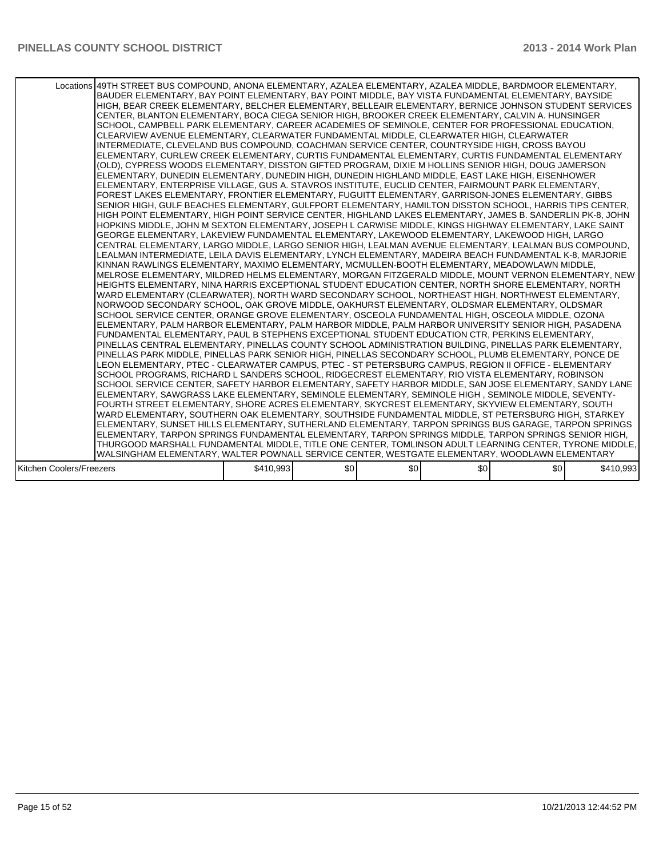|                          | Locations 49TH STREET BUS COMPOUND, ANONA ELEMENTARY, AZALEA ELEMENTARY, AZALEA MIDDLE, BARDMOOR ELEMENTARY,<br>BAUDER ELEMENTARY, BAY POINT ELEMENTARY, BAY POINT MIDDLE, BAY VISTA FUNDAMENTAL ELEMENTARY, BAYSIDE<br>HIGH, BEAR CREEK ELEMENTARY, BELCHER ELEMENTARY, BELLEAIR ELEMENTARY, BERNICE JOHNSON STUDENT SERVICES<br>CENTER, BLANTON ELEMENTARY, BOCA CIEGA SENIOR HIGH, BROOKER CREEK ELEMENTARY, CALVIN A. HUNSINGER<br>SCHOOL, CAMPBELL PARK ELEMENTARY, CAREER ACADEMIES OF SEMINOLE, CENTER FOR PROFESSIONAL EDUCATION,<br>CLEARVIEW AVENUE ELEMENTARY, CLEARWATER FUNDAMENTAL MIDDLE, CLEARWATER HIGH, CLEARWATER<br>INTERMEDIATE, CLEVELAND BUS COMPOUND, COACHMAN SERVICE CENTER, COUNTRYSIDE HIGH, CROSS BAYOU<br>ELEMENTARY, CURLEW CREEK ELEMENTARY, CURTIS FUNDAMENTAL ELEMENTARY, CURTIS FUNDAMENTAL ELEMENTARY<br>(OLD), CYPRESS WOODS ELEMENTARY, DISSTON GIFTED PROGRAM, DIXIE M HOLLINS SENIOR HIGH, DOUG JAMERSON<br>ELEMENTARY, DUNEDIN ELEMENTARY, DUNEDIN HIGH, DUNEDIN HIGHLAND MIDDLE, EAST LAKE HIGH, EISENHOWER<br>ELEMENTARY, ENTERPRISE VILLAGE, GUS A. STAVROS INSTITUTE, EUCLID CENTER, FAIRMOUNT PARK ELEMENTARY,<br>FOREST LAKES ELEMENTARY, FRONTIER ELEMENTARY, FUGUITT ELEMENTARY, GARRISON-JONES ELEMENTARY, GIBBS<br>SENIOR HIGH, GULF BEACHES ELEMENTARY, GULFPORT ELEMENTARY, HAMILTON DISSTON SCHOOL, HARRIS TIPS CENTER,<br>HIGH POINT ELEMENTARY, HIGH POINT SERVICE CENTER, HIGHLAND LAKES ELEMENTARY, JAMES B. SANDERLIN PK-8, JOHN<br>HOPKINS MIDDLE, JOHN M SEXTON ELEMENTARY, JOSEPH L CARWISE MIDDLE, KINGS HIGHWAY ELEMENTARY, LAKE SAINT<br>GEORGE ELEMENTARY, LAKEVIEW FUNDAMENTAL ELEMENTARY, LAKEWOOD ELEMENTARY, LAKEWOOD HIGH, LARGO<br>İCENTRAL ELEMENTARY. LARGO MIDDLE. LARGO SENIOR HIGH. LEALMAN AVENUE ELEMENTARY. LEALMAN BUS COMPOUND.<br>ILEALMAN INTERMEDIATE. LEILA DAVIS ELEMENTARY. LYNCH ELEMENTARY. MADEIRA BEACH FUNDAMENTAL K-8. MARJORIE<br>İKINNAN RAWLINGS ELEMENTARY. MAXIMO ELEMENTARY. MCMULLEN-BOOTH ELEMENTARY. MEADOWLAWN MIDDLE.<br>MELROSE ELEMENTARY, MILDRED HELMS ELEMENTARY, MORGAN FITZGERALD MIDDLE, MOUNT VERNON ELEMENTARY, NEW<br>HEIGHTS ELEMENTARY, NINA HARRIS EXCEPTIONAL STUDENT EDUCATION CENTER, NORTH SHORE ELEMENTARY, NORTH<br>WARD ELEMENTARY (CLEARWATER), NORTH WARD SECONDARY SCHOOL, NORTHEAST HIGH, NORTHWEST ELEMENTARY,<br>NORWOOD SECONDARY SCHOOL, OAK GROVE MIDDLE, OAKHURST ELEMENTARY, OLDSMAR ELEMENTARY, OLDSMAR<br>SCHOOL SERVICE CENTER, ORANGE GROVE ELEMENTARY, OSCEOLA FUNDAMENTAL HIGH, OSCEOLA MIDDLE, OZONA<br>ELEMENTARY, PALM HARBOR ELEMENTARY, PALM HARBOR MIDDLE, PALM HARBOR UNIVERSITY SENIOR HIGH, PASADENA<br>FUNDAMENTAL ELEMENTARY, PAUL B STEPHENS EXCEPTIONAL STUDENT EDUCATION CTR, PERKINS ELEMENTARY,<br>PINELLAS CENTRAL ELEMENTARY, PINELLAS COUNTY SCHOOL ADMINISTRATION BUILDING, PINELLAS PARK ELEMENTARY,<br>PINELLAS PARK MIDDLE, PINELLAS PARK SENIOR HIGH, PINELLAS SECONDARY SCHOOL, PLUMB ELEMENTARY, PONCE DE<br>LEON ELEMENTARY, PTEC - CLEARWATER CAMPUS, PTEC - ST PETERSBURG CAMPUS, REGION II OFFICE - ELEMENTARY<br>SCHOOL PROGRAMS, RICHARD L SANDERS SCHOOL, RIDGECREST ELEMENTARY, RIO VISTA ELEMENTARY, ROBINSON<br>SCHOOL SERVICE CENTER, SAFETY HARBOR ELEMENTARY, SAFETY HARBOR MIDDLE, SAN JOSE ELEMENTARY, SANDY LANE<br>ELEMENTARY, SAWGRASS LAKE ELEMENTARY, SEMINOLE ELEMENTARY, SEMINOLE HIGH, SEMINOLE MIDDLE, SEVENTY-<br>FOURTH STREET ELEMENTARY. SHORE ACRES ELEMENTARY. SKYCREST ELEMENTARY. SKYVIEW ELEMENTARY. SOUTH<br>WARD ELEMENTARY, SOUTHERN OAK ELEMENTARY, SOUTHSIDE FUNDAMENTAL MIDDLE, ST PETERSBURG HIGH, STARKEY<br>ELEMENTARY, SUNSET HILLS ELEMENTARY, SUTHERLAND ELEMENTARY, TARPON SPRINGS BUS GARAGE, TARPON SPRINGS<br>ELEMENTARY, TARPON SPRINGS FUNDAMENTAL ELEMENTARY, TARPON SPRINGS MIDDLE, TARPON SPRINGS SENIOR HIGH,<br>THURGOOD MARSHALL FUNDAMENTAL MIDDLE, TITLE ONE CENTER, TOMLINSON ADULT LEARNING CENTER, TYRONE MIDDLE,<br>WALSINGHAM ELEMENTARY, WALTER POWNALL SERVICE CENTER, WESTGATE ELEMENTARY, WOODLAWN ELEMENTARY |           |     |     |     |     |           |
|--------------------------|------------------------------------------------------------------------------------------------------------------------------------------------------------------------------------------------------------------------------------------------------------------------------------------------------------------------------------------------------------------------------------------------------------------------------------------------------------------------------------------------------------------------------------------------------------------------------------------------------------------------------------------------------------------------------------------------------------------------------------------------------------------------------------------------------------------------------------------------------------------------------------------------------------------------------------------------------------------------------------------------------------------------------------------------------------------------------------------------------------------------------------------------------------------------------------------------------------------------------------------------------------------------------------------------------------------------------------------------------------------------------------------------------------------------------------------------------------------------------------------------------------------------------------------------------------------------------------------------------------------------------------------------------------------------------------------------------------------------------------------------------------------------------------------------------------------------------------------------------------------------------------------------------------------------------------------------------------------------------------------------------------------------------------------------------------------------------------------------------------------------------------------------------------------------------------------------------------------------------------------------------------------------------------------------------------------------------------------------------------------------------------------------------------------------------------------------------------------------------------------------------------------------------------------------------------------------------------------------------------------------------------------------------------------------------------------------------------------------------------------------------------------------------------------------------------------------------------------------------------------------------------------------------------------------------------------------------------------------------------------------------------------------------------------------------------------------------------------------------------------------------------------------------------------------------------------------------------------------------------------------------------------------------------------------------------------------------------------------------------------------------------------------------------------------------------------------------------------------------------------------------------------------------------------------------------------------------------------------------------------------------------------------------------------------------------------------------------------------------------------------------------------------------------------------------------------------------------------------------------------------------------------------------------------------------------------------------------------------------------------------------------------------------------------------------------|-----------|-----|-----|-----|-----|-----------|
| Kitchen Coolers/Freezers |                                                                                                                                                                                                                                                                                                                                                                                                                                                                                                                                                                                                                                                                                                                                                                                                                                                                                                                                                                                                                                                                                                                                                                                                                                                                                                                                                                                                                                                                                                                                                                                                                                                                                                                                                                                                                                                                                                                                                                                                                                                                                                                                                                                                                                                                                                                                                                                                                                                                                                                                                                                                                                                                                                                                                                                                                                                                                                                                                                                                                                                                                                                                                                                                                                                                                                                                                                                                                                                                                                                                                                                                                                                                                                                                                                                                                                                                                                                                                                                                                                                            | \$410,993 | \$0 | \$0 | \$0 | \$0 | \$410,993 |
|                          |                                                                                                                                                                                                                                                                                                                                                                                                                                                                                                                                                                                                                                                                                                                                                                                                                                                                                                                                                                                                                                                                                                                                                                                                                                                                                                                                                                                                                                                                                                                                                                                                                                                                                                                                                                                                                                                                                                                                                                                                                                                                                                                                                                                                                                                                                                                                                                                                                                                                                                                                                                                                                                                                                                                                                                                                                                                                                                                                                                                                                                                                                                                                                                                                                                                                                                                                                                                                                                                                                                                                                                                                                                                                                                                                                                                                                                                                                                                                                                                                                                                            |           |     |     |     |     |           |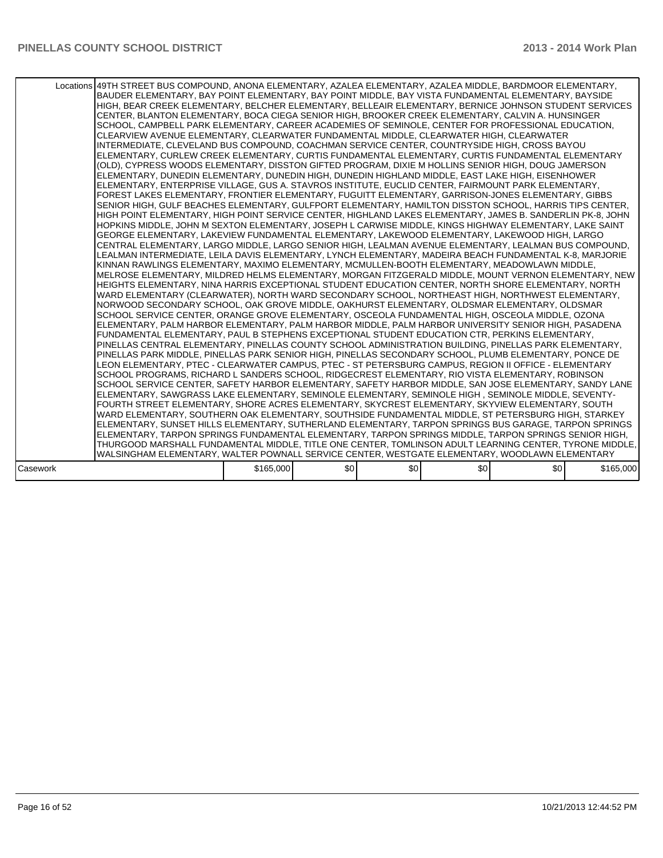|          | Locations 49TH STREET BUS COMPOUND. ANONA ELEMENTARY. AZALEA ELEMENTARY. AZALEA MIDDLE. BARDMOOR ELEMENTARY.<br>BAUDER ELEMENTARY, BAY POINT ELEMENTARY, BAY POINT MIDDLE, BAY VISTA FUNDAMENTAL ELEMENTARY, BAYSIDE<br>HIGH, BEAR CREEK ELEMENTARY, BELCHER ELEMENTARY, BELLEAIR ELEMENTARY, BERNICE JOHNSON STUDENT SERVICES<br>CENTER, BLANTON ELEMENTARY, BOCA CIEGA SENIOR HIGH, BROOKER CREEK ELEMENTARY, CALVIN A. HUNSINGER<br>SCHOOL, CAMPBELL PARK ELEMENTARY, CAREER ACADEMIES OF SEMINOLE, CENTER FOR PROFESSIONAL EDUCATION,<br>CLEARVIEW AVENUE ELEMENTARY, CLEARWATER FUNDAMENTAL MIDDLE, CLEARWATER HIGH, CLEARWATER<br>INTERMEDIATE, CLEVELAND BUS COMPOUND, COACHMAN SERVICE CENTER, COUNTRYSIDE HIGH, CROSS BAYOU<br>ELEMENTARY, CURLEW CREEK ELEMENTARY, CURTIS FUNDAMENTAL ELEMENTARY, CURTIS FUNDAMENTAL ELEMENTARY<br>(OLD), CYPRESS WOODS ELEMENTARY, DISSTON GIFTED PROGRAM, DIXIE M HOLLINS SENIOR HIGH, DOUG JAMERSON<br>ELEMENTARY, DUNEDIN ELEMENTARY, DUNEDIN HIGH, DUNEDIN HIGHLAND MIDDLE, EAST LAKE HIGH, EISENHOWER<br>ELEMENTARY, ENTERPRISE VILLAGE, GUS A. STAVROS INSTITUTE, EUCLID CENTER, FAIRMOUNT PARK ELEMENTARY,<br>FOREST LAKES ELEMENTARY, FRONTIER ELEMENTARY, FUGUITT ELEMENTARY, GARRISON-JONES ELEMENTARY, GIBBS<br>SENIOR HIGH, GULF BEACHES ELEMENTARY, GULFPORT ELEMENTARY, HAMILTON DISSTON SCHOOL, HARRIS TIPS CENTER,<br>HIGH POINT ELEMENTARY, HIGH POINT SERVICE CENTER, HIGHLAND LAKES ELEMENTARY, JAMES B. SANDERLIN PK-8, JOHN<br>HOPKINS MIDDLE, JOHN M SEXTON ELEMENTARY, JOSEPH L CARWISE MIDDLE, KINGS HIGHWAY ELEMENTARY, LAKE SAINT<br>GEORGE ELEMENTARY, LAKEVIEW FUNDAMENTAL ELEMENTARY, LAKEWOOD ELEMENTARY, LAKEWOOD HIGH, LARGO<br>CENTRAL ELEMENTARY, LARGO MIDDLE, LARGO SENIOR HIGH, LEALMAN AVENUE ELEMENTARY, LEALMAN BUS COMPOUND,<br>LEALMAN INTERMEDIATE, LEILA DAVIS ELEMENTARY, LYNCH ELEMENTARY, MADEIRA BEACH FUNDAMENTAL K-8, MARJORIE<br>KINNAN RAWLINGS ELEMENTARY, MAXIMO ELEMENTARY, MCMULLEN-BOOTH ELEMENTARY, MEADOWLAWN MIDDLE,<br>MELROSE ELEMENTARY, MILDRED HELMS ELEMENTARY, MORGAN FITZGERALD MIDDLE, MOUNT VERNON ELEMENTARY, NEW<br>HEIGHTS ELEMENTARY, NINA HARRIS EXCEPTIONAL STUDENT EDUCATION CENTER, NORTH SHORE ELEMENTARY, NORTH<br>WARD ELEMENTARY (CLEARWATER), NORTH WARD SECONDARY SCHOOL, NORTHEAST HIGH, NORTHWEST ELEMENTARY,<br>INORWOOD SECONDARY SCHOOL, OAK GROVE MIDDLE, OAKHURST ELEMENTARY, OLDSMAR ELEMENTARY, OLDSMAR<br>SCHOOL SERVICE CENTER, ORANGE GROVE ELEMENTARY, OSCEOLA FUNDAMENTAL HIGH, OSCEOLA MIDDLE, OZONA<br>ELEMENTARY, PALM HARBOR ELEMENTARY, PALM HARBOR MIDDLE, PALM HARBOR UNIVERSITY SENIOR HIGH, PASADENA<br>FUNDAMENTAL ELEMENTARY, PAUL B STEPHENS EXCEPTIONAL STUDENT EDUCATION CTR, PERKINS ELEMENTARY,<br>IPINELLAS CENTRAL ELEMENTARY. PINELLAS COUNTY SCHOOL ADMINISTRATION BUILDING. PINELLAS PARK ELEMENTARY.<br>PINELLAS PARK MIDDLE, PINELLAS PARK SENIOR HIGH, PINELLAS SECONDARY SCHOOL, PLUMB ELEMENTARY, PONCE DE<br>LEON ELEMENTARY, PTEC - CLEARWATER CAMPUS, PTEC - ST PETERSBURG CAMPUS, REGION II OFFICE - ELEMENTARY<br>SCHOOL PROGRAMS, RICHARD L SANDERS SCHOOL, RIDGECREST ELEMENTARY, RIO VISTA ELEMENTARY, ROBINSON<br>SCHOOL SERVICE CENTER, SAFETY HARBOR ELEMENTARY, SAFETY HARBOR MIDDLE, SAN JOSE ELEMENTARY, SANDY LANE<br>ELEMENTARY, SAWGRASS LAKE ELEMENTARY, SEMINOLE ELEMENTARY, SEMINOLE HIGH, SEMINOLE MIDDLE, SEVENTY-<br>FOURTH STREET ELEMENTARY, SHORE ACRES ELEMENTARY, SKYCREST ELEMENTARY, SKYVIEW ELEMENTARY, SOUTH<br>WARD ELEMENTARY, SOUTHERN OAK ELEMENTARY, SOUTHSIDE FUNDAMENTAL MIDDLE, ST PETERSBURG HIGH, STARKEY<br>ELEMENTARY, SUNSET HILLS ELEMENTARY, SUTHERLAND ELEMENTARY, TARPON SPRINGS BUS GARAGE, TARPON SPRINGS<br>ELEMENTARY, TARPON SPRINGS FUNDAMENTAL ELEMENTARY, TARPON SPRINGS MIDDLE, TARPON SPRINGS SENIOR HIGH,<br>THURGOOD MARSHALL FUNDAMENTAL MIDDLE, TITLE ONE CENTER, TOMLINSON ADULT LEARNING CENTER, TYRONE MIDDLE,<br>WALSINGHAM ELEMENTARY, WALTER POWNALL SERVICE CENTER, WESTGATE ELEMENTARY, WOODLAWN ELEMENTARY |           |     |     |     |     |           |
|----------|-----------------------------------------------------------------------------------------------------------------------------------------------------------------------------------------------------------------------------------------------------------------------------------------------------------------------------------------------------------------------------------------------------------------------------------------------------------------------------------------------------------------------------------------------------------------------------------------------------------------------------------------------------------------------------------------------------------------------------------------------------------------------------------------------------------------------------------------------------------------------------------------------------------------------------------------------------------------------------------------------------------------------------------------------------------------------------------------------------------------------------------------------------------------------------------------------------------------------------------------------------------------------------------------------------------------------------------------------------------------------------------------------------------------------------------------------------------------------------------------------------------------------------------------------------------------------------------------------------------------------------------------------------------------------------------------------------------------------------------------------------------------------------------------------------------------------------------------------------------------------------------------------------------------------------------------------------------------------------------------------------------------------------------------------------------------------------------------------------------------------------------------------------------------------------------------------------------------------------------------------------------------------------------------------------------------------------------------------------------------------------------------------------------------------------------------------------------------------------------------------------------------------------------------------------------------------------------------------------------------------------------------------------------------------------------------------------------------------------------------------------------------------------------------------------------------------------------------------------------------------------------------------------------------------------------------------------------------------------------------------------------------------------------------------------------------------------------------------------------------------------------------------------------------------------------------------------------------------------------------------------------------------------------------------------------------------------------------------------------------------------------------------------------------------------------------------------------------------------------------------------------------------------------------------------------------------------------------------------------------------------------------------------------------------------------------------------------------------------------------------------------------------------------------------------------------------------------------------------------------------------------------------------------------------------------------------------------------------------------------------------------------------------------------------------------|-----------|-----|-----|-----|-----|-----------|
| Casework |                                                                                                                                                                                                                                                                                                                                                                                                                                                                                                                                                                                                                                                                                                                                                                                                                                                                                                                                                                                                                                                                                                                                                                                                                                                                                                                                                                                                                                                                                                                                                                                                                                                                                                                                                                                                                                                                                                                                                                                                                                                                                                                                                                                                                                                                                                                                                                                                                                                                                                                                                                                                                                                                                                                                                                                                                                                                                                                                                                                                                                                                                                                                                                                                                                                                                                                                                                                                                                                                                                                                                                                                                                                                                                                                                                                                                                                                                                                                                                                                                                                           | \$165,000 | \$0 | \$0 | \$0 | \$0 | \$165,000 |
|          |                                                                                                                                                                                                                                                                                                                                                                                                                                                                                                                                                                                                                                                                                                                                                                                                                                                                                                                                                                                                                                                                                                                                                                                                                                                                                                                                                                                                                                                                                                                                                                                                                                                                                                                                                                                                                                                                                                                                                                                                                                                                                                                                                                                                                                                                                                                                                                                                                                                                                                                                                                                                                                                                                                                                                                                                                                                                                                                                                                                                                                                                                                                                                                                                                                                                                                                                                                                                                                                                                                                                                                                                                                                                                                                                                                                                                                                                                                                                                                                                                                                           |           |     |     |     |     |           |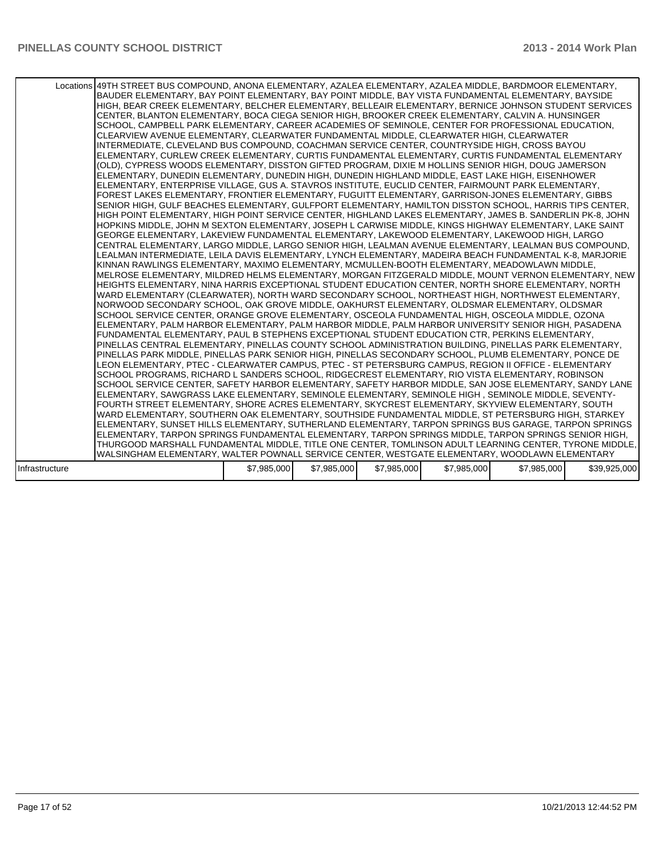|                | Locations 49TH STREET BUS COMPOUND, ANONA ELEMENTARY, AZALEA ELEMENTARY, AZALEA MIDDLE, BARDMOOR ELEMENTARY,<br>BAUDER ELEMENTARY, BAY POINT ELEMENTARY, BAY POINT MIDDLE, BAY VISTA FUNDAMENTAL ELEMENTARY, BAYSIDE<br>HIGH, BEAR CREEK ELEMENTARY, BELCHER ELEMENTARY, BELLEAIR ELEMENTARY, BERNICE JOHNSON STUDENT SERVICES<br>CENTER. BLANTON ELEMENTARY. BOCA CIEGA SENIOR HIGH. BROOKER CREEK ELEMENTARY. CALVIN A. HUNSINGER<br>SCHOOL, CAMPBELL PARK ELEMENTARY, CAREER ACADEMIES OF SEMINOLE, CENTER FOR PROFESSIONAL EDUCATION,<br>CLEARVIEW AVENUE ELEMENTARY, CLEARWATER FUNDAMENTAL MIDDLE, CLEARWATER HIGH, CLEARWATER<br>INTERMEDIATE, CLEVELAND BUS COMPOUND, COACHMAN SERVICE CENTER, COUNTRYSIDE HIGH, CROSS BAYOU<br>ELEMENTARY. CURLEW CREEK ELEMENTARY. CURTIS FUNDAMENTAL ELEMENTARY. CURTIS FUNDAMENTAL ELEMENTARY<br>(OLD), CYPRESS WOODS ELEMENTARY, DISSTON GIFTED PROGRAM, DIXIE M HOLLINS SENIOR HIGH, DOUG JAMERSON<br>ELEMENTARY. DUNEDIN ELEMENTARY. DUNEDIN HIGH. DUNEDIN HIGHLAND MIDDLE. EAST LAKE HIGH. EISENHOWER<br>ELEMENTARY, ENTERPRISE VILLAGE, GUS A. STAVROS INSTITUTE, EUCLID CENTER, FAIRMOUNT PARK ELEMENTARY,<br>FOREST LAKES ELEMENTARY, FRONTIER ELEMENTARY, FUGUITT ELEMENTARY, GARRISON-JONES ELEMENTARY, GIBBS<br>SENIOR HIGH, GULF BEACHES ELEMENTARY, GULFPORT ELEMENTARY, HAMILTON DISSTON SCHOOL, HARRIS TIPS CENTER,<br>HIGH POINT ELEMENTARY, HIGH POINT SERVICE CENTER, HIGHLAND LAKES ELEMENTARY, JAMES B. SANDERLIN PK-8, JOHN<br>HOPKINS MIDDLE, JOHN M SEXTON ELEMENTARY, JOSEPH L CARWISE MIDDLE, KINGS HIGHWAY ELEMENTARY, LAKE SAINT<br>GEORGE ELEMENTARY, LAKEVIEW FUNDAMENTAL ELEMENTARY, LAKEWOOD ELEMENTARY, LAKEWOOD HIGH, LARGO<br>CENTRAL ELEMENTARY, LARGO MIDDLE, LARGO SENIOR HIGH, LEALMAN AVENUE ELEMENTARY, LEALMAN BUS COMPOUND,<br>LEALMAN INTERMEDIATE, LEILA DAVIS ELEMENTARY, LYNCH ELEMENTARY, MADEIRA BEACH FUNDAMENTAL K-8, MARJORIE<br>KINNAN RAWLINGS ELEMENTARY, MAXIMO ELEMENTARY, MCMULLEN-BOOTH ELEMENTARY, MEADOWLAWN MIDDLE,<br>MELROSE ELEMENTARY, MILDRED HELMS ELEMENTARY, MORGAN FITZGERALD MIDDLE, MOUNT VERNON ELEMENTARY, NEW<br>HEIGHTS ELEMENTARY, NINA HARRIS EXCEPTIONAL STUDENT EDUCATION CENTER, NORTH SHORE ELEMENTARY, NORTH<br>WARD ELEMENTARY (CLEARWATER), NORTH WARD SECONDARY SCHOOL, NORTHEAST HIGH, NORTHWEST ELEMENTARY,<br>INORWOOD SECONDARY SCHOOL, OAK GROVE MIDDLE, OAKHURST ELEMENTARY, OLDSMAR ELEMENTARY, OLDSMAR<br>SCHOOL SERVICE CENTER, ORANGE GROVE ELEMENTARY, OSCEOLA FUNDAMENTAL HIGH, OSCEOLA MIDDLE, OZONA<br>ELEMENTARY, PALM HARBOR ELEMENTARY, PALM HARBOR MIDDLE, PALM HARBOR UNIVERSITY SENIOR HIGH, PASADENA<br>FUNDAMENTAL ELEMENTARY, PAUL B STEPHENS EXCEPTIONAL STUDENT EDUCATION CTR, PERKINS ELEMENTARY,<br>PINELLAS CENTRAL ELEMENTARY, PINELLAS COUNTY SCHOOL ADMINISTRATION BUILDING, PINELLAS PARK ELEMENTARY,<br>PINELLAS PARK MIDDLE, PINELLAS PARK SENIOR HIGH, PINELLAS SECONDARY SCHOOL, PLUMB ELEMENTARY, PONCE DE<br>LEON ELEMENTARY, PTEC - CLEARWATER CAMPUS, PTEC - ST PETERSBURG CAMPUS, REGION II OFFICE - ELEMENTARY<br>SCHOOL PROGRAMS, RICHARD L SANDERS SCHOOL, RIDGECREST ELEMENTARY, RIO VISTA ELEMENTARY, ROBINSON<br>SCHOOL SERVICE CENTER, SAFETY HARBOR ELEMENTARY, SAFETY HARBOR MIDDLE, SAN JOSE ELEMENTARY, SANDY LANE<br>ELEMENTARY, SAWGRASS LAKE ELEMENTARY, SEMINOLE ELEMENTARY, SEMINOLE HIGH, SEMINOLE MIDDLE, SEVENTY-<br>FOURTH STREET ELEMENTARY, SHORE ACRES ELEMENTARY, SKYCREST ELEMENTARY, SKYVIEW ELEMENTARY, SOUTH<br>WARD ELEMENTARY, SOUTHERN OAK ELEMENTARY, SOUTHSIDE FUNDAMENTAL MIDDLE, ST PETERSBURG HIGH, STARKEY<br>ELEMENTARY, SUNSET HILLS ELEMENTARY, SUTHERLAND ELEMENTARY, TARPON SPRINGS BUS GARAGE, TARPON SPRINGS<br>ELEMENTARY, TARPON SPRINGS FUNDAMENTAL ELEMENTARY, TARPON SPRINGS MIDDLE, TARPON SPRINGS SENIOR HIGH,<br>THURGOOD MARSHALL FUNDAMENTAL MIDDLE, TITLE ONE CENTER, TOMLINSON ADULT LEARNING CENTER, TYRONE MIDDLE,<br>WALSINGHAM ELEMENTARY, WALTER POWNALL SERVICE CENTER, WESTGATE ELEMENTARY, WOODLAWN ELEMENTARY |             |             |             |             |             |              |
|----------------|----------------------------------------------------------------------------------------------------------------------------------------------------------------------------------------------------------------------------------------------------------------------------------------------------------------------------------------------------------------------------------------------------------------------------------------------------------------------------------------------------------------------------------------------------------------------------------------------------------------------------------------------------------------------------------------------------------------------------------------------------------------------------------------------------------------------------------------------------------------------------------------------------------------------------------------------------------------------------------------------------------------------------------------------------------------------------------------------------------------------------------------------------------------------------------------------------------------------------------------------------------------------------------------------------------------------------------------------------------------------------------------------------------------------------------------------------------------------------------------------------------------------------------------------------------------------------------------------------------------------------------------------------------------------------------------------------------------------------------------------------------------------------------------------------------------------------------------------------------------------------------------------------------------------------------------------------------------------------------------------------------------------------------------------------------------------------------------------------------------------------------------------------------------------------------------------------------------------------------------------------------------------------------------------------------------------------------------------------------------------------------------------------------------------------------------------------------------------------------------------------------------------------------------------------------------------------------------------------------------------------------------------------------------------------------------------------------------------------------------------------------------------------------------------------------------------------------------------------------------------------------------------------------------------------------------------------------------------------------------------------------------------------------------------------------------------------------------------------------------------------------------------------------------------------------------------------------------------------------------------------------------------------------------------------------------------------------------------------------------------------------------------------------------------------------------------------------------------------------------------------------------------------------------------------------------------------------------------------------------------------------------------------------------------------------------------------------------------------------------------------------------------------------------------------------------------------------------------------------------------------------------------------------------------------------------------------------------------------------------------------------------------------------------------------------|-------------|-------------|-------------|-------------|-------------|--------------|
|                |                                                                                                                                                                                                                                                                                                                                                                                                                                                                                                                                                                                                                                                                                                                                                                                                                                                                                                                                                                                                                                                                                                                                                                                                                                                                                                                                                                                                                                                                                                                                                                                                                                                                                                                                                                                                                                                                                                                                                                                                                                                                                                                                                                                                                                                                                                                                                                                                                                                                                                                                                                                                                                                                                                                                                                                                                                                                                                                                                                                                                                                                                                                                                                                                                                                                                                                                                                                                                                                                                                                                                                                                                                                                                                                                                                                                                                                                                                                                                                                                                                                          |             |             |             |             |             |              |
| Infrastructure |                                                                                                                                                                                                                                                                                                                                                                                                                                                                                                                                                                                                                                                                                                                                                                                                                                                                                                                                                                                                                                                                                                                                                                                                                                                                                                                                                                                                                                                                                                                                                                                                                                                                                                                                                                                                                                                                                                                                                                                                                                                                                                                                                                                                                                                                                                                                                                                                                                                                                                                                                                                                                                                                                                                                                                                                                                                                                                                                                                                                                                                                                                                                                                                                                                                                                                                                                                                                                                                                                                                                                                                                                                                                                                                                                                                                                                                                                                                                                                                                                                                          | \$7,985,000 | \$7,985,000 | \$7,985,000 | \$7,985,000 | \$7,985,000 | \$39,925,000 |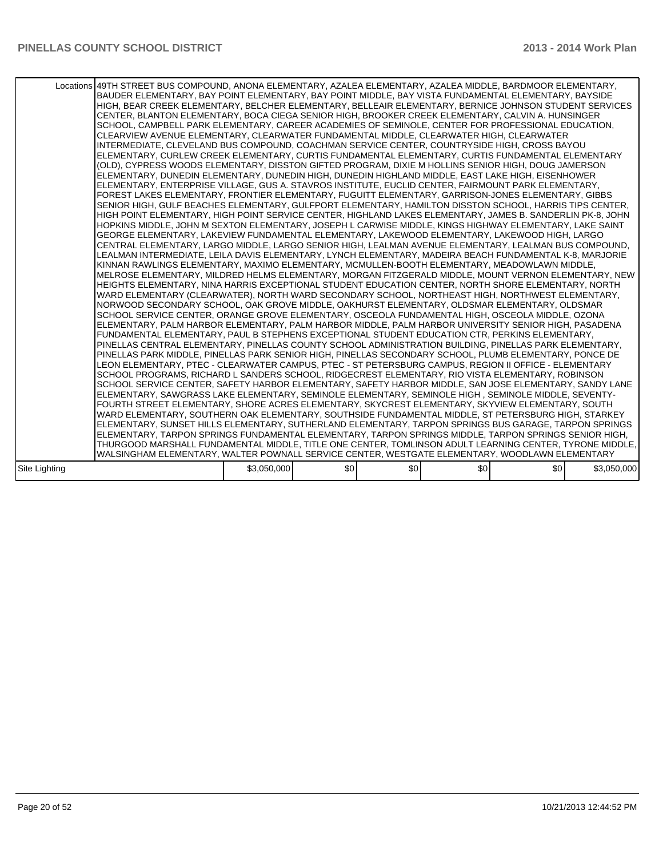|               | Locations 49TH STREET BUS COMPOUND, ANONA ELEMENTARY, AZALEA ELEMENTARY, AZALEA MIDDLE, BARDMOOR ELEMENTARY,<br>BAUDER ELEMENTARY, BAY POINT ELEMENTARY, BAY POINT MIDDLE, BAY VISTA FUNDAMENTAL ELEMENTARY, BAYSIDE<br>HIGH, BEAR CREEK ELEMENTARY, BELCHER ELEMENTARY, BELLEAIR ELEMENTARY, BERNICE JOHNSON STUDENT SERVICES<br>CENTER, BLANTON ELEMENTARY, BOCA CIEGA SENIOR HIGH, BROOKER CREEK ELEMENTARY, CALVIN A. HUNSINGER<br>SCHOOL, CAMPBELL PARK ELEMENTARY, CAREER ACADEMIES OF SEMINOLE, CENTER FOR PROFESSIONAL EDUCATION.<br>CLEARVIEW AVENUE ELEMENTARY, CLEARWATER FUNDAMENTAL MIDDLE, CLEARWATER HIGH, CLEARWATER<br>INTERMEDIATE, CLEVELAND BUS COMPOUND, COACHMAN SERVICE CENTER, COUNTRYSIDE HIGH, CROSS BAYOU<br>ELEMENTARY, CURLEW CREEK ELEMENTARY, CURTIS FUNDAMENTAL ELEMENTARY, CURTIS FUNDAMENTAL ELEMENTARY<br>(OLD), CYPRESS WOODS ELEMENTARY, DISSTON GIFTED PROGRAM, DIXIE M HOLLINS SENIOR HIGH, DOUG JAMERSON<br>ELEMENTARY, DUNEDIN ELEMENTARY, DUNEDIN HIGH, DUNEDIN HIGHLAND MIDDLE, EAST LAKE HIGH, EISENHOWER<br>ELEMENTARY, ENTERPRISE VILLAGE, GUS A. STAVROS INSTITUTE, EUCLID CENTER, FAIRMOUNT PARK ELEMENTARY,<br>FOREST LAKES ELEMENTARY, FRONTIER ELEMENTARY, FUGUITT ELEMENTARY, GARRISON-JONES ELEMENTARY, GIBBS<br>SENIOR HIGH, GULF BEACHES ELEMENTARY, GULFPORT ELEMENTARY, HAMILTON DISSTON SCHOOL, HARRIS TIPS CENTER,<br>HIGH POINT ELEMENTARY, HIGH POINT SERVICE CENTER, HIGHLAND LAKES ELEMENTARY, JAMES B. SANDERLIN PK-8, JOHN<br>HOPKINS MIDDLE, JOHN M SEXTON ELEMENTARY, JOSEPH L CARWISE MIDDLE, KINGS HIGHWAY ELEMENTARY, LAKE SAINT<br>IGEORGE ELEMENTARY. LAKEVIEW FUNDAMENTAL ELEMENTARY. LAKEWOOD ELEMENTARY. LAKEWOOD HIGH. LARGO<br>CENTRAL ELEMENTARY, LARGO MIDDLE, LARGO SENIOR HIGH, LEALMAN AVENUE ELEMENTARY, LEALMAN BUS COMPOUND,<br>LEALMAN INTERMEDIATE, LEILA DAVIS ELEMENTARY, LYNCH ELEMENTARY, MADEIRA BEACH FUNDAMENTAL K-8, MARJORIE<br>KINNAN RAWLINGS ELEMENTARY, MAXIMO ELEMENTARY, MCMULLEN-BOOTH ELEMENTARY, MEADOWLAWN MIDDLE,<br>MELROSE ELEMENTARY, MILDRED HELMS ELEMENTARY, MORGAN FITZGERALD MIDDLE, MOUNT VERNON ELEMENTARY, NEW<br>HEIGHTS ELEMENTARY, NINA HARRIS EXCEPTIONAL STUDENT EDUCATION CENTER, NORTH SHORE ELEMENTARY, NORTH<br>WARD ELEMENTARY (CLEARWATER), NORTH WARD SECONDARY SCHOOL, NORTHEAST HIGH, NORTHWEST ELEMENTARY,<br>NORWOOD SECONDARY SCHOOL, OAK GROVE MIDDLE, OAKHURST ELEMENTARY, OLDSMAR ELEMENTARY, OLDSMAR<br>SCHOOL SERVICE CENTER, ORANGE GROVE ELEMENTARY, OSCEOLA FUNDAMENTAL HIGH, OSCEOLA MIDDLE, OZONA<br>ELEMENTARY, PALM HARBOR ELEMENTARY, PALM HARBOR MIDDLE, PALM HARBOR UNIVERSITY SENIOR HIGH, PASADENA<br>FUNDAMENTAL ELEMENTARY, PAUL B STEPHENS EXCEPTIONAL STUDENT EDUCATION CTR, PERKINS ELEMENTARY,<br>PINELLAS CENTRAL ELEMENTARY, PINELLAS COUNTY SCHOOL ADMINISTRATION BUILDING, PINELLAS PARK ELEMENTARY,<br>PINELLAS PARK MIDDLE, PINELLAS PARK SENIOR HIGH, PINELLAS SECONDARY SCHOOL, PLUMB ELEMENTARY, PONCE DE<br>LEON ELEMENTARY, PTEC - CLEARWATER CAMPUS, PTEC - ST PETERSBURG CAMPUS, REGION II OFFICE - ELEMENTARY<br>SCHOOL PROGRAMS, RICHARD L SANDERS SCHOOL, RIDGECREST ELEMENTARY, RIO VISTA ELEMENTARY, ROBINSON<br>SCHOOL SERVICE CENTER, SAFETY HARBOR ELEMENTARY, SAFETY HARBOR MIDDLE, SAN JOSE ELEMENTARY, SANDY LANE<br>ELEMENTARY, SAWGRASS LAKE ELEMENTARY, SEMINOLE ELEMENTARY, SEMINOLE HIGH, SEMINOLE MIDDLE, SEVENTY-<br>FOURTH STREET ELEMENTARY. SHORE ACRES ELEMENTARY. SKYCREST ELEMENTARY. SKYVIEW ELEMENTARY. SOUTH<br>WARD ELEMENTARY, SOUTHERN OAK ELEMENTARY, SOUTHSIDE FUNDAMENTAL MIDDLE, ST PETERSBURG HIGH, STARKEY<br>ELEMENTARY, SUNSET HILLS ELEMENTARY, SUTHERLAND ELEMENTARY, TARPON SPRINGS BUS GARAGE, TARPON SPRINGS<br>ELEMENTARY, TARPON SPRINGS FUNDAMENTAL ELEMENTARY, TARPON SPRINGS MIDDLE, TARPON SPRINGS SENIOR HIGH,<br>THURGOOD MARSHALL FUNDAMENTAL MIDDLE, TITLE ONE CENTER, TOMLINSON ADULT LEARNING CENTER, TYRONE MIDDLE,<br>WALSINGHAM ELEMENTARY, WALTER POWNALL SERVICE CENTER, WESTGATE ELEMENTARY, WOODLAWN ELEMENTARY |             |     |     |     |     |             |
|---------------|----------------------------------------------------------------------------------------------------------------------------------------------------------------------------------------------------------------------------------------------------------------------------------------------------------------------------------------------------------------------------------------------------------------------------------------------------------------------------------------------------------------------------------------------------------------------------------------------------------------------------------------------------------------------------------------------------------------------------------------------------------------------------------------------------------------------------------------------------------------------------------------------------------------------------------------------------------------------------------------------------------------------------------------------------------------------------------------------------------------------------------------------------------------------------------------------------------------------------------------------------------------------------------------------------------------------------------------------------------------------------------------------------------------------------------------------------------------------------------------------------------------------------------------------------------------------------------------------------------------------------------------------------------------------------------------------------------------------------------------------------------------------------------------------------------------------------------------------------------------------------------------------------------------------------------------------------------------------------------------------------------------------------------------------------------------------------------------------------------------------------------------------------------------------------------------------------------------------------------------------------------------------------------------------------------------------------------------------------------------------------------------------------------------------------------------------------------------------------------------------------------------------------------------------------------------------------------------------------------------------------------------------------------------------------------------------------------------------------------------------------------------------------------------------------------------------------------------------------------------------------------------------------------------------------------------------------------------------------------------------------------------------------------------------------------------------------------------------------------------------------------------------------------------------------------------------------------------------------------------------------------------------------------------------------------------------------------------------------------------------------------------------------------------------------------------------------------------------------------------------------------------------------------------------------------------------------------------------------------------------------------------------------------------------------------------------------------------------------------------------------------------------------------------------------------------------------------------------------------------------------------------------------------------------------------------------------------------------------------------------------------------------------------------------------------|-------------|-----|-----|-----|-----|-------------|
| Site Lighting |                                                                                                                                                                                                                                                                                                                                                                                                                                                                                                                                                                                                                                                                                                                                                                                                                                                                                                                                                                                                                                                                                                                                                                                                                                                                                                                                                                                                                                                                                                                                                                                                                                                                                                                                                                                                                                                                                                                                                                                                                                                                                                                                                                                                                                                                                                                                                                                                                                                                                                                                                                                                                                                                                                                                                                                                                                                                                                                                                                                                                                                                                                                                                                                                                                                                                                                                                                                                                                                                                                                                                                                                                                                                                                                                                                                                                                                                                                                                                                                                                                                          | \$3,050,000 | \$0 | \$0 | \$0 | \$0 | \$3,050,000 |
|               |                                                                                                                                                                                                                                                                                                                                                                                                                                                                                                                                                                                                                                                                                                                                                                                                                                                                                                                                                                                                                                                                                                                                                                                                                                                                                                                                                                                                                                                                                                                                                                                                                                                                                                                                                                                                                                                                                                                                                                                                                                                                                                                                                                                                                                                                                                                                                                                                                                                                                                                                                                                                                                                                                                                                                                                                                                                                                                                                                                                                                                                                                                                                                                                                                                                                                                                                                                                                                                                                                                                                                                                                                                                                                                                                                                                                                                                                                                                                                                                                                                                          |             |     |     |     |     |             |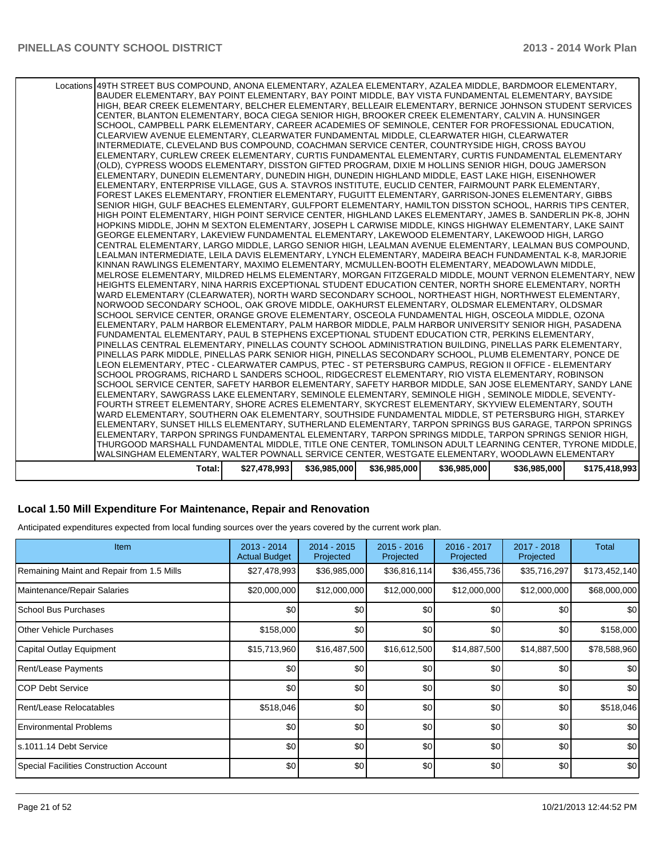| LEALMAN INTERMEDIATE, LEILA DAVIS ELEMENTARY, LYNCH ELEMENTARY, MADEIRA BEACH FUNDAMENTAL K-8, MARJORIE<br>KINNAN RAWLINGS ELEMENTARY, MAXIMO ELEMENTARY, MCMULLEN-BOOTH ELEMENTARY, MEADOWLAWN MIDDLE,<br>MELROSE ELEMENTARY, MILDRED HELMS ELEMENTARY, MORGAN FITZGERALD MIDDLE, MOUNT VERNON ELEMENTARY, NEW    |              |              |              |              |              |               |
|--------------------------------------------------------------------------------------------------------------------------------------------------------------------------------------------------------------------------------------------------------------------------------------------------------------------|--------------|--------------|--------------|--------------|--------------|---------------|
| HEIGHTS ELEMENTARY. NINA HARRIS EXCEPTIONAL STUDENT EDUCATION CENTER. NORTH SHORE ELEMENTARY. NORTH<br>WARD ELEMENTARY (CLEARWATER), NORTH WARD SECONDARY SCHOOL, NORTHEAST HIGH, NORTHWEST ELEMENTARY,<br>NORWOOD SECONDARY SCHOOL, OAK GROVE MIDDLE, OAKHURST ELEMENTARY, OLDSMAR ELEMENTARY, OLDSMAR            |              |              |              |              |              |               |
| SCHOOL SERVICE CENTER, ORANGE GROVE ELEMENTARY, OSCEOLA FUNDAMENTAL HIGH, OSCEOLA MIDDLE, OZONA <br>ELEMENTARY, PALM HARBOR ELEMENTARY, PALM HARBOR MIDDLE, PALM HARBOR UNIVERSITY SENIOR HIGH, PASADENA<br>FUNDAMENTAL ELEMENTARY, PAUL B STEPHENS EXCEPTIONAL STUDENT EDUCATION CTR, PERKINS ELEMENTARY,         |              |              |              |              |              |               |
| PINELLAS CENTRAL ELEMENTARY, PINELLAS COUNTY SCHOOL ADMINISTRATION BUILDING, PINELLAS PARK ELEMENTARY,<br>PINELLAS PARK MIDDLE, PINELLAS PARK SENIOR HIGH, PINELLAS SECONDARY SCHOOL, PLUMB ELEMENTARY, PONCE DE                                                                                                   |              |              |              |              |              |               |
| LEON ELEMENTARY, PTEC - CLEARWATER CAMPUS, PTEC - ST PETERSBURG CAMPUS, REGION II OFFICE - ELEMENTARY<br>SCHOOL PROGRAMS, RICHARD L SANDERS SCHOOL, RIDGECREST ELEMENTARY, RIO VISTA ELEMENTARY, ROBINSON                                                                                                          |              |              |              |              |              |               |
| SCHOOL SERVICE CENTER, SAFETY HARBOR ELEMENTARY, SAFETY HARBOR MIDDLE, SAN JOSE ELEMENTARY, SANDY LANE<br>ELEMENTARY, SAWGRASS LAKE ELEMENTARY, SEMINOLE ELEMENTARY, SEMINOLE HIGH , SEMINOLE MIDDLE, SEVENTY-<br>FOURTH STREET ELEMENTARY, SHORE ACRES ELEMENTARY, SKYCREST ELEMENTARY, SKYVIEW ELEMENTARY, SOUTH |              |              |              |              |              |               |
| WARD ELEMENTARY. SOUTHERN OAK ELEMENTARY. SOUTHSIDE FUNDAMENTAL MIDDLE. ST PETERSBURG HIGH. STARKEY                                                                                                                                                                                                                |              |              |              |              |              |               |
| ELEMENTARY, SUNSET HILLS ELEMENTARY, SUTHERLAND ELEMENTARY, TARPON SPRINGS BUS GARAGE, TARPON SPRINGS<br>ELEMENTARY, TARPON SPRINGS FUNDAMENTAL ELEMENTARY, TARPON SPRINGS MIDDLE, TARPON SPRINGS SENIOR HIGH,                                                                                                     |              |              |              |              |              |               |
| THURGOOD MARSHALL FUNDAMENTAL MIDDLE, TITLE ONE CENTER, TOMLINSON ADULT LEARNING CENTER, TYRONE MIDDLE,<br>WALSINGHAM ELEMENTARY, WALTER POWNALL SERVICE CENTER, WESTGATE ELEMENTARY, WOODLAWN ELEMENTARY                                                                                                          |              |              |              |              |              |               |
| Total:                                                                                                                                                                                                                                                                                                             | \$27,478,993 | \$36,985,000 | \$36,985,000 | \$36,985,000 | \$36,985,000 | \$175,418,993 |

#### **Local 1.50 Mill Expenditure For Maintenance, Repair and Renovation**

Anticipated expenditures expected from local funding sources over the years covered by the current work plan.

| Item                                      | 2013 - 2014<br><b>Actual Budget</b> | $2014 - 2015$<br>Projected | 2015 - 2016<br>Projected | 2016 - 2017<br>Projected | 2017 - 2018<br>Projected | Total         |
|-------------------------------------------|-------------------------------------|----------------------------|--------------------------|--------------------------|--------------------------|---------------|
| Remaining Maint and Repair from 1.5 Mills | \$27,478,993                        | \$36,985,000               | \$36,816,114]            | \$36,455,736             | \$35,716,297             | \$173,452,140 |
| Maintenance/Repair Salaries               | \$20,000,000                        | \$12,000,000               | \$12,000,000             | \$12,000,000             | \$12,000,000             | \$68,000,000  |
| <b>School Bus Purchases</b>               | \$0                                 | \$0                        | \$0                      | \$0                      | \$0                      | \$0           |
| <b>IOther Vehicle Purchases</b>           | \$158,000                           | \$0                        | \$0                      | \$0                      | \$0                      | \$158,000     |
| Capital Outlay Equipment                  | \$15,713,960                        | \$16,487,500               | \$16,612,500             | \$14,887,500             | \$14,887,500             | \$78,588,960  |
| Rent/Lease Payments                       | \$0                                 | \$0                        | \$0                      | \$0                      | \$0                      | \$0           |
| ICOP Debt Service                         | \$0                                 | \$0                        | \$0                      | \$0                      | \$0                      | \$0           |
| Rent/Lease Relocatables                   | \$518,046                           | \$0                        | \$0                      | \$0                      | \$0                      | \$518,046     |
| <b>Environmental Problems</b>             | \$0                                 | \$0                        | \$0                      | \$0                      | \$0                      | \$0           |
| ls.1011.14 Debt Service                   | \$0                                 | \$0                        | \$0                      | \$0                      | \$0                      | \$0           |
| Special Facilities Construction Account   | \$0                                 | \$0                        | \$0                      | \$0                      | \$0                      | \$0           |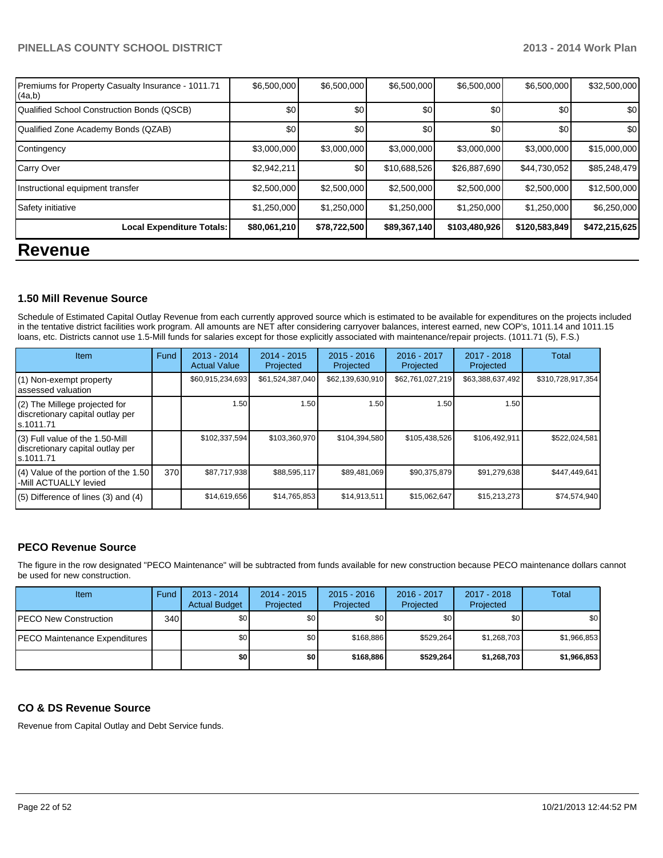| Premiums for Property Casualty Insurance - 1011.71<br>(4a,b) | \$6,500,000  | \$6,500,000  | \$6,500,000  | \$6,500,000   | \$6,500,000   | \$32,500,000     |
|--------------------------------------------------------------|--------------|--------------|--------------|---------------|---------------|------------------|
| Qualified School Construction Bonds (QSCB)                   | \$0          | \$0          | \$0          | \$0           | \$0           | \$0 <sub>1</sub> |
| Qualified Zone Academy Bonds (QZAB)                          | \$0          | \$0          | \$0          | \$0           | \$0           | \$0              |
| Contingency                                                  | \$3,000,000  | \$3,000,000  | \$3,000,000  | \$3,000,000   | \$3,000,000   | \$15,000,000     |
| Carry Over                                                   | \$2,942,211  | \$0          | \$10,688,526 | \$26,887,690  | \$44,730,052  | \$85,248,479     |
| Instructional equipment transfer                             | \$2,500,000  | \$2,500,000  | \$2,500,000  | \$2,500,000   | \$2,500,000   | \$12,500,000     |
| Safety initiative                                            | \$1,250,000  | \$1,250,000  | \$1,250,000  | \$1,250,000   | \$1,250,000   | \$6,250,000      |
| <b>Local Expenditure Totals:</b>                             | \$80,061,210 | \$78,722,500 | \$89,367,140 | \$103,480,926 | \$120,583,849 | \$472,215,625    |
| <b>Revenue</b>                                               |              |              |              |               |               |                  |

#### **1.50 Mill Revenue Source**

Schedule of Estimated Capital Outlay Revenue from each currently approved source which is estimated to be available for expenditures on the projects included in the tentative district facilities work program. All amounts are NET after considering carryover balances, interest earned, new COP's, 1011.14 and 1011.15 loans, etc. Districts cannot use 1.5-Mill funds for salaries except for those explicitly associated with maintenance/repair projects. (1011.71 (5), F.S.)

| <b>Item</b>                                                                       | Fund | $2013 - 2014$<br><b>Actual Value</b> | $2014 - 2015$<br>Projected | $2015 - 2016$<br>Projected | $2016 - 2017$<br>Projected | $2017 - 2018$<br>Projected | Total             |
|-----------------------------------------------------------------------------------|------|--------------------------------------|----------------------------|----------------------------|----------------------------|----------------------------|-------------------|
| (1) Non-exempt property<br>assessed valuation                                     |      | \$60,915,234,693                     | \$61,524,387,040           | \$62,139,630,910           | \$62,761,027,219           | \$63,388,637,492           | \$310,728,917,354 |
| (2) The Millege projected for<br>discretionary capital outlay per<br>ls.1011.71   |      | 1.50                                 | 1.50 l                     | 1.50                       | 1.50                       | 1.50 I                     |                   |
| (3) Full value of the 1.50-Mill<br>discretionary capital outlay per<br>ls.1011.71 |      | \$102,337,594                        | \$103,360,970              | \$104,394,580              | \$105,438,526              | \$106,492,911              | \$522,024,581     |
| (4) Value of the portion of the 1.50<br>-Mill ACTUALLY levied                     | 370  | \$87,717,938                         | \$88,595,117               | \$89,481,069               | \$90,375,879               | \$91,279,638               | \$447,449,641     |
| $(5)$ Difference of lines $(3)$ and $(4)$                                         |      | \$14,619,656                         | \$14,765,853               | \$14,913,511               | \$15,062,647               | \$15,213,273               | \$74,574,940      |

#### **PECO Revenue Source**

The figure in the row designated "PECO Maintenance" will be subtracted from funds available for new construction because PECO maintenance dollars cannot be used for new construction.

| Item                                  | Fund | $2013 - 2014$<br><b>Actual Budget</b> | $2014 - 2015$<br>Projected | $2015 - 2016$<br>Projected | 2016 - 2017<br>Projected | $2017 - 2018$<br>Projected | Total       |
|---------------------------------------|------|---------------------------------------|----------------------------|----------------------------|--------------------------|----------------------------|-------------|
| <b>IPECO New Construction</b>         | 340  | \$0 <sub>1</sub>                      | \$0 I                      | \$0                        | \$0                      | \$0                        | \$0         |
| <b>IPECO Maintenance Expenditures</b> |      | \$0 <sub>1</sub>                      | \$0                        | \$168.886                  | \$529.264                | \$1,268,703                | \$1,966,853 |
|                                       |      | \$0                                   | \$0 I                      | \$168,886                  | \$529.264                | \$1,268,703                | \$1,966,853 |

#### **CO & DS Revenue Source**

Revenue from Capital Outlay and Debt Service funds.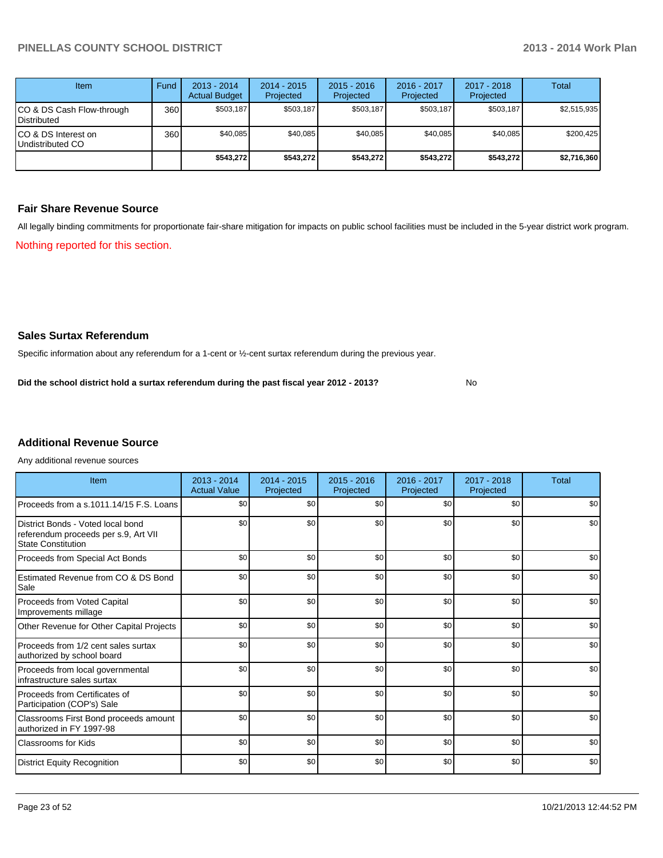| <b>Item</b>                              | Fund | $2013 - 2014$<br><b>Actual Budget</b> | $2014 - 2015$<br>Projected | $2015 - 2016$<br>Projected | $2016 - 2017$<br>Projected | $2017 - 2018$<br>Projected | Total       |
|------------------------------------------|------|---------------------------------------|----------------------------|----------------------------|----------------------------|----------------------------|-------------|
| CO & DS Cash Flow-through<br>Distributed | 360  | \$503.187                             | \$503,187                  | \$503.187                  | \$503,187                  | \$503,187                  | \$2,515,935 |
| CO & DS Interest on<br>Undistributed CO  | 360  | \$40,085                              | \$40,085                   | \$40,085                   | \$40,085                   | \$40,085                   | \$200,425   |
|                                          |      | \$543,272                             | \$543,272                  | \$543,272                  | \$543,272                  | \$543,272                  | \$2,716,360 |

#### **Fair Share Revenue Source**

Nothing reported for this section. All legally binding commitments for proportionate fair-share mitigation for impacts on public school facilities must be included in the 5-year district work program.

#### **Sales Surtax Referendum**

Specific information about any referendum for a 1-cent or ½-cent surtax referendum during the previous year.

No **Did the school district hold a surtax referendum during the past fiscal year 2012 - 2013?**

# **Additional Revenue Source**

Any additional revenue sources

| Item                                                                                                   | $2013 - 2014$<br><b>Actual Value</b> | $2014 - 2015$<br>Projected | $2015 - 2016$<br>Projected | 2016 - 2017<br>Projected | $2017 - 2018$<br>Projected | Total |
|--------------------------------------------------------------------------------------------------------|--------------------------------------|----------------------------|----------------------------|--------------------------|----------------------------|-------|
| Proceeds from a s.1011.14/15 F.S. Loans                                                                | \$0 <sub>1</sub>                     | \$0                        | \$0                        | \$0                      | \$0                        | \$0   |
| District Bonds - Voted local bond<br>referendum proceeds per s.9, Art VII<br><b>State Constitution</b> | \$0                                  | \$0                        | \$0                        | \$0                      | \$0                        | \$0   |
| Proceeds from Special Act Bonds                                                                        | \$0                                  | \$0                        | \$0                        | \$0                      | \$0                        | \$0   |
| Estimated Revenue from CO & DS Bond<br>Sale                                                            | \$0                                  | \$0                        | \$0                        | \$0                      | \$0                        | \$0   |
| <b>Proceeds from Voted Capital</b><br>Improvements millage                                             | \$0                                  | \$0                        | \$0                        | \$0                      | \$0                        | \$0   |
| Other Revenue for Other Capital Projects                                                               | \$0                                  | \$0                        | \$0                        | \$0                      | \$0                        | \$0   |
| Proceeds from 1/2 cent sales surtax<br>authorized by school board                                      | \$0                                  | \$0                        | \$0                        | \$0                      | \$0                        | \$0   |
| Proceeds from local governmental<br>infrastructure sales surtax                                        | \$0                                  | \$0                        | \$0                        | \$0                      | \$0                        | \$0   |
| Proceeds from Certificates of<br>Participation (COP's) Sale                                            | \$0                                  | \$0                        | \$0                        | \$0                      | \$0                        | \$0   |
| Classrooms First Bond proceeds amount<br>authorized in FY 1997-98                                      | \$0                                  | \$0                        | \$0                        | \$0                      | \$0                        | \$0   |
| Classrooms for Kids                                                                                    | \$0                                  | \$0                        | \$0                        | \$0                      | \$0                        | \$0   |
| <b>District Equity Recognition</b>                                                                     | \$0                                  | \$0                        | \$0                        | \$0                      | \$0                        | \$0   |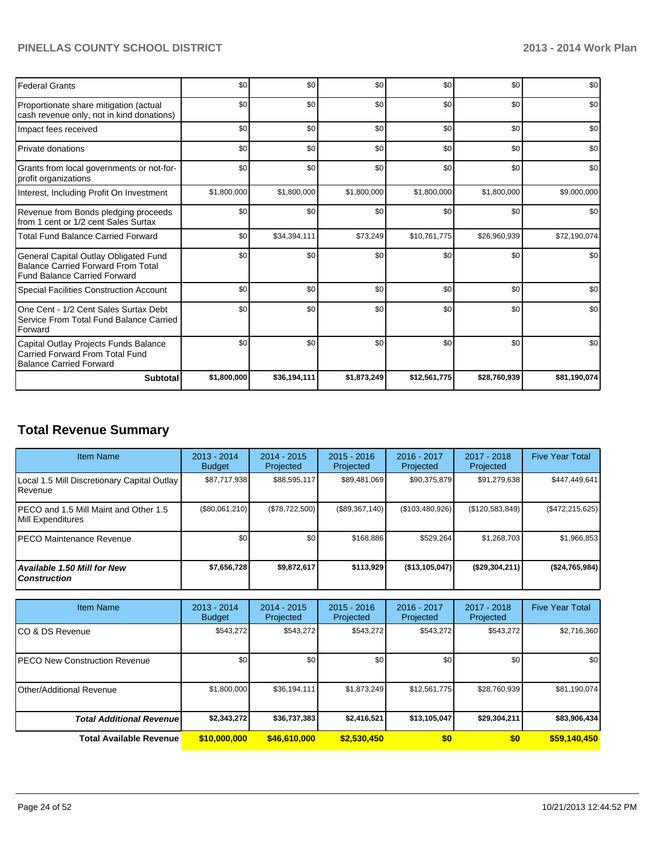| <b>Federal Grants</b>                                                                                                     | \$0         | \$0          | \$0         | \$0          | \$0          | \$0          |
|---------------------------------------------------------------------------------------------------------------------------|-------------|--------------|-------------|--------------|--------------|--------------|
| Proportionate share mitigation (actual<br>cash revenue only, not in kind donations)                                       | \$0         | \$0          | \$0         | \$0          | \$0          | \$0          |
| Impact fees received                                                                                                      | \$0         | \$0          | \$0         | \$0          | \$0          | \$0          |
| Private donations                                                                                                         | \$0         | \$0          | \$0         | \$0          | \$0          | \$0          |
| Grants from local governments or not-for-<br>profit organizations                                                         | \$0         | \$0          | \$0         | \$0          | \$0          | \$0          |
| Interest, Including Profit On Investment                                                                                  | \$1,800,000 | \$1,800,000  | \$1,800,000 | \$1,800,000  | \$1,800,000  | \$9,000,000  |
| Revenue from Bonds pledging proceeds<br>from 1 cent or 1/2 cent Sales Surtax                                              | \$0         | \$0          | \$0         | \$0          | \$0          | \$0          |
| <b>Total Fund Balance Carried Forward</b>                                                                                 | \$0         | \$34,394,111 | \$73,249    | \$10,761,775 | \$26,960,939 | \$72,190,074 |
| General Capital Outlay Obligated Fund<br><b>Balance Carried Forward From Total</b><br><b>Fund Balance Carried Forward</b> | \$0         | \$0          | \$0         | \$0          | \$0          | \$0          |
| Special Facilities Construction Account                                                                                   | \$0         | \$0          | \$0         | \$0          | \$0          | \$0          |
| One Cent - 1/2 Cent Sales Surtax Debt<br>Service From Total Fund Balance Carried<br>Forward                               | \$0         | \$0          | \$0         | \$0          | \$0          | \$0          |
| Capital Outlay Projects Funds Balance<br><b>Carried Forward From Total Fund</b><br><b>Balance Carried Forward</b>         | \$0         | \$0          | \$0         | \$0          | \$0          | \$0          |
| <b>Subtotal</b>                                                                                                           | \$1,800,000 | \$36,194,111 | \$1,873,249 | \$12,561,775 | \$28,760,939 | \$81,190,074 |

# **Total Revenue Summary**

| <b>Item Name</b>                                            | $2013 - 2014$<br><b>Budget</b> | $2014 - 2015$<br>Projected | $2015 - 2016$<br>Projected | 2016 - 2017<br>Projected | 2017 - 2018<br>Projected | <b>Five Year Total</b> |
|-------------------------------------------------------------|--------------------------------|----------------------------|----------------------------|--------------------------|--------------------------|------------------------|
| Local 1.5 Mill Discretionary Capital Outlay<br>l Revenue    | \$87.717.938                   | \$88,595,117               | \$89,481,069               | \$90,375,879             | \$91,279,638             | \$447,449,641          |
| IPECO and 1.5 Mill Maint and Other 1.5<br>Mill Expenditures | (\$80,061,210)                 | (S78.722.500)              | (\$89,367,140)             | $($ \$103,480,926) $ $   | (\$120,583,849)          | $(\$472, 215, 625)$    |
| <b>IPECO Maintenance Revenue</b>                            | \$0 <sub>1</sub>               | \$0                        | \$168,886                  | \$529.264                | \$1,268,703              | \$1,966,853            |
| Available 1.50 Mill for New<br>l Construction               | \$7,656,728                    | \$9,872,617                | \$113.929                  | (\$13,105,047)           | $($ \$29,304,211)        | (\$24,765,984)         |

| <b>Item Name</b>                 | 2013 - 2014<br><b>Budget</b> | $2014 - 2015$<br>Projected | $2015 - 2016$<br>Projected | $2016 - 2017$<br>Projected | $2017 - 2018$<br>Projected | <b>Five Year Total</b> |
|----------------------------------|------------------------------|----------------------------|----------------------------|----------------------------|----------------------------|------------------------|
| ICO & DS Revenue                 | \$543,272                    | \$543,272                  | \$543,272                  | \$543,272                  | \$543,272                  | \$2,716,360            |
| IPECO New Construction Revenue   | \$0                          | \$0                        | \$0                        | \$0                        | \$0                        | \$0                    |
| <b>Other/Additional Revenue</b>  | \$1,800,000                  | \$36.194.111               | \$1.873.249                | \$12,561,775               | \$28,760,939               | \$81,190,074           |
| <b>Total Additional Revenuel</b> | \$2,343,272                  | \$36,737,383               | \$2,416,521                | \$13,105,047               | \$29,304,211               | \$83,906,434           |
| <b>Total Available Revenue</b>   | \$10,000,000                 | \$46,610,000               | \$2,530,450                | \$0                        | \$0                        | \$59,140,450           |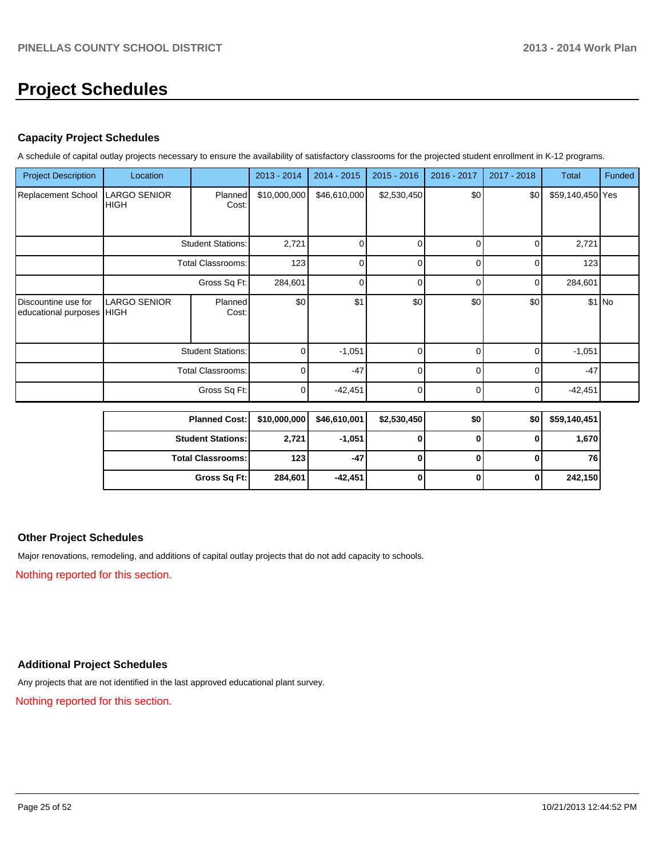# **Project Schedules**

#### **Capacity Project Schedules**

A schedule of capital outlay projects necessary to ensure the availability of satisfactory classrooms for the projected student enrollment in K-12 programs.

| <b>Project Description</b>                       | Location                           |                         | 2013 - 2014  | 2014 - 2015  | $2015 - 2016$ | 2016 - 2017 | 2017 - 2018 | <b>Total</b>     | Funded  |
|--------------------------------------------------|------------------------------------|-------------------------|--------------|--------------|---------------|-------------|-------------|------------------|---------|
| Replacement School                               | <b>LARGO SENIOR</b><br><b>HIGH</b> | Planned<br>Cost:        | \$10,000,000 | \$46,610,000 | \$2,530,450   | \$0         | \$0         | \$59,140,450 Yes |         |
|                                                  | <b>Student Stations:</b>           |                         | 2,721        | n            |               | ∩           | U           | 2,721            |         |
|                                                  | <b>Total Classrooms:</b>           |                         | 123          | U            | U             | ∩           | U           | 123              |         |
|                                                  | Gross Sq Ft:                       |                         | 284,601      | n            | C             | n           | 0           | 284,601          |         |
| Discountine use for<br>educational purposes HIGH | <b>LARGO SENIOR</b>                | <b>Planned</b><br>Cost: | \$0          | \$1          | \$0           | \$0         | \$0         |                  | $$1$ No |
|                                                  | <b>Student Stations:</b>           |                         | 0            | $-1,051$     | $\Omega$      |             | 0           | $-1,051$         |         |
|                                                  | <b>Total Classrooms:</b>           |                         | 0            | $-47$        | 0             | ŋ           | U           | $-47$            |         |
|                                                  |                                    | Gross Sq Ft:            | 0            | $-42,451$    | $\Omega$      |             | 0           | $-42,451$        |         |

| <b>Planned Cost:</b>     |         | $$10,000,000$ $$46,610,001$ | \$2,530,450 | \$0 | \$0 | \$59,140,451 |
|--------------------------|---------|-----------------------------|-------------|-----|-----|--------------|
| <b>Student Stations:</b> | 2,721   | $-1,051$                    |             |     |     | 1,670        |
| <b>Total Classrooms:</b> | 123     | $-47$                       |             |     |     | 761          |
| Gross Sq Ft:             | 284,601 | $-42,451$                   |             |     |     | 242,150      |

#### **Other Project Schedules**

Major renovations, remodeling, and additions of capital outlay projects that do not add capacity to schools.

Nothing reported for this section.

#### **Additional Project Schedules**

Any projects that are not identified in the last approved educational plant survey.

Nothing reported for this section.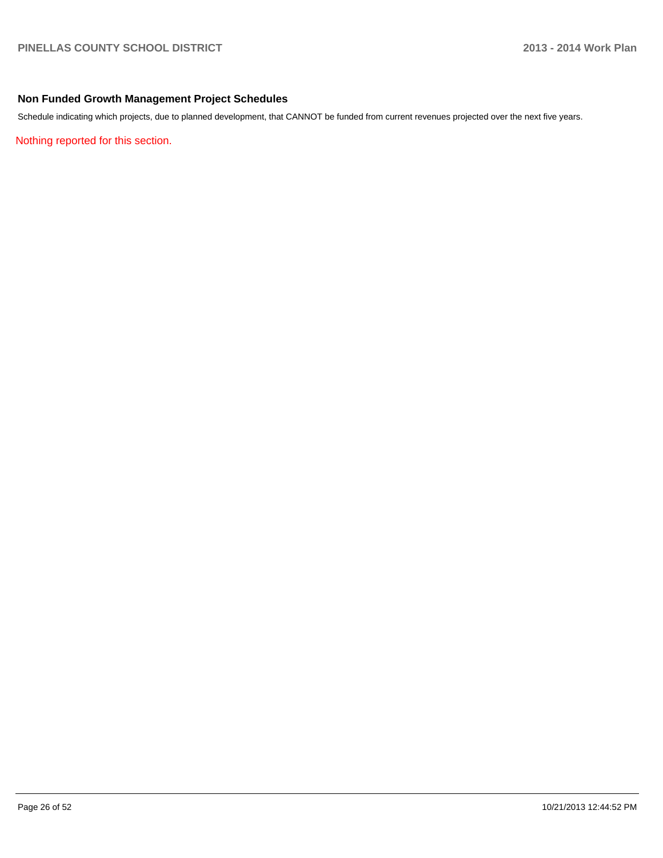#### **Non Funded Growth Management Project Schedules**

Schedule indicating which projects, due to planned development, that CANNOT be funded from current revenues projected over the next five years.

Nothing reported for this section.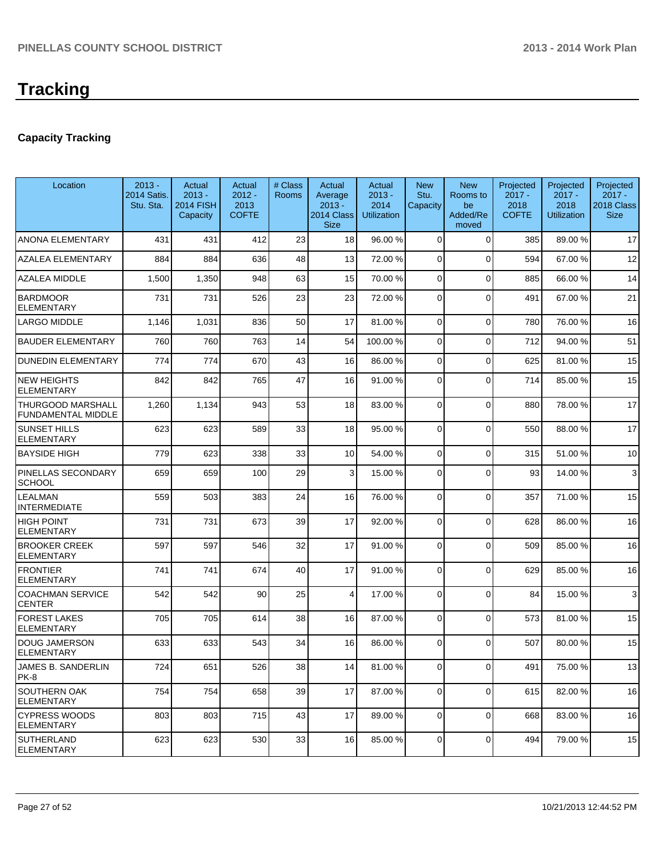# **Capacity Tracking**

| Location                                              | $2013 -$<br>2014 Satis.<br>Stu. Sta. | Actual<br>$2013 -$<br><b>2014 FISH</b><br>Capacity | Actual<br>$2012 -$<br>2013<br><b>COFTE</b> | # Class<br><b>Rooms</b> | Actual<br>Average<br>$2013 -$<br>2014 Class<br><b>Size</b> | Actual<br>$2013 -$<br>2014<br><b>Utilization</b> | <b>New</b><br>Stu.<br>Capacity | <b>New</b><br>Rooms to<br>be<br>Added/Re<br>moved | Projected<br>$2017 -$<br>2018<br><b>COFTE</b> | Projected<br>$2017 -$<br>2018<br><b>Utilization</b> | Projected<br>$2017 -$<br>2018 Class<br><b>Size</b> |
|-------------------------------------------------------|--------------------------------------|----------------------------------------------------|--------------------------------------------|-------------------------|------------------------------------------------------------|--------------------------------------------------|--------------------------------|---------------------------------------------------|-----------------------------------------------|-----------------------------------------------------|----------------------------------------------------|
| <b>ANONA ELEMENTARY</b>                               | 431                                  | 431                                                | 412                                        | 23                      | 18                                                         | 96.00 %                                          | $\Omega$                       | $\Omega$                                          | 385                                           | 89.00 %                                             | 17                                                 |
| <b>AZALEA ELEMENTARY</b>                              | 884                                  | 884                                                | 636                                        | 48                      | 13                                                         | 72.00 %                                          | $\Omega$                       | $\Omega$                                          | 594                                           | 67.00%                                              | 12                                                 |
| <b>AZALEA MIDDLE</b>                                  | 1,500                                | 1,350                                              | 948                                        | 63                      | 15                                                         | 70.00 %                                          | $\overline{0}$                 | $\Omega$                                          | 885                                           | 66.00 %                                             | 14                                                 |
| <b>BARDMOOR</b><br><b>ELEMENTARY</b>                  | 731                                  | 731                                                | 526                                        | 23                      | 23                                                         | 72.00 %                                          | 0                              | $\Omega$                                          | 491                                           | 67.00%                                              | 21                                                 |
| <b>LARGO MIDDLE</b>                                   | 1,146                                | 1,031                                              | 836                                        | 50                      | 17                                                         | 81.00 %                                          | 0                              | $\Omega$                                          | 780                                           | 76.00 %                                             | 16                                                 |
| <b>BAUDER ELEMENTARY</b>                              | 760                                  | 760                                                | 763                                        | 14                      | 54                                                         | 100.00 %                                         | 0                              | $\Omega$                                          | 712                                           | 94.00%                                              | 51                                                 |
| <b>DUNEDIN ELEMENTARY</b>                             | 774                                  | 774                                                | 670                                        | 43                      | 16                                                         | 86.00 %                                          | 0                              | $\Omega$                                          | 625                                           | 81.00%                                              | 15                                                 |
| <b>NEW HEIGHTS</b><br><b>ELEMENTARY</b>               | 842                                  | 842                                                | 765                                        | 47                      | 16                                                         | 91.00 %                                          | 0                              | $\Omega$                                          | 714                                           | 85.00 %                                             | 15                                                 |
| <b>THURGOOD MARSHALL</b><br><b>FUNDAMENTAL MIDDLE</b> | 1,260                                | 1,134                                              | 943                                        | 53                      | 18                                                         | 83.00 %                                          | $\Omega$                       | $\Omega$                                          | 880                                           | 78.00 %                                             | 17                                                 |
| <b>SUNSET HILLS</b><br><b>ELEMENTARY</b>              | 623                                  | 623                                                | 589                                        | 33                      | 18                                                         | 95.00 %                                          | $\overline{0}$                 | $\Omega$                                          | 550                                           | 88.00%                                              | 17                                                 |
| <b>BAYSIDE HIGH</b>                                   | 779                                  | 623                                                | 338                                        | 33                      | 10 <sup>1</sup>                                            | 54.00 %                                          | $\Omega$                       | $\Omega$                                          | 315                                           | 51.00%                                              | 10                                                 |
| PINELLAS SECONDARY<br><b>SCHOOL</b>                   | 659                                  | 659                                                | 100                                        | 29                      | $\overline{3}$                                             | 15.00 %                                          | $\Omega$                       | $\Omega$                                          | 93                                            | 14.00 %                                             | 3                                                  |
| <b>LEALMAN</b><br><b>INTERMEDIATE</b>                 | 559                                  | 503                                                | 383                                        | 24                      | 16                                                         | 76.00 %                                          | $\Omega$                       | $\Omega$                                          | 357                                           | 71.00%                                              | 15                                                 |
| <b>HIGH POINT</b><br><b>ELEMENTARY</b>                | 731                                  | 731                                                | 673                                        | 39                      | 17                                                         | 92.00 %                                          | $\Omega$                       | $\Omega$                                          | 628                                           | 86.00 %                                             | 16                                                 |
| <b>BROOKER CREEK</b><br><b>ELEMENTARY</b>             | 597                                  | 597                                                | 546                                        | 32                      | 17                                                         | 91.00 %                                          | $\overline{0}$                 | $\Omega$                                          | 509                                           | 85.00 %                                             | 16                                                 |
| <b>FRONTIER</b><br><b>ELEMENTARY</b>                  | 741                                  | 741                                                | 674                                        | 40                      | 17                                                         | 91.00 %                                          | 0                              | $\Omega$                                          | 629                                           | 85.00 %                                             | 16                                                 |
| <b>COACHMAN SERVICE</b><br><b>CENTER</b>              | 542                                  | 542                                                | 90                                         | 25                      | 4                                                          | 17.00 %                                          | 0                              | $\Omega$                                          | 84                                            | 15.00 %                                             | 3                                                  |
| <b>FOREST LAKES</b><br><b>ELEMENTARY</b>              | 705                                  | 705                                                | 614                                        | 38                      | 16                                                         | 87.00 %                                          | 0                              | $\Omega$                                          | 573                                           | 81.00%                                              | 15                                                 |
| <b>DOUG JAMERSON</b><br><b>ELEMENTARY</b>             | 633                                  | 633                                                | 543                                        | 34                      | 16                                                         | 86.00 %                                          | $\overline{0}$                 | $\Omega$                                          | 507                                           | 80.00 %                                             | 15                                                 |
| JAMES B. SANDERLIN<br>PK-8                            | 724                                  | 651                                                | 526                                        | 38                      | 14 <sup>1</sup>                                            | 81.00 %                                          | $\overline{0}$                 | $\overline{0}$                                    | 491                                           | 75.00 %                                             | 13                                                 |
| <b>SOUTHERN OAK</b><br><b>ELEMENTARY</b>              | 754                                  | 754                                                | 658                                        | 39                      | 17                                                         | 87.00 %                                          | 0                              | $\Omega$                                          | 615                                           | 82.00 %                                             | 16                                                 |
| <b>CYPRESS WOODS</b><br><b>ELEMENTARY</b>             | 803                                  | 803                                                | 715                                        | 43                      | 17                                                         | 89.00 %                                          | 0                              | $\mathbf 0$                                       | 668                                           | 83.00 %                                             | 16                                                 |
| <b>SUTHERLAND</b><br><b>ELEMENTARY</b>                | 623                                  | 623                                                | 530                                        | 33                      | 16                                                         | 85.00 %                                          | $\overline{0}$                 | $\overline{0}$                                    | 494                                           | 79.00 %                                             | 15                                                 |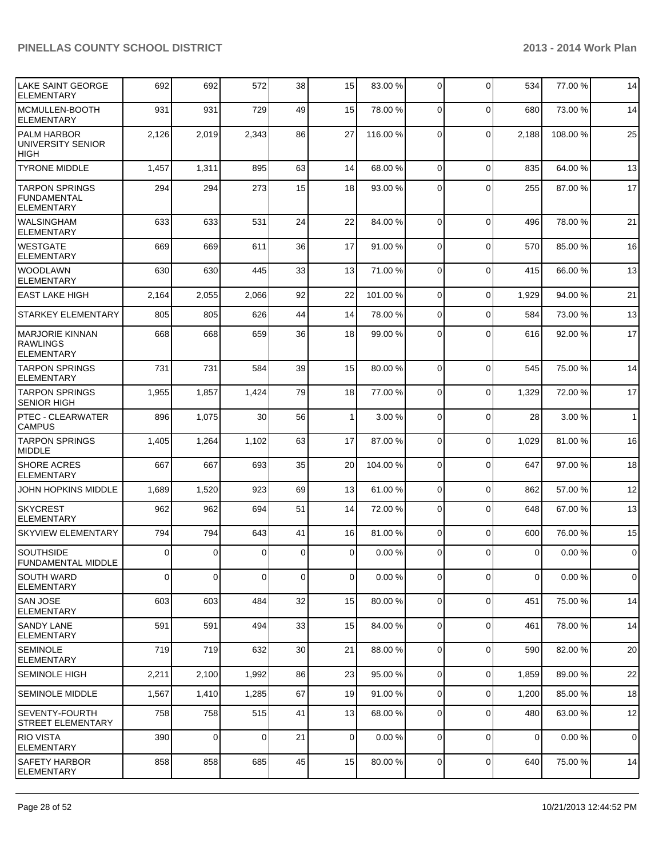| LAKE SAINT GEORGE<br><b>ELEMENTARY</b>                         | 692         | 692            | 572            | 38              | 15             | 83.00 %  | 0              | $\Omega$    | 534            | 77.00 % | 14             |
|----------------------------------------------------------------|-------------|----------------|----------------|-----------------|----------------|----------|----------------|-------------|----------------|---------|----------------|
| MCMULLEN-BOOTH<br><b>ELEMENTARY</b>                            | 931         | 931            | 729            | 49              | 15             | 78.00 %  | $\Omega$       | $\Omega$    | 680            | 73.00 % | 14             |
| <b>PALM HARBOR</b><br>UNIVERSITY SENIOR<br><b>HIGH</b>         | 2,126       | 2,019          | 2,343          | 86              | 27             | 116.00 % | $\Omega$       | $\mathbf 0$ | 2,188          | 108.00% | 25             |
| <b>TYRONE MIDDLE</b>                                           | 1,457       | 1,311          | 895            | 63              | 14             | 68.00 %  | $\Omega$       | $\mathbf 0$ | 835            | 64.00%  | 13             |
| <b>TARPON SPRINGS</b><br>FUNDAMENTAL<br><b>ELEMENTARY</b>      | 294         | 294            | 273            | 15              | 18             | 93.00 %  | $\Omega$       | $\Omega$    | 255            | 87.00 % | 17             |
| <b>WALSINGHAM</b><br><b>ELEMENTARY</b>                         | 633         | 633            | 531            | 24              | 22             | 84.00 %  | $\Omega$       | $\Omega$    | 496            | 78.00 % | 21             |
| <b>WESTGATE</b><br><b>ELEMENTARY</b>                           | 669         | 669            | 611            | 36              | 17             | 91.00 %  | $\Omega$       | $\Omega$    | 570            | 85.00 % | 16             |
| <b>WOODLAWN</b><br><b>ELEMENTARY</b>                           | 630         | 630            | 445            | 33              | 13             | 71.00 %  | $\Omega$       | $\Omega$    | 415            | 66.00 % | 13             |
| <b>EAST LAKE HIGH</b>                                          | 2,164       | 2,055          | 2,066          | 92              | 22             | 101.00%  | $\Omega$       | $\Omega$    | 1,929          | 94.00%  | 21             |
| <b>STARKEY ELEMENTARY</b>                                      | 805         | 805            | 626            | 44              | 14             | 78.00 %  | $\Omega$       | $\Omega$    | 584            | 73.00 % | 13             |
| <b>MARJORIE KINNAN</b><br><b>RAWLINGS</b><br><b>ELEMENTARY</b> | 668         | 668            | 659            | 36              | 18             | 99.00 %  | $\Omega$       | $\Omega$    | 616            | 92.00%  | 17             |
| <b>TARPON SPRINGS</b><br><b>ELEMENTARY</b>                     | 731         | 731            | 584            | 39              | 15             | 80.00 %  | $\Omega$       | $\Omega$    | 545            | 75.00 % | 14             |
| <b>TARPON SPRINGS</b><br><b>SENIOR HIGH</b>                    | 1,955       | 1,857          | 1,424          | 79              | 18             | 77.00 %  | $\Omega$       | $\Omega$    | 1,329          | 72.00 % | 17             |
| <b>PTEC - CLEARWATER</b><br><b>CAMPUS</b>                      | 896         | 1,075          | 30             | 56              | 1              | 3.00 %   | $\Omega$       | $\Omega$    | 28             | 3.00 %  | $\mathbf{1}$   |
| <b>TARPON SPRINGS</b><br><b>MIDDLE</b>                         | 1,405       | 1,264          | 1,102          | 63              | 17             | 87.00 %  | $\Omega$       | $\Omega$    | 1,029          | 81.00%  | 16             |
| <b>SHORE ACRES</b><br><b>ELEMENTARY</b>                        | 667         | 667            | 693            | 35              | 20             | 104.00 % | $\Omega$       | $\Omega$    | 647            | 97.00%  | 18             |
| JOHN HOPKINS MIDDLE                                            | 1,689       | 1,520          | 923            | 69              | 13             | 61.00 %  | $\Omega$       | $\Omega$    | 862            | 57.00 % | 12             |
| <b>SKYCREST</b><br><b>ELEMENTARY</b>                           | 962         | 962            | 694            | 51              | 14             | 72.00 %  | $\overline{0}$ | $\Omega$    | 648            | 67.00%  | 13             |
| <b>SKYVIEW ELEMENTARY</b>                                      | 794         | 794            | 643            | 41              | 16             | 81.00 %  | $\overline{0}$ | $\Omega$    | 600            | 76.00 % | 15             |
| <b>SOUTHSIDE</b><br>FUNDAMENTAL MIDDLE                         | $\Omega$    | 0              | 0              | $\mathbf 0$     | $\Omega$       | 0.00%    | $\Omega$       | $\Omega$    | 0              | 0.00%   | $\overline{0}$ |
| <b>SOUTH WARD</b><br><b>ELEMENTARY</b>                         | $\mathbf 0$ | 0              | $\Omega$       | $\mathbf 0$     | $\overline{0}$ | 0.00%    | $\Omega$       | $\Omega$    | $\mathbf 0$    | 0.00%   | $\overline{0}$ |
| <b>SAN JOSE</b><br>ELEMENTARY                                  | 603         | 603            | 484            | 32              | 15             | 80.00 %  | $\overline{0}$ | $\mathbf 0$ | 451            | 75.00 % | 14             |
| <b>SANDY LANE</b><br><b>ELEMENTARY</b>                         | 591         | 591            | 494            | 33              | 15             | 84.00 %  | $\overline{0}$ | $\mathbf 0$ | 461            | 78.00%  | 14             |
| <b>SEMINOLE</b><br><b>ELEMENTARY</b>                           | 719         | 719            | 632            | 30 <sup>°</sup> | 21             | 88.00 %  | 0              | $\mathbf 0$ | 590            | 82.00 % | 20             |
| <b>SEMINOLE HIGH</b>                                           | 2,211       | 2,100          | 1,992          | 86              | 23             | 95.00 %  | $\overline{0}$ | $\mathbf 0$ | 1,859          | 89.00 % | 22             |
| <b>SEMINOLE MIDDLE</b>                                         | 1,567       | 1,410          | 1,285          | 67              | 19             | 91.00 %  | $\overline{0}$ | $\mathbf 0$ | 1,200          | 85.00 % | 18             |
| SEVENTY-FOURTH<br><b>STREET ELEMENTARY</b>                     | 758         | 758            | 515            | 41              | 13             | 68.00 %  | $\overline{0}$ | $\mathbf 0$ | 480            | 63.00 % | 12             |
| <b>RIO VISTA</b><br><b>ELEMENTARY</b>                          | 390         | $\overline{0}$ | $\overline{0}$ | 21              | $\overline{0}$ | 0.00 %   | $\overline{0}$ | $\mathbf 0$ | $\overline{0}$ | 0.00%   | $\overline{0}$ |
| <b>SAFETY HARBOR</b><br><b>ELEMENTARY</b>                      | 858         | 858            | 685            | 45              | 15             | 80.00 %  | 0              | $\mathbf 0$ | 640            | 75.00 % | 14             |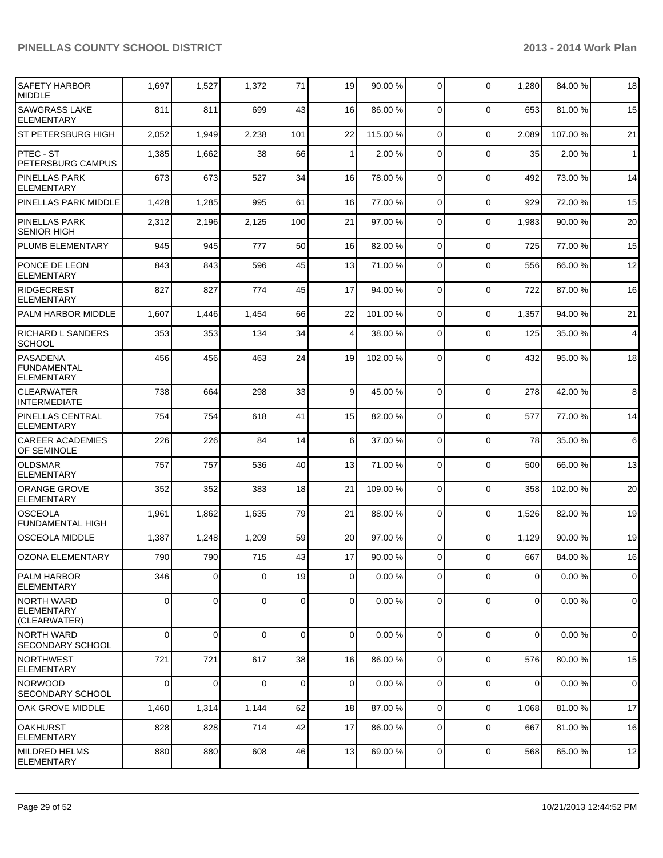| <b>SAFETY HARBOR</b><br><b>MIDDLE</b>                      | 1,697       | 1,527          | 1,372    | 71          | 19             | 90.00 %  | 0              | $\mathbf 0$ | 1,280          | 84.00 % | 18                      |
|------------------------------------------------------------|-------------|----------------|----------|-------------|----------------|----------|----------------|-------------|----------------|---------|-------------------------|
| <b>SAWGRASS LAKE</b><br><b>ELEMENTARY</b>                  | 811         | 811            | 699      | 43          | 16             | 86.00 %  | 0              | $\Omega$    | 653            | 81.00%  | 15                      |
| <b>ST PETERSBURG HIGH</b>                                  | 2,052       | 1,949          | 2,238    | 101         | 22             | 115.00 % | $\mathbf 0$    | $\mathbf 0$ | 2,089          | 107.00% | 21                      |
| <b>PTEC - ST</b><br><b>PETERSBURG CAMPUS</b>               | 1,385       | 1,662          | 38       | 66          | $\mathbf{1}$   | 2.00 %   | 0              | $\mathbf 0$ | 35             | 2.00%   | $\mathbf{1}$            |
| <b>PINELLAS PARK</b><br><b>ELEMENTARY</b>                  | 673         | 673            | 527      | 34          | 16             | 78.00 %  | $\mathbf 0$    | $\Omega$    | 492            | 73.00 % | 14                      |
| PINELLAS PARK MIDDLE                                       | 1,428       | 1,285          | 995      | 61          | 16             | 77.00 %  | $\mathbf 0$    | $\Omega$    | 929            | 72.00 % | 15                      |
| <b>PINELLAS PARK</b><br><b>SENIOR HIGH</b>                 | 2,312       | 2,196          | 2,125    | 100         | 21             | 97.00 %  | 0              | $\Omega$    | 1,983          | 90.00%  | 20                      |
| PLUMB ELEMENTARY                                           | 945         | 945            | 777      | 50          | 16             | 82.00 %  | $\mathbf 0$    | $\Omega$    | 725            | 77.00 % | 15                      |
| <b>PONCE DE LEON</b><br><b>ELEMENTARY</b>                  | 843         | 843            | 596      | 45          | 13             | 71.00 %  | 0              | $\Omega$    | 556            | 66.00 % | 12                      |
| <b>RIDGECREST</b><br><b>ELEMENTARY</b>                     | 827         | 827            | 774      | 45          | 17             | 94.00 %  | $\mathbf 0$    | $\Omega$    | 722            | 87.00 % | 16                      |
| <b>PALM HARBOR MIDDLE</b>                                  | 1,607       | 1,446          | 1,454    | 66          | 22             | 101.00 % | $\mathbf 0$    | $\Omega$    | 1,357          | 94.00 % | 21                      |
| <b>RICHARD L SANDERS</b><br><b>SCHOOL</b>                  | 353         | 353            | 134      | 34          | $\overline{4}$ | 38.00 %  | $\mathbf 0$    | $\Omega$    | 125            | 35.00 % | $\overline{\mathbf{4}}$ |
| <b>PASADENA</b><br><b>FUNDAMENTAL</b><br><b>ELEMENTARY</b> | 456         | 456            | 463      | 24          | 19             | 102.00%  | $\Omega$       | $\Omega$    | 432            | 95.00 % | 18                      |
| <b>CLEARWATER</b><br><b>INTERMEDIATE</b>                   | 738         | 664            | 298      | 33          | 9              | 45.00 %  | $\mathbf 0$    | $\Omega$    | 278            | 42.00%  | 8                       |
| PINELLAS CENTRAL<br><b>ELEMENTARY</b>                      | 754         | 754            | 618      | 41          | 15             | 82.00 %  | 0              | $\Omega$    | 577            | 77.00 % | 14                      |
| <b>CAREER ACADEMIES</b><br>OF SEMINOLE                     | 226         | 226            | 84       | 14          | 6              | 37.00 %  | $\Omega$       | $\Omega$    | 78             | 35.00 % | 6                       |
| OLDSMAR<br><b>ELEMENTARY</b>                               | 757         | 757            | 536      | 40          | 13             | 71.00 %  | $\mathbf 0$    | $\Omega$    | 500            | 66.00 % | 13                      |
| <b>ORANGE GROVE</b><br><b>ELEMENTARY</b>                   | 352         | 352            | 383      | 18          | 21             | 109.00 % | $\mathbf 0$    | $\Omega$    | 358            | 102.00% | 20                      |
| <b>OSCEOLA</b><br><b>FUNDAMENTAL HIGH</b>                  | 1,961       | 1,862          | 1,635    | 79          | 21             | 88.00 %  | 0              | $\Omega$    | 1,526          | 82.00 % | 19                      |
| <b>OSCEOLA MIDDLE</b>                                      | 1,387       | 1,248          | 1,209    | 59          | 20             | 97.00 %  | 0              | $\Omega$    | 1,129          | 90.00%  | 19                      |
| lOZONA ELEMENTARY                                          | 790         | 790            | 715      | 43          | 17             | 90.00 %  | $\overline{0}$ | $\Omega$    | 667            | 84.00 % | 16                      |
| <b>PALM HARBOR</b><br><b>ELEMENTARY</b>                    | 346         | $\overline{0}$ | $\Omega$ | 19          | 0              | 0.00%    | 0              | $\Omega$    | $\overline{0}$ | 0.00%   | $\mathbf 0$             |
| INORTH WARD<br><b>IELEMENTARY</b><br>(CLEARWATER)          | $\mathbf 0$ | $\overline{0}$ | 0        | $\mathbf 0$ | $\overline{0}$ | 0.00%    | $\mathbf 0$    | $\mathbf 0$ | $\overline{0}$ | 0.00%   | 0                       |
| NORTH WARD<br>SECONDARY SCHOOL                             | $\Omega$    | $\overline{0}$ | $\Omega$ | 0           | $\overline{0}$ | 0.00%    | $\mathbf 0$    | $\Omega$    | $\overline{0}$ | 0.00%   | $\Omega$                |
| INORTHWEST<br><b>ELEMENTARY</b>                            | 721         | 721            | 617      | 38          | 16             | 86.00 %  | $\overline{0}$ | 0           | 576            | 80.00%  | 15                      |
| <b>NORWOOD</b><br><b>SECONDARY SCHOOL</b>                  | $\mathbf 0$ | 0              | 0        | $\mathbf 0$ | 0              | 0.00%    | 0              | $\mathbf 0$ | 0              | 0.00%   | $\mathbf 0$             |
| OAK GROVE MIDDLE                                           | 1,460       | 1,314          | 1,144    | 62          | 18             | 87.00 %  | 0              | $\mathbf 0$ | 1,068          | 81.00%  | 17                      |
| <b>OAKHURST</b><br><b>ELEMENTARY</b>                       | 828         | 828            | 714      | 42          | 17             | 86.00 %  | 0              | $\mathbf 0$ | 667            | 81.00 % | 16                      |
| MILDRED HELMS<br>ELEMENTARY                                | 880         | 880            | 608      | 46          | 13             | 69.00 %  | 0              | $\mathbf 0$ | 568            | 65.00 % | 12                      |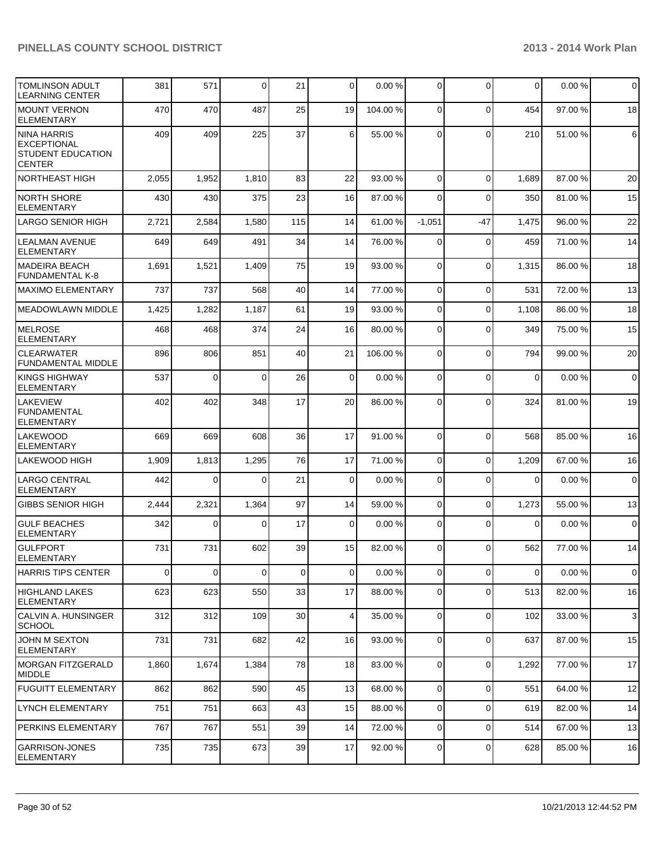| TOMLINSON ADULT<br><b>LEARNING CENTER</b>                               | 381         | 571      | $\overline{0}$ | 21  | $\overline{0}$ | 0.00%    | $\overline{0}$ | $\mathbf 0$ | $\overline{0}$ | 0.00%   | $\overline{0}$ |
|-------------------------------------------------------------------------|-------------|----------|----------------|-----|----------------|----------|----------------|-------------|----------------|---------|----------------|
| MOUNT VERNON<br>ELEMENTARY                                              | 470         | 470      | 487            | 25  | 19             | 104.00 % | $\Omega$       | $\mathbf 0$ | 454            | 97.00 % | 18             |
| NINA HARRIS<br>EXCEPTIONAL<br><b>STUDENT EDUCATION</b><br><b>CENTER</b> | 409         | 409      | 225            | 37  | 6 <sup>1</sup> | 55.00 %  | $\Omega$       | $\Omega$    | 210            | 51.00 % | $6 \,$         |
| NORTHEAST HIGH                                                          | 2,055       | 1,952    | 1,810          | 83  | 22             | 93.00 %  | $\Omega$       | $\Omega$    | 1,689          | 87.00 % | 20             |
| INORTH SHORE<br>ELEMENTARY                                              | 430         | 430      | 375            | 23  | 16             | 87.00 %  | $\Omega$       | $\Omega$    | 350            | 81.00%  | 15             |
| LARGO SENIOR HIGH                                                       | 2,721       | 2,584    | 1,580          | 115 | 14             | 61.00 %  | $-1,051$       | $-47$       | 1,475          | 96.00%  | 22             |
| LEALMAN AVENUE<br><b>ELEMENTARY</b>                                     | 649         | 649      | 491            | 34  | 14             | 76.00 %  | $\Omega$       | $\mathbf 0$ | 459            | 71.00%  | 14             |
| MADEIRA BEACH<br><b>FUNDAMENTAL K-8</b>                                 | 1,691       | 1,521    | 1,409          | 75  | 19             | 93.00 %  | $\Omega$       | $\mathbf 0$ | 1,315          | 86.00 % | 18             |
| IMAXIMO ELEMENTARY                                                      | 737         | 737      | 568            | 40  | 14             | 77.00 %  | $\Omega$       | $\Omega$    | 531            | 72.00 % | 13             |
| MEADOWLAWN MIDDLE                                                       | 1,425       | 1,282    | 1,187          | 61  | 19             | 93.00 %  | $\Omega$       | $\mathbf 0$ | 1,108          | 86.00 % | 18             |
| <b>MELROSE</b><br>ELEMENTARY                                            | 468         | 468      | 374            | 24  | 16             | 80.00 %  | $\Omega$       | $\Omega$    | 349            | 75.00 % | 15             |
| <b>CLEARWATER</b><br><b>FUNDAMENTAL MIDDLE</b>                          | 896         | 806      | 851            | 40  | 21             | 106.00 % | $\Omega$       | $\Omega$    | 794            | 99.00 % | 20             |
| KINGS HIGHWAY<br><b>ELEMENTARY</b>                                      | 537         | 0        | $\Omega$       | 26  | $\overline{0}$ | 0.00%    | $\Omega$       | $\Omega$    | $\mathbf 0$    | 0.00%   | $\mathbf 0$    |
| <b>LAKEVIEW</b><br>l FUNDAMENTAL<br>ELEMENTARY                          | 402         | 402      | 348            | 17  | 20             | 86.00 %  | $\Omega$       | $\Omega$    | 324            | 81.00%  | 19             |
| <b>LAKEWOOD</b><br><b>ELEMENTARY</b>                                    | 669         | 669      | 608            | 36  | 17             | 91.00 %  | $\Omega$       | $\Omega$    | 568            | 85.00 % | 16             |
| LAKEWOOD HIGH                                                           | 1,909       | 1,813    | 1,295          | 76  | 17             | 71.00 %  | $\Omega$       | $\Omega$    | 1,209          | 67.00%  | 16             |
| <b>LARGO CENTRAL</b><br><b>ELEMENTARY</b>                               | 442         | $\Omega$ | $\Omega$       | 21  | $\Omega$       | 0.00%    | $\Omega$       | $\Omega$    | $\mathbf 0$    | 0.00%   | $\overline{0}$ |
| <b>GIBBS SENIOR HIGH</b>                                                | 2,444       | 2,321    | 1,364          | 97  | 14             | 59.00 %  | $\overline{0}$ | $\mathbf 0$ | 1,273          | 55.00 % | 13             |
| <b>GULF BEACHES</b><br>ELEMENTARY                                       | 342         | 0        | $\Omega$       | 17  | $\overline{0}$ | 0.00%    | $\overline{0}$ | $\Omega$    | 0              | 0.00%   | $\overline{0}$ |
| IGULFPORT<br>ELEMENTARY                                                 | 731         | 731      | 602            | 39  | 15             | 82.00 %  | $\overline{0}$ | $\Omega$    | 562            | 77.00 % | 14             |
| HARRIS TIPS CENTER                                                      | $\mathbf 0$ | 0        | $\overline{0}$ | 0   | $\overline{0}$ | 0.00%    | $\overline{0}$ | 0           | $\overline{0}$ | 0.00%   | $\overline{0}$ |
| HIGHLAND LAKES<br><b>ELEMENTARY</b>                                     | 623         | 623      | 550            | 33  | 17             | 88.00 %  | $\overline{0}$ | 0           | 513            | 82.00 % | 16             |
| CALVIN A. HUNSINGER<br><b>SCHOOL</b>                                    | 312         | 312      | 109            | 30  | $\overline{4}$ | 35.00 %  | $\overline{0}$ | $\mathbf 0$ | 102            | 33.00 % | $\mathbf{3}$   |
| JOHN M SEXTON<br><b>ELEMENTARY</b>                                      | 731         | 731      | 682            | 42  | 16             | 93.00 %  | $\overline{0}$ | 0           | 637            | 87.00 % | 15             |
| IMORGAN FITZGERALD<br>MIDDLE                                            | 1,860       | 1,674    | 1,384          | 78  | 18             | 83.00 %  | $\overline{0}$ | 0           | 1,292          | 77.00 % | 17             |
| <b>FUGUITT ELEMENTARY</b>                                               | 862         | 862      | 590            | 45  | 13             | 68.00 %  | $\overline{0}$ | 0           | 551            | 64.00 % | 12             |
| LYNCH ELEMENTARY                                                        | 751         | 751      | 663            | 43  | 15             | 88.00 %  | $\overline{0}$ | 0           | 619            | 82.00 % | 14             |
| PERKINS ELEMENTARY                                                      | 767         | 767      | 551            | 39  | 14             | 72.00 %  | $\overline{0}$ | 0           | 514            | 67.00 % | 13             |
| <b>GARRISON-JONES</b><br><b>ELEMENTARY</b>                              | 735         | 735      | 673            | 39  | 17             | 92.00 %  | $\overline{0}$ | 0           | 628            | 85.00 % | 16             |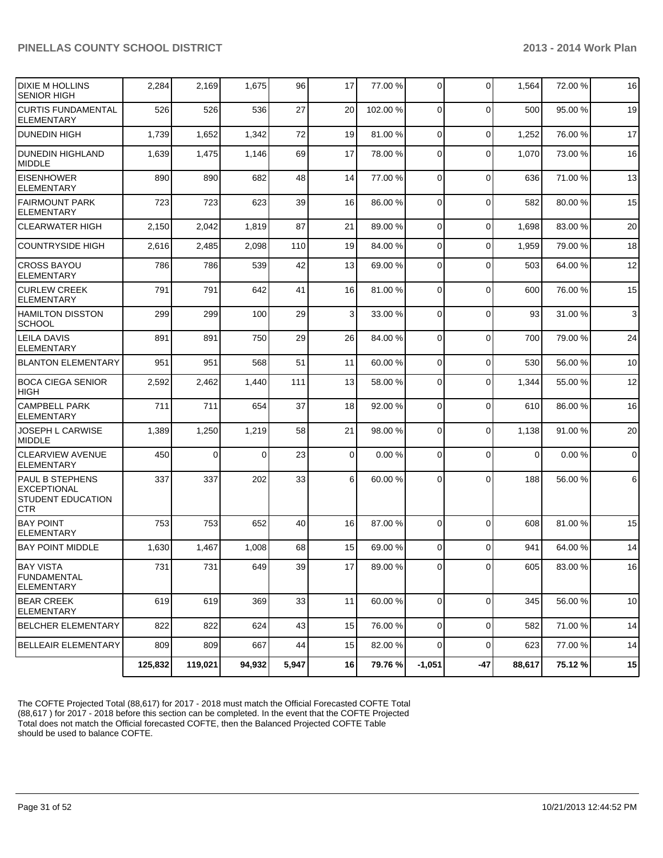| <b>DIXIE M HOLLINS</b><br><b>SENIOR HIGH</b>                                    | 2,284   | 2,169   | 1,675    | 96    | 17             | 77.00 %  | $\overline{0}$ | $\Omega$       | 1,564       | 72.00 % | 16             |
|---------------------------------------------------------------------------------|---------|---------|----------|-------|----------------|----------|----------------|----------------|-------------|---------|----------------|
| <b>CURTIS FUNDAMENTAL</b><br><b>ELEMENTARY</b>                                  | 526     | 526     | 536      | 27    | 20             | 102.00 % | $\Omega$       | $\Omega$       | 500         | 95.00 % | 19             |
| <b>DUNEDIN HIGH</b>                                                             | 1,739   | 1,652   | 1,342    | 72    | 19             | 81.00 %  | $\Omega$       | $\Omega$       | 1,252       | 76.00 % | 17             |
| <b>DUNEDIN HIGHLAND</b><br><b>MIDDLE</b>                                        | 1,639   | 1,475   | 1,146    | 69    | 17             | 78.00 %  | $\Omega$       | $\Omega$       | 1,070       | 73.00 % | 16             |
| <b>EISENHOWER</b><br><b>ELEMENTARY</b>                                          | 890     | 890     | 682      | 48    | 14             | 77.00 %  | $\Omega$       | $\Omega$       | 636         | 71.00%  | 13             |
| <b>FAIRMOUNT PARK</b><br><b>ELEMENTARY</b>                                      | 723     | 723     | 623      | 39    | 16             | 86.00 %  | $\Omega$       | $\Omega$       | 582         | 80.00%  | 15             |
| <b>CLEARWATER HIGH</b>                                                          | 2,150   | 2,042   | 1,819    | 87    | 21             | 89.00 %  | $\overline{0}$ | $\mathbf 0$    | 1,698       | 83.00 % | 20             |
| <b>COUNTRYSIDE HIGH</b>                                                         | 2,616   | 2,485   | 2,098    | 110   | 19             | 84.00 %  | $\overline{0}$ | $\mathbf 0$    | 1,959       | 79.00 % | 18             |
| <b>CROSS BAYOU</b><br><b>ELEMENTARY</b>                                         | 786     | 786     | 539      | 42    | 13             | 69.00 %  | $\Omega$       | $\Omega$       | 503         | 64.00%  | 12             |
| <b>CURLEW CREEK</b><br><b>ELEMENTARY</b>                                        | 791     | 791     | 642      | 41    | 16             | 81.00%   | $\Omega$       | $\Omega$       | 600         | 76.00 % | 15             |
| <b>HAMILTON DISSTON</b><br><b>SCHOOL</b>                                        | 299     | 299     | 100      | 29    | 3 <sup>1</sup> | 33.00 %  | $\Omega$       | $\Omega$       | 93          | 31.00 % | $\mathbf{3}$   |
| <b>LEILA DAVIS</b><br><b>ELEMENTARY</b>                                         | 891     | 891     | 750      | 29    | 26             | 84.00 %  | $\Omega$       | $\Omega$       | 700         | 79.00 % | 24             |
| <b>BLANTON ELEMENTARY</b>                                                       | 951     | 951     | 568      | 51    | 11             | 60.00 %  | $\overline{0}$ | $\mathbf 0$    | 530         | 56.00 % | 10             |
| BOCA CIEGA SENIOR<br><b>HIGH</b>                                                | 2,592   | 2,462   | 1,440    | 111   | 13             | 58.00 %  | $\Omega$       | $\Omega$       | 1,344       | 55.00 % | 12             |
| <b>CAMPBELL PARK</b><br><b>ELEMENTARY</b>                                       | 711     | 711     | 654      | 37    | 18             | 92.00 %  | $\Omega$       | $\Omega$       | 610         | 86.00%  | 16             |
| JOSEPH L CARWISE<br><b>MIDDLE</b>                                               | 1,389   | 1,250   | 1,219    | 58    | 21             | 98.00 %  | $\overline{0}$ | $\Omega$       | 1,138       | 91.00 % | 20             |
| <b>CLEARVIEW AVENUE</b><br><b>ELEMENTARY</b>                                    | 450     | 0       | $\Omega$ | 23    | $\overline{0}$ | 0.00%    | $\Omega$       | $\Omega$       | $\mathbf 0$ | 0.00%   | $\overline{0}$ |
| <b>PAUL B STEPHENS</b><br>EXCEPTIONAL<br><b>STUDENT EDUCATION</b><br><b>CTR</b> | 337     | 337     | 202      | 33    | 6              | 60.00 %  | $\Omega$       | $\Omega$       | 188         | 56.00 % | 6              |
| <b>BAY POINT</b><br><b>ELEMENTARY</b>                                           | 753     | 753     | 652      | 40    | 16             | 87.00 %  | $\Omega$       | $\Omega$       | 608         | 81.00%  | 15             |
| <b>BAY POINT MIDDLE</b>                                                         | 1,630   | 1,467   | 1,008    | 68    | 15             | 69.00 %  | $\overline{0}$ | $\Omega$       | 941         | 64.00 % | 14             |
| BAY VISTA<br><b>FUNDAMENTAL</b><br>ELEMENTARY                                   | 731     | 731     | 649      | 39    | 17             | 89.00 %  | 01             | $\overline{0}$ | 605         | 83.00 % | 16             |
| <b>BEAR CREEK</b><br><b>ELEMENTARY</b>                                          | 619     | 619     | 369      | 33    | 11             | 60.00 %  | $\Omega$       | $\mathbf 0$    | 345         | 56.00 % | 10             |
| <b>BELCHER ELEMENTARY</b>                                                       | 822     | 822     | 624      | 43    | 15             | 76.00 %  | $\overline{0}$ | $\mathbf 0$    | 582         | 71.00 % | 14             |
| <b>BELLEAIR ELEMENTARY</b>                                                      | 809     | 809     | 667      | 44    | 15             | 82.00 %  | $\overline{0}$ | $\mathbf 0$    | 623         | 77.00 % | 14             |
|                                                                                 | 125,832 | 119,021 | 94,932   | 5,947 | 16             | 79.76 %  | $-1,051$       | $-47$          | 88,617      | 75.12%  | 15             |

The COFTE Projected Total (88,617) for 2017 - 2018 must match the Official Forecasted COFTE Total (88,617 ) for 2017 - 2018 before this section can be completed. In the event that the COFTE Projected Total does not match the Official forecasted COFTE, then the Balanced Projected COFTE Table should be used to balance COFTE.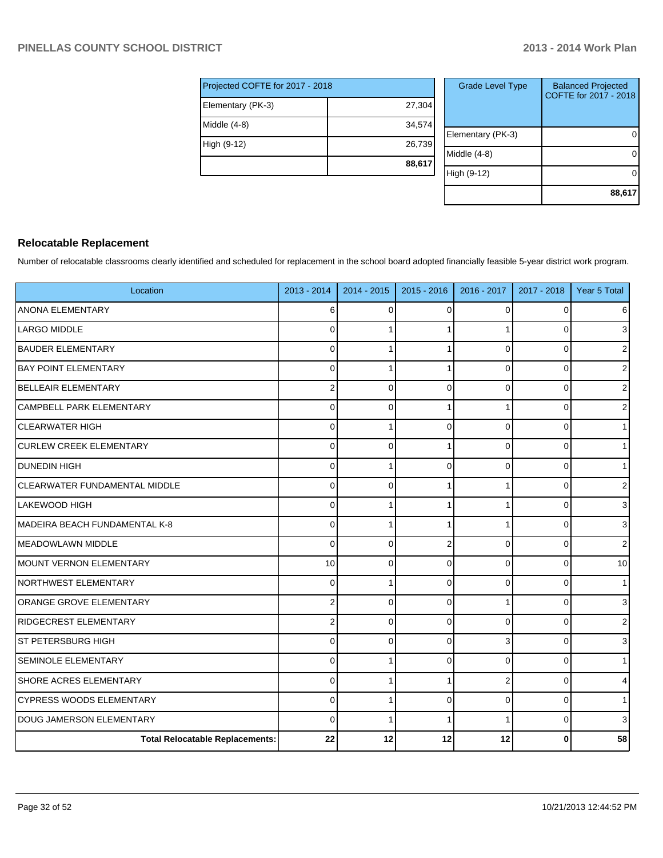| Projected COFTE for 2017 - 2018 |        |
|---------------------------------|--------|
| Elementary (PK-3)               | 27,304 |
| Middle (4-8)                    | 34,574 |
| High (9-12)                     | 26,739 |
|                                 | 88,617 |

| <b>Grade Level Type</b> | <b>Balanced Projected</b><br>COFTE for 2017 - 2018 |
|-------------------------|----------------------------------------------------|
| Elementary (PK-3)       |                                                    |
| Middle $(4-8)$          |                                                    |
| High (9-12)             |                                                    |
|                         | 88,617                                             |

#### **Relocatable Replacement**

Number of relocatable classrooms clearly identified and scheduled for replacement in the school board adopted financially feasible 5-year district work program.

| Location                               | 2013 - 2014    | $2014 - 2015$ | $2015 - 2016$ | 2016 - 2017 | 2017 - 2018 | Year 5 Total   |
|----------------------------------------|----------------|---------------|---------------|-------------|-------------|----------------|
| ANONA ELEMENTARY                       | 6              | $\Omega$      | 0             | $\Omega$    | 0           | 6              |
| <b>LARGO MIDDLE</b>                    | 0              |               |               |             | $\Omega$    | 3              |
| <b>BAUDER ELEMENTARY</b>               | $\Omega$       |               |               | 0           | 0           | 2              |
| <b>BAY POINT ELEMENTARY</b>            | $\Omega$       |               |               | $\Omega$    | $\Omega$    | $\overline{2}$ |
| <b>BELLEAIR ELEMENTARY</b>             | $\overline{2}$ | $\Omega$      | $\Omega$      | $\Omega$    | $\Omega$    | $\overline{2}$ |
| CAMPBELL PARK ELEMENTARY               | $\Omega$       | $\Omega$      |               |             | 0           | $\overline{2}$ |
| <b>CLEARWATER HIGH</b>                 | $\Omega$       |               | 0             | $\Omega$    | 0           | 1 <sup>1</sup> |
| <b>CURLEW CREEK ELEMENTARY</b>         | 0              | $\Omega$      |               | 0           | $\Omega$    | 1              |
| <b>DUNEDIN HIGH</b>                    | 0              |               | $\Omega$      | $\Omega$    | 0           | 1              |
| CLEARWATER FUNDAMENTAL MIDDLE          | $\Omega$       | $\Omega$      |               | 1           | $\Omega$    | $\overline{2}$ |
| LAKEWOOD HIGH                          | $\Omega$       |               |               |             | 0           | 3              |
| MADEIRA BEACH FUNDAMENTAL K-8          | $\mathbf 0$    |               |               | 1           | 0           | $\overline{3}$ |
| MEADOWLAWN MIDDLE                      | $\mathbf 0$    | $\Omega$      | 2             | 0           | $\Omega$    | $\overline{2}$ |
| MOUNT VERNON ELEMENTARY                | 10             | $\Omega$      | $\Omega$      | 0           | 0           | 10             |
| INORTHWEST ELEMENTARY                  | $\Omega$       |               | $\Omega$      | $\Omega$    | $\Omega$    | 1              |
| ORANGE GROVE ELEMENTARY                | $\overline{2}$ | $\Omega$      | $\Omega$      |             | $\Omega$    | 3 <sup>1</sup> |
| RIDGECREST ELEMENTARY                  | 2              | $\Omega$      | 0             | $\Omega$    | 0           | $\mathsf{2}$   |
| ST PETERSBURG HIGH                     | $\Omega$       | $\Omega$      | 0             | 3           | 0           | $\overline{3}$ |
| <b>SEMINOLE ELEMENTARY</b>             | $\Omega$       |               | 0             | 0           | $\Omega$    | 1              |
| SHORE ACRES ELEMENTARY                 | $\Omega$       |               |               | 2           | $\Omega$    | $\overline{4}$ |
| <b>CYPRESS WOODS ELEMENTARY</b>        | $\Omega$       |               | $\Omega$      | $\Omega$    | $\Omega$    | 1              |
| DOUG JAMERSON ELEMENTARY               | $\Omega$       |               |               |             | 0           | 3              |
| <b>Total Relocatable Replacements:</b> | 22             | 12            | 12            | 12          | 0           | 58             |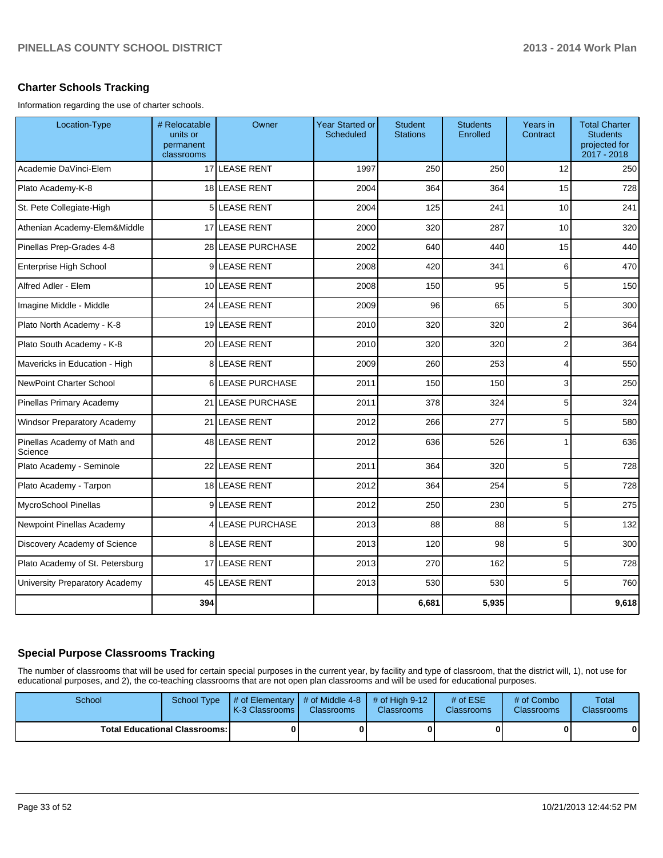#### **Charter Schools Tracking**

Information regarding the use of charter schools.

| Location-Type                           | # Relocatable<br>units or<br>permanent<br>classrooms | Owner                 | <b>Year Started or</b><br><b>Scheduled</b> | <b>Student</b><br><b>Stations</b> | <b>Students</b><br>Enrolled | Years in<br>Contract | <b>Total Charter</b><br><b>Students</b><br>projected for<br>2017 - 2018 |
|-----------------------------------------|------------------------------------------------------|-----------------------|--------------------------------------------|-----------------------------------|-----------------------------|----------------------|-------------------------------------------------------------------------|
| Academie DaVinci-Elem                   |                                                      | 17 LEASE RENT         | 1997                                       | 250                               | 250                         | 12                   | 250                                                                     |
| Plato Academy-K-8                       |                                                      | 18 LEASE RENT         | 2004                                       | 364                               | 364                         | 15                   | 728                                                                     |
| St. Pete Collegiate-High                |                                                      | 5 LEASE RENT          | 2004                                       | 125                               | 241                         | 10                   | 241                                                                     |
| Athenian Academy-Elem&Middle            |                                                      | 17 LEASE RENT         | 2000                                       | 320                               | 287                         | 10                   | 320                                                                     |
| Pinellas Prep-Grades 4-8                |                                                      | 28 LEASE PURCHASE     | 2002                                       | 640                               | 440                         | 15                   | 440                                                                     |
| Enterprise High School                  | $\overline{9}$                                       | LEASE RENT            | 2008                                       | 420                               | 341                         | 6                    | 470                                                                     |
| Alfred Adler - Elem                     |                                                      | 10 LEASE RENT         | 2008                                       | 150                               | 95                          | 5                    | 150                                                                     |
| Imagine Middle - Middle                 |                                                      | 24 LEASE RENT         | 2009                                       | 96                                | 65                          | 5                    | 300                                                                     |
| Plato North Academy - K-8               |                                                      | 19 LEASE RENT         | 2010                                       | 320                               | 320                         | 2                    | 364                                                                     |
| Plato South Academy - K-8               |                                                      | 20 LEASE RENT         | 2010                                       | 320                               | 320                         | 2                    | 364                                                                     |
| Mavericks in Education - High           | 8                                                    | <b>LEASE RENT</b>     | 2009                                       | 260                               | 253                         | 4                    | 550                                                                     |
| <b>NewPoint Charter School</b>          | 6                                                    | <b>LEASE PURCHASE</b> | 2011                                       | 150                               | 150                         | 3                    | 250                                                                     |
| Pinellas Primary Academy                | 21                                                   | <b>LEASE PURCHASE</b> | 2011                                       | 378                               | 324                         | 5                    | 324                                                                     |
| <b>Windsor Preparatory Academy</b>      | 21                                                   | <b>LEASE RENT</b>     | 2012                                       | 266                               | 277                         | 5                    | 580                                                                     |
| Pinellas Academy of Math and<br>Science |                                                      | 48 LEASE RENT         | 2012                                       | 636                               | 526                         | 1                    | 636                                                                     |
| Plato Academy - Seminole                |                                                      | 22 LEASE RENT         | 2011                                       | 364                               | 320                         | 5                    | 728                                                                     |
| Plato Academy - Tarpon                  |                                                      | 18 LEASE RENT         | 2012                                       | 364                               | 254                         | 5                    | 728                                                                     |
| MycroSchool Pinellas                    | 9                                                    | LEASE RENT            | 2012                                       | 250                               | 230                         | 5                    | 275                                                                     |
| Newpoint Pinellas Academy               | 4                                                    | <b>LEASE PURCHASE</b> | 2013                                       | 88                                | 88                          | 5                    | 132                                                                     |
| Discovery Academy of Science            |                                                      | 8 LEASE RENT          | 2013                                       | 120                               | 98                          | 5                    | 300                                                                     |
| Plato Academy of St. Petersburg         |                                                      | 17 LEASE RENT         | 2013                                       | 270                               | 162                         | 5                    | 728                                                                     |
| University Preparatory Academy          | 45                                                   | <b>LEASE RENT</b>     | 2013                                       | 530                               | 530                         | 5                    | 760                                                                     |
|                                         | 394                                                  |                       |                                            | 6,681                             | 5,935                       |                      | 9,618                                                                   |

# **Special Purpose Classrooms Tracking**

The number of classrooms that will be used for certain special purposes in the current year, by facility and type of classroom, that the district will, 1), not use for educational purposes, and 2), the co-teaching classrooms that are not open plan classrooms and will be used for educational purposes.

| School | School Type                            | $\parallel$ # of Elementary $\parallel$ # of Middle 4-8 $\parallel$ # of High 9-12<br>K-3 Classrooms I | <b>Classrooms</b> | <b>Classrooms</b> | # of $ESE$<br><b>Classrooms</b> | $#$ of Combo<br><b>Classrooms</b> | Total<br><b>Classrooms</b> |
|--------|----------------------------------------|--------------------------------------------------------------------------------------------------------|-------------------|-------------------|---------------------------------|-----------------------------------|----------------------------|
|        | <b>Total Educational Classrooms: I</b> |                                                                                                        | 0                 |                   |                                 | 0                                 | $\bf{0}$                   |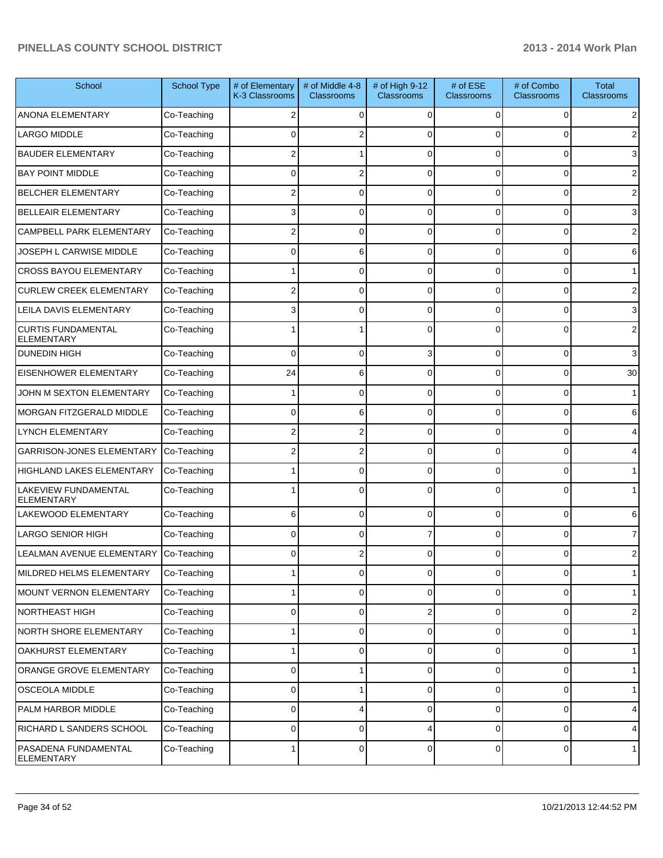| School                                         | <b>School Type</b> | # of Elementary<br>K-3 Classrooms | # of Middle 4-8<br><b>Classrooms</b> | # of High 9-12<br>Classrooms | # of ESE<br><b>Classrooms</b> | # of Combo<br><b>Classrooms</b> | <b>Total</b><br><b>Classrooms</b> |
|------------------------------------------------|--------------------|-----------------------------------|--------------------------------------|------------------------------|-------------------------------|---------------------------------|-----------------------------------|
| ANONA ELEMENTARY                               | Co-Teaching        |                                   | $\Omega$                             | $\Omega$                     | 0                             | 0                               | 2                                 |
| LARGO MIDDLE                                   | Co-Teaching        |                                   |                                      |                              | 0                             | 0                               | 2                                 |
| <b>BAUDER ELEMENTARY</b>                       | Co-Teaching        | 2                                 |                                      | $\Omega$                     | $\Omega$                      | $\Omega$                        | 3                                 |
| <b>BAY POINT MIDDLE</b>                        | Co-Teaching        | $\Omega$                          |                                      | $\Omega$                     | $\Omega$                      | $\Omega$                        | $\overline{2}$                    |
| BELCHER ELEMENTARY                             | Co-Teaching        | 2                                 | 0                                    | $\mathbf{0}$                 | $\Omega$                      | $\Omega$                        | 2                                 |
| BELLEAIR ELEMENTARY                            | Co-Teaching        | 3                                 | 0                                    | $\Omega$                     | $\Omega$                      | $\Omega$                        | 3                                 |
| CAMPBELL PARK ELEMENTARY                       | Co-Teaching        | 2                                 | 0                                    | $\Omega$                     | $\Omega$                      | 0                               | 2                                 |
| JOSEPH L CARWISE MIDDLE                        | Co-Teaching        | <sup>0</sup>                      | 6                                    | $\Omega$                     | $\Omega$                      | 0                               | 6                                 |
| <b>CROSS BAYOU ELEMENTARY</b>                  | Co-Teaching        |                                   | 0                                    | $\Omega$                     | $\Omega$                      | $\Omega$                        |                                   |
| <b>CURLEW CREEK ELEMENTARY</b>                 | Co-Teaching        | 2                                 | 0                                    | $\Omega$                     | $\Omega$                      | 0                               | 2                                 |
| LEILA DAVIS ELEMENTARY                         | Co-Teaching        | 3                                 | 0                                    | $\mathbf{0}$                 | $\Omega$                      | 0                               | 3                                 |
| <b>CURTIS FUNDAMENTAL</b><br><b>ELEMENTARY</b> | Co-Teaching        |                                   |                                      |                              |                               | 0                               | 2                                 |
| <b>DUNEDIN HIGH</b>                            | Co-Teaching        | $\Omega$                          | $\Omega$                             | 3                            | 0                             | 0                               | 3                                 |
| EISENHOWER ELEMENTARY                          | Co-Teaching        | 24                                | 6                                    | $\Omega$                     | 0                             | 0                               | 30                                |
| JOHN M SEXTON ELEMENTARY                       | Co-Teaching        |                                   | 0                                    | $\Omega$                     | 0                             | 0                               | $\mathbf{1}$                      |
| MORGAN FITZGERALD MIDDLE                       | Co-Teaching        | $\mathbf 0$                       | 6                                    | $\Omega$                     | 0                             | 0                               | 6                                 |
| <b>LYNCH ELEMENTARY</b>                        | Co-Teaching        | 2                                 |                                      | $\Omega$                     | 0                             | 0                               | 4                                 |
| <b>GARRISON-JONES ELEMENTARY</b>               | Co-Teaching        | 2                                 | 2                                    | $\Omega$                     | 0                             | 0                               | 4                                 |
| HIGHLAND LAKES ELEMENTARY                      | Co-Teaching        |                                   | 0                                    | $\Omega$                     | 0                             | $\Omega$                        | $\mathbf{1}$                      |
| LAKEVIEW FUNDAMENTAL<br><b>ELEMENTARY</b>      | Co-Teaching        |                                   | $\Omega$                             | $\Omega$                     | $\Omega$                      | $\Omega$                        | $\mathbf{1}$                      |
| LAKEWOOD ELEMENTARY                            | Co-Teaching        | 6                                 | $\Omega$                             | $\Omega$                     | $\Omega$                      | $\Omega$                        | 6                                 |
| <b>LARGO SENIOR HIGH</b>                       | Co-Teaching        | $\Omega$                          | $\Omega$                             |                              | $\Omega$                      | $\Omega$                        | $\overline{7}$                    |
| LEALMAN AVENUE ELEMENTARY                      | Co-Teaching        | $\Omega$                          |                                      |                              | 0                             | 0                               | $\overline{2}$                    |
| MILDRED HELMS ELEMENTARY                       | Co-Teaching        |                                   | 0                                    | $\Omega$                     | 0                             | 0                               | $\overline{1}$                    |
| MOUNT VERNON ELEMENTARY                        | Co-Teaching        |                                   | 0                                    | $\Omega$                     | 0                             | 0                               | $\mathbf{1}$                      |
| NORTHEAST HIGH                                 | Co-Teaching        | $\mathbf 0$                       | 0                                    | $\overline{2}$               | 0                             | 0                               | $\overline{2}$                    |
| NORTH SHORE ELEMENTARY                         | Co-Teaching        |                                   | $\Omega$                             | $\Omega$                     | 0                             | 0                               | $\mathbf{1}$                      |
| OAKHURST ELEMENTARY                            | Co-Teaching        |                                   | $\Omega$                             | $\Omega$                     | 0                             | 0                               | $\mathbf{1}$                      |
| ORANGE GROVE ELEMENTARY                        | Co-Teaching        | $\mathbf 0$                       |                                      | $\Omega$                     | 0                             | 0                               | $\mathbf{1}$                      |
| OSCEOLA MIDDLE                                 | Co-Teaching        | $\mathbf 0$                       |                                      | $\Omega$                     | 0                             | 0                               | $\mathbf{1}$                      |
| PALM HARBOR MIDDLE                             | Co-Teaching        | $\mathbf 0$                       | 4                                    | $\Omega$                     | 0                             | 0                               | 4                                 |
| RICHARD L SANDERS SCHOOL                       | Co-Teaching        | $\mathbf 0$                       | $\Omega$                             | 4                            | 0                             | 0                               | 4                                 |
| PASADENA FUNDAMENTAL<br><b>ELEMENTARY</b>      | Co-Teaching        | 1                                 | 0                                    | $\Omega$                     | $\overline{0}$                | $\mathbf 0$                     | $\mathbf{1}$                      |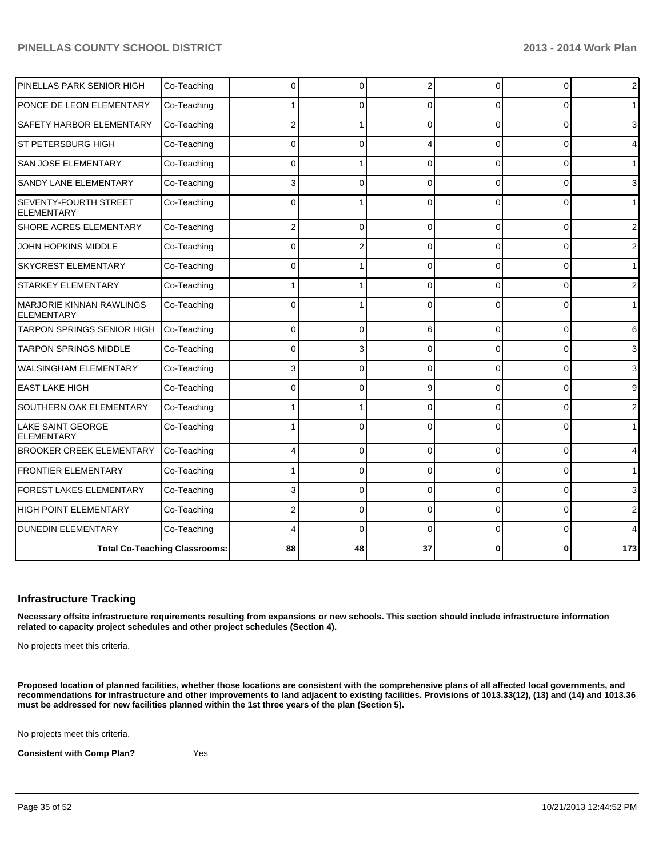|                                                      | <b>Total Co-Teaching Classrooms:</b> | 88       | 48           | 37             |          | Λ        | 173            |
|------------------------------------------------------|--------------------------------------|----------|--------------|----------------|----------|----------|----------------|
| <b>DUNEDIN ELEMENTARY</b>                            | Co-Teaching                          |          | $\Omega$     | ∩              | $\Omega$ | $\Omega$ | 4              |
| HIGH POINT ELEMENTARY                                | Co-Teaching                          |          | 0            | $\Omega$       | $\Omega$ | $\Omega$ | 2              |
| FOREST LAKES ELEMENTARY                              | Co-Teaching                          | 3        | $\mathbf{0}$ | $\Omega$       | $\Omega$ | $\Omega$ | 3              |
| <b>FRONTIER ELEMENTARY</b>                           | Co-Teaching                          |          | 0            | $\Omega$       | $\Omega$ | 0        | $\mathbf 1$    |
| <b>BROOKER CREEK ELEMENTARY</b>                      | Co-Teaching                          |          | $\Omega$     | $\Omega$       | $\Omega$ | 0        | 4              |
| LAKE SAINT GEORGE<br><b>ELEMENTARY</b>               | Co-Teaching                          |          | n            | C              | $\Omega$ | 0        | $\mathbf{1}$   |
| SOUTHERN OAK ELEMENTARY                              | Co-Teaching                          |          |              | ∩              | $\Omega$ | 0        | 2              |
| <b>EAST LAKE HIGH</b>                                | Co-Teaching                          | U        | U            | g              | $\Omega$ | $\Omega$ | 9              |
| <b>WALSINGHAM ELEMENTARY</b>                         | Co-Teaching                          |          | U            | $\Omega$       | $\Omega$ | $\Omega$ | 3              |
| <b>TARPON SPRINGS MIDDLE</b>                         | Co-Teaching                          | $\Omega$ | 3            | $\Omega$       | $\Omega$ | $\Omega$ | 3              |
| TARPON SPRINGS SENIOR HIGH                           | Co-Teaching                          | 0        | $\Omega$     | 6              | $\Omega$ | 0        | 6              |
| <b>MARJORIE KINNAN RAWLINGS</b><br><b>ELEMENTARY</b> | Co-Teaching                          |          |              |                | U        | U        | $\mathbf{1}$   |
| <b>STARKEY ELEMENTARY</b>                            | Co-Teaching                          |          |              | ∩              | $\Omega$ | $\Omega$ | 2              |
| <b>SKYCREST ELEMENTARY</b>                           | Co-Teaching                          | O        |              | $\Omega$       | $\Omega$ | $\Omega$ | $\mathbf{1}$   |
| JOHN HOPKINS MIDDLE                                  | Co-Teaching                          | $\Omega$ |              | $\Omega$       | $\Omega$ | $\Omega$ | $\overline{2}$ |
| SHORE ACRES ELEMENTARY                               | Co-Teaching                          | 2        | $\Omega$     | $\Omega$       | $\Omega$ | 0        | $\overline{2}$ |
| <b>SEVENTY-FOURTH STREET</b><br><b>ELEMENTARY</b>    | Co-Teaching                          |          |              |                | U        | 0        | $\mathbf{1}$   |
| SANDY LANE ELEMENTARY                                | Co-Teaching                          | 3        | 0            | $\Omega$       | $\Omega$ | $\Omega$ | 3              |
| <b>SAN JOSE ELEMENTARY</b>                           | Co-Teaching                          | ŋ        |              | ∩              | $\Omega$ | 0        | $\mathbf 1$    |
| <b>ST PETERSBURG HIGH</b>                            | Co-Teaching                          | $\Omega$ | 0            |                | $\Omega$ | $\Omega$ | 4              |
| SAFETY HARBOR ELEMENTARY                             | Co-Teaching                          | 2        |              | $\Omega$       | $\Omega$ | $\Omega$ | 3              |
| PONCE DE LEON ELEMENTARY                             | Co-Teaching                          |          | U            | $\Omega$       | 0        | $\Omega$ |                |
| PINELLAS PARK SENIOR HIGH                            | Co-Teaching                          | 0        | $\Omega$     | $\overline{2}$ | $\Omega$ | 0        | $\overline{2}$ |

#### **Infrastructure Tracking**

**Necessary offsite infrastructure requirements resulting from expansions or new schools. This section should include infrastructure information related to capacity project schedules and other project schedules (Section 4).**

No projects meet this criteria.

**Proposed location of planned facilities, whether those locations are consistent with the comprehensive plans of all affected local governments, and recommendations for infrastructure and other improvements to land adjacent to existing facilities. Provisions of 1013.33(12), (13) and (14) and 1013.36 must be addressed for new facilities planned within the 1st three years of the plan (Section 5).**

No projects meet this criteria.

**Consistent with Comp Plan?** Yes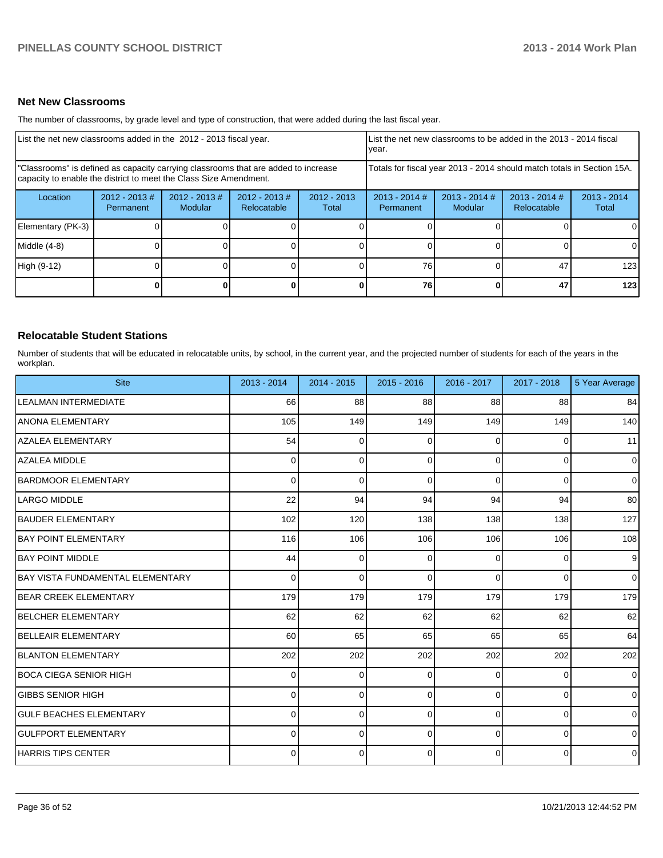#### **Net New Classrooms**

The number of classrooms, by grade level and type of construction, that were added during the last fiscal year.

| List the net new classrooms added in the 2012 - 2013 fiscal year.                                                                                       |                               |                                   |                                |                        | List the net new classrooms to be added in the 2013 - 2014 fiscal<br>year. |                            |                                |                        |  |
|---------------------------------------------------------------------------------------------------------------------------------------------------------|-------------------------------|-----------------------------------|--------------------------------|------------------------|----------------------------------------------------------------------------|----------------------------|--------------------------------|------------------------|--|
| "Classrooms" is defined as capacity carrying classrooms that are added to increase<br>capacity to enable the district to meet the Class Size Amendment. |                               |                                   |                                |                        | Totals for fiscal year 2013 - 2014 should match totals in Section 15A.     |                            |                                |                        |  |
| Location                                                                                                                                                | $2012 - 2013 \#$<br>Permanent | $2012 - 2013$ #<br><b>Modular</b> | $2012 - 2013$ #<br>Relocatable | $2012 - 2013$<br>Total | $2013 - 2014$ #<br>Permanent                                               | $2013 - 2014$ #<br>Modular | $2013 - 2014$ #<br>Relocatable | $2013 - 2014$<br>Total |  |
| Elementary (PK-3)                                                                                                                                       |                               |                                   |                                |                        |                                                                            |                            |                                | 0                      |  |
| Middle (4-8)                                                                                                                                            |                               |                                   |                                |                        |                                                                            |                            |                                | $\Omega$               |  |
| High (9-12)                                                                                                                                             |                               |                                   |                                |                        | 76                                                                         |                            | 47                             | 123                    |  |
|                                                                                                                                                         |                               |                                   |                                |                        | 76                                                                         |                            | 47                             | 123                    |  |

#### **Relocatable Student Stations**

Number of students that will be educated in relocatable units, by school, in the current year, and the projected number of students for each of the years in the workplan.

| <b>Site</b>                             | 2013 - 2014 | 2014 - 2015 | $2015 - 2016$ | 2016 - 2017 | 2017 - 2018    | 5 Year Average |
|-----------------------------------------|-------------|-------------|---------------|-------------|----------------|----------------|
| <b>LEALMAN INTERMEDIATE</b>             | 66          | 88          | 88            | 88          | 88             | 84             |
| <b>ANONA ELEMENTARY</b>                 | 105         | 149         | 149           | 149         | 149            | 140            |
| <b>AZALEA ELEMENTARY</b>                | 54          | 0           | 0             | $\Omega$    | 0              | 11             |
| <b>AZALEA MIDDLE</b>                    | $\Omega$    | $\Omega$    | 0             | $\Omega$    | $\mathbf{0}$   | $\overline{0}$ |
| BARDMOOR ELEMENTARY                     | $\Omega$    | $\Omega$    | 0             | 0           | 0              | $\overline{0}$ |
| LARGO MIDDLE                            | 22          | 94          | 94            | 94          | 94             | 80             |
| <b>BAUDER ELEMENTARY</b>                | 102         | 120         | 138           | 138         | 138            | 127            |
| <b>BAY POINT ELEMENTARY</b>             | 116         | 106         | 106           | 106         | 106            | 108            |
| <b>BAY POINT MIDDLE</b>                 | 44          | $\Omega$    | $\Omega$      | 0           | 0              | 9 <sub>o</sub> |
| <b>BAY VISTA FUNDAMENTAL ELEMENTARY</b> | 0           | $\Omega$    | $\Omega$      | $\Omega$    | $\Omega$       | $\overline{0}$ |
| <b>BEAR CREEK ELEMENTARY</b>            | 179         | 179         | 179           | 179         | 179            | 179            |
| <b>BELCHER ELEMENTARY</b>               | 62          | 62          | 62            | 62          | 62             | 62             |
| <b>BELLEAIR ELEMENTARY</b>              | 60          | 65          | 65            | 65          | 65             | 64             |
| BLANTON ELEMENTARY                      | 202         | 202         | 202           | 202         | 202            | 202            |
| IBOCA CIEGA SENIOR HIGH                 | $\Omega$    | 0           | 0             | $\Omega$    | 0              | $\overline{0}$ |
| <b>GIBBS SENIOR HIGH</b>                | $\Omega$    | $\Omega$    | 0             | $\Omega$    | $\Omega$       | $\overline{0}$ |
| <b>GULF BEACHES ELEMENTARY</b>          | 0           | 0           | 0             | $\Omega$    | 0              | $\overline{0}$ |
| <b>GULFPORT ELEMENTARY</b>              | 0           | $\Omega$    | $\Omega$      | 0           | 0              | $\overline{0}$ |
| <b>HARRIS TIPS CENTER</b>               | $\Omega$    | 0           | 0             | $\Omega$    | $\overline{0}$ | $\overline{0}$ |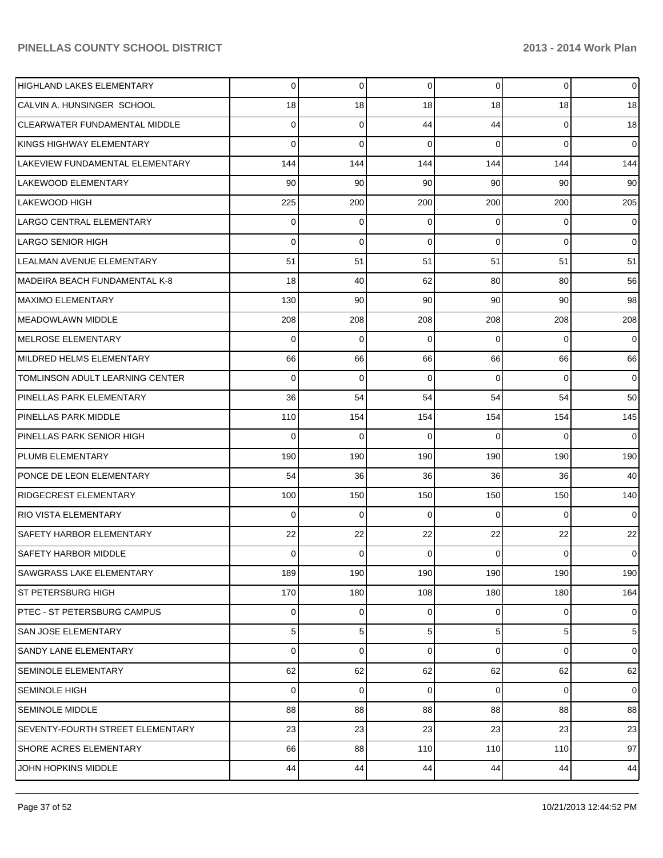| HIGHLAND LAKES ELEMENTARY            | $\Omega$ | 0           | 0   | $\overline{0}$  | 0           | $\overline{0}$ |
|--------------------------------------|----------|-------------|-----|-----------------|-------------|----------------|
| CALVIN A. HUNSINGER SCHOOL           | 18       | 18          | 18  | 18              | 18          | 18             |
| <b>CLEARWATER FUNDAMENTAL MIDDLE</b> | 0        | 0           | 44  | 44              | $\mathbf 0$ | 18             |
| KINGS HIGHWAY ELEMENTARY             | 0        | $\mathbf 0$ | 0   | $\Omega$        | 0           | $\overline{0}$ |
| LAKEVIEW FUNDAMENTAL ELEMENTARY      | 144      | 144         | 144 | 144             | 144         | 144            |
| LAKEWOOD ELEMENTARY                  | 90       | 90          | 90  | 90 <sub>1</sub> | 90          | 90             |
| LAKEWOOD HIGH                        | 225      | 200         | 200 | 200             | 200         | 205            |
| LARGO CENTRAL ELEMENTARY             | 0        | 0           | 0   | $\Omega$        | 0           | $\overline{0}$ |
| LARGO SENIOR HIGH                    | 0        | 0           | 0   | $\Omega$        | 0           | $\overline{0}$ |
| LEALMAN AVENUE ELEMENTARY            | 51       | 51          | 51  | 51              | 51          | 51             |
| MADEIRA BEACH FUNDAMENTAL K-8        | 18       | 40          | 62  | 80              | 80          | 56             |
| <b>MAXIMO ELEMENTARY</b>             | 130      | 90          | 90  | 90 <sub>1</sub> | 90          | 98             |
| MEADOWLAWN MIDDLE                    | 208      | 208         | 208 | 208             | 208         | 208            |
| MELROSE ELEMENTARY                   | 0        | $\mathbf 0$ | 0   | $\Omega$        | 0           | $\overline{0}$ |
| MILDRED HELMS ELEMENTARY             | 66       | 66          | 66  | 66              | 66          | 66             |
| TOMLINSON ADULT LEARNING CENTER      | 0        | 0           | 0   | $\Omega$        | 0           | $\overline{0}$ |
| PINELLAS PARK ELEMENTARY             | 36       | 54          | 54  | 54              | 54          | 50             |
| PINELLAS PARK MIDDLE                 | 110      | 154         | 154 | 154             | 154         | 145            |
| PINELLAS PARK SENIOR HIGH            | 0        | 0           | 0   | $\Omega$        | $\Omega$    | 0              |
| PLUMB ELEMENTARY                     | 190      | 190         | 190 | 190             | 190         | 190            |
| PONCE DE LEON ELEMENTARY             | 54       | 36          | 36  | 36              | 36          | 40             |
| <b>RIDGECREST ELEMENTARY</b>         | 100      | 150         | 150 | 150             | 150         | 140            |
| <b>RIO VISTA ELEMENTARY</b>          | 0        | 0           | 0   | $\Omega$        | 0           | $\overline{0}$ |
| SAFETY HARBOR ELEMENTARY             | 22       | 22          | 22  | 22              | 22          | 22             |
| SAFETY HARBOR MIDDLE                 | 0        | 0           | 0   | $\Omega$        | 0           | $\overline{0}$ |
| <b>SAWGRASS LAKE ELEMENTARY</b>      | 189      | 190         | 190 | 190             | 190         | 190            |
| <b>ST PETERSBURG HIGH</b>            | 170      | 180         | 108 | 180             | 180         | 164            |
| <b>PTEC - ST PETERSBURG CAMPUS</b>   | 0        | 0           | 0   | $\overline{0}$  | 0           | $\overline{0}$ |
| SAN JOSE ELEMENTARY                  | 5        | 5           | 5   | 5 <sup>1</sup>  | 5           | 5 <sup>5</sup> |
| SANDY LANE ELEMENTARY                | 0        | 0           | 0   | $\overline{0}$  | $\mathbf 0$ | $\overline{0}$ |
| <b>SEMINOLE ELEMENTARY</b>           | 62       | 62          | 62  | 62              | 62          | 62             |
| <b>SEMINOLE HIGH</b>                 | 0        | 0           | 0   | 0               | 0           | $\overline{0}$ |
| <b>SEMINOLE MIDDLE</b>               | 88       | 88          | 88  | 88              | 88          | 88             |
| SEVENTY-FOURTH STREET ELEMENTARY     | 23       | 23          | 23  | 23              | 23          | 23             |
| SHORE ACRES ELEMENTARY               | 66       | 88          | 110 | 110             | 110         | 97             |
| JOHN HOPKINS MIDDLE                  | 44       | 44          | 44  | 44              | 44          | 44             |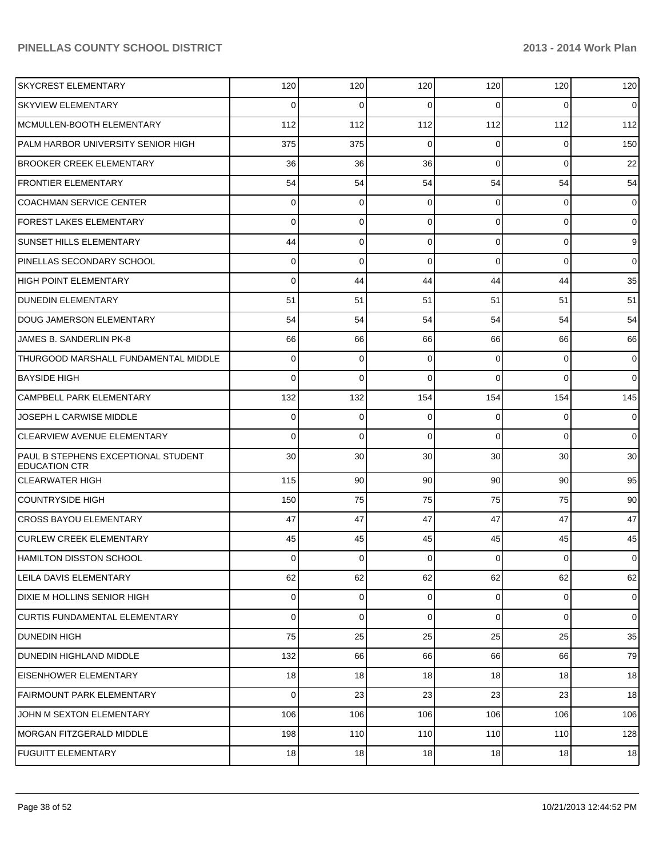| <b>SKYCREST ELEMENTARY</b>                                         | 120            | 120             | 120         | 120            | 120             | 120            |
|--------------------------------------------------------------------|----------------|-----------------|-------------|----------------|-----------------|----------------|
| <b>SKYVIEW ELEMENTARY</b>                                          | 0              | 0               | 0           | 0              | 0               | $\mathbf 0$    |
| MCMULLEN-BOOTH ELEMENTARY                                          | 112            | 112             | 112         | 112            | 112             | 112            |
| PALM HARBOR UNIVERSITY SENIOR HIGH                                 | 375            | 375             | $\mathbf 0$ | 0              | 0               | 150            |
| <b>BROOKER CREEK ELEMENTARY</b>                                    | 36             | 36              | 36          | $\Omega$       | 0               | 22             |
| <b>FRONTIER ELEMENTARY</b>                                         | 54             | 54              | 54          | 54             | 54              | 54             |
| <b>COACHMAN SERVICE CENTER</b>                                     | 0              | 0               | $\Omega$    | 0              | 0               | $\mathbf 0$    |
| <b>FOREST LAKES ELEMENTARY</b>                                     | 0              | 0               | $\Omega$    | $\Omega$       | 0               | $\mathbf 0$    |
| <b>SUNSET HILLS ELEMENTARY</b>                                     | 44             | 0               | 0           | $\Omega$       | 0               | 9              |
| PINELLAS SECONDARY SCHOOL                                          | 0              | 0               | $\Omega$    | $\Omega$       | 0               | $\mathbf 0$    |
| <b>HIGH POINT ELEMENTARY</b>                                       | 0              | 44              | 44          | 44             | 44              | 35             |
| <b>DUNEDIN ELEMENTARY</b>                                          | 51             | 51              | 51          | 51             | 51              | 51             |
| DOUG JAMERSON ELEMENTARY                                           | 54             | 54              | 54          | 54             | 54              | 54             |
| JAMES B. SANDERLIN PK-8                                            | 66             | 66              | 66          | 66             | 66              | 66             |
| THURGOOD MARSHALL FUNDAMENTAL MIDDLE                               | 0              | 0               | $\Omega$    | 0              | 0               | $\mathbf 0$    |
| <b>BAYSIDE HIGH</b>                                                | 0              | 0               | $\Omega$    | 0              | 0               | $\overline{0}$ |
| <b>CAMPBELL PARK ELEMENTARY</b>                                    | 132            | 132             | 154         | 154            | 154             | 145            |
| JOSEPH L CARWISE MIDDLE                                            | 0              | 0               | $\mathbf 0$ | 0              | 0               | $\mathbf 0$    |
| <b>CLEARVIEW AVENUE ELEMENTARY</b>                                 | 0              | 0               | $\Omega$    | $\Omega$       | 0               | $\overline{0}$ |
| <b>PAUL B STEPHENS EXCEPTIONAL STUDENT</b><br><b>EDUCATION CTR</b> | 30             | 30              | 30          | 30             | 30              | 30             |
| <b>CLEARWATER HIGH</b>                                             | 115            | 90 <sup>°</sup> | 90          | 90             | 90 <sup>1</sup> | 95             |
| COUNTRYSIDE HIGH                                                   | 150            | 75              | 75          | 75             | 75              | 90             |
| <b>CROSS BAYOU ELEMENTARY</b>                                      | 47             | 47              | 47          | 47             | 47              | 47             |
| <b>CURLEW CREEK ELEMENTARY</b>                                     | 45             | 45              | 45          | 45             | 45              | 45             |
| HAMILTON DISSTON SCHOOL                                            | $\overline{0}$ | $\overline{0}$  | $\Omega$    | $\overline{0}$ | $\circ$         | $\overline{0}$ |
| <b>LEILA DAVIS ELEMENTARY</b>                                      | 62             | 62              | 62          | 62             | 62              | 62             |
| DIXIE M HOLLINS SENIOR HIGH                                        | 0              | $\Omega$        | 0           | $\overline{0}$ | $\overline{0}$  | $\mathbf 0$    |
| <b>CURTIS FUNDAMENTAL ELEMENTARY</b>                               | 0              | $\Omega$        | $\mathbf 0$ | $\Omega$       | $\overline{0}$  | $\overline{0}$ |
| <b>DUNEDIN HIGH</b>                                                | 75             | 25              | 25          | 25             | 25              | 35             |
| <b>DUNEDIN HIGHLAND MIDDLE</b>                                     | 132            | 66              | 66          | 66             | 66              | 79             |
| <b>EISENHOWER ELEMENTARY</b>                                       | 18             | 18              | 18          | 18             | 18              | 18             |
| <b>FAIRMOUNT PARK ELEMENTARY</b>                                   | 0              | 23              | 23          | 23             | 23              | 18             |
| JOHN M SEXTON ELEMENTARY                                           | 106            | 106             | 106         | 106            | 106             | 106            |
| MORGAN FITZGERALD MIDDLE                                           | 198            | 110             | 110         | 110            | 110             | 128            |
| <b>FUGUITT ELEMENTARY</b>                                          | 18             | 18              | 18          | 18             | 18              | 18             |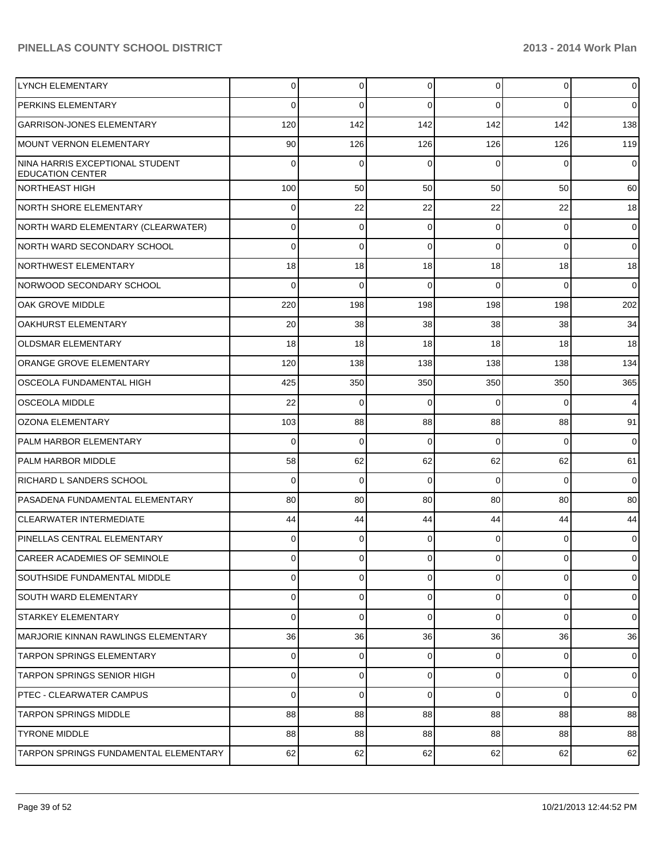| <b>LYNCH ELEMENTARY</b>                                    | $\Omega$ | 0           | 0        | $\overline{0}$ | $\overline{0}$ | $\overline{0}$ |
|------------------------------------------------------------|----------|-------------|----------|----------------|----------------|----------------|
| PERKINS ELEMENTARY                                         | 0        | $\Omega$    | 0        | $\Omega$       | $\Omega$       | $\overline{0}$ |
| <b>GARRISON-JONES ELEMENTARY</b>                           | 120      | 142         | 142      | 142            | 142            | 138            |
| <b>MOUNT VERNON ELEMENTARY</b>                             | 90       | 126         | 126      | 126            | 126            | 119            |
| NINA HARRIS EXCEPTIONAL STUDENT<br><b>EDUCATION CENTER</b> | $\Omega$ | $\Omega$    | $\Omega$ | $\Omega$       | $\Omega$       | 0              |
| <b>NORTHEAST HIGH</b>                                      | 100      | 50          | 50       | 50             | 50             | 60             |
| NORTH SHORE ELEMENTARY                                     | 0        | 22          | 22       | 22             | 22             | 18             |
| NORTH WARD ELEMENTARY (CLEARWATER)                         | 0        | 0           | 0        | $\overline{0}$ | 0              | 0              |
| INORTH WARD SECONDARY SCHOOL                               | 0        | 0           | 0        | $\Omega$       | $\Omega$       | 0              |
| NORTHWEST ELEMENTARY                                       | 18       | 18          | 18       | 18             | 18             | 18             |
| NORWOOD SECONDARY SCHOOL                                   | 0        | $\mathbf 0$ | $\Omega$ | $\Omega$       | $\Omega$       | $\mathbf 0$    |
| <b>OAK GROVE MIDDLE</b>                                    | 220      | 198         | 198      | 198            | 198            | 202            |
| <b>OAKHURST ELEMENTARY</b>                                 | 20       | 38          | 38       | 38             | 38             | 34             |
| <b>OLDSMAR ELEMENTARY</b>                                  | 18       | 18          | 18       | 18             | 18             | 18             |
| <b>ORANGE GROVE ELEMENTARY</b>                             | 120      | 138         | 138      | 138            | 138            | 134            |
| <b>OSCEOLA FUNDAMENTAL HIGH</b>                            | 425      | 350         | 350      | 350            | 350            | 365            |
| <b>OSCEOLA MIDDLE</b>                                      | 22       | 0           | 0        | $\Omega$       | $\Omega$       | 4              |
| OZONA ELEMENTARY                                           | 103      | 88          | 88       | 88             | 88             | 91             |
| PALM HARBOR ELEMENTARY                                     | $\Omega$ | $\mathbf 0$ | 0        | $\Omega$       | $\Omega$       | $\mathbf 0$    |
| IPALM HARBOR MIDDLE                                        | 58       | 62          | 62       | 62             | 62             | 61             |
| RICHARD L SANDERS SCHOOL                                   | $\Omega$ | 0           | $\Omega$ | $\Omega$       | $\Omega$       | 0              |
| PASADENA FUNDAMENTAL ELEMENTARY                            | 80       | 80          | 80       | 80             | 80             | 80             |
| <b>CLEARWATER INTERMEDIATE</b>                             | 44       | 44          | 44       | 44             | 44             | 44             |
| PINELLAS CENTRAL ELEMENTARY                                | 0        | 0           | 0        | $\overline{0}$ | 0              | 0              |
| <b>CAREER ACADEMIES OF SEMINOLE</b>                        | 0        | 0           | 0        | $\overline{0}$ | 0              | 0              |
| SOUTHSIDE FUNDAMENTAL MIDDLE                               | $\Omega$ | $\mathbf 0$ | $\Omega$ | $\overline{0}$ | 0              | $\overline{0}$ |
| <b>SOUTH WARD ELEMENTARY</b>                               | $\Omega$ | 0           | 0        | $\overline{0}$ | $\mathbf{0}$   | $\overline{0}$ |
| STARKEY ELEMENTARY                                         | $\Omega$ | 0           | $\Omega$ | $\Omega$       | $\Omega$       | $\overline{0}$ |
| IMARJORIE KINNAN RAWLINGS ELEMENTARY                       | 36       | 36          | 36       | 36             | 36             | 36             |
| <b>TARPON SPRINGS ELEMENTARY</b>                           | $\Omega$ | 0           | $\Omega$ | $\overline{0}$ | $\mathbf{0}$   | $\overline{0}$ |
| <b>TARPON SPRINGS SENIOR HIGH</b>                          | $\Omega$ | 0           | 0        | $\overline{0}$ | 0              | $\overline{0}$ |
| <b>IPTEC - CLEARWATER CAMPUS</b>                           | $\Omega$ | 0           | $\Omega$ | $\Omega$       | $\Omega$       | $\overline{0}$ |
| <b>TARPON SPRINGS MIDDLE</b>                               | 88       | 88          | 88       | 88             | 88             | 88             |
| <b>TYRONE MIDDLE</b>                                       | 88       | 88          | 88       | 88             | 88             | 88             |
| TARPON SPRINGS FUNDAMENTAL ELEMENTARY                      | 62       | 62          | 62       | 62             | 62             | 62             |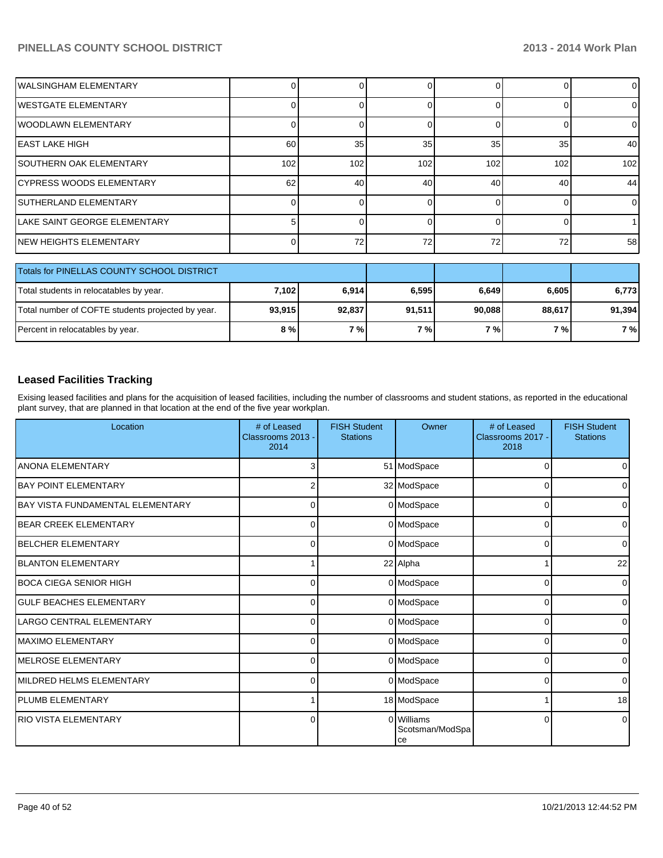| <b>WALSINGHAM ELEMENTARY</b>                      |        |        |        | 0        |        | $\overline{0}$ |
|---------------------------------------------------|--------|--------|--------|----------|--------|----------------|
| <b>IWESTGATE ELEMENTARY</b>                       |        |        |        | $\Omega$ |        | $\Omega$       |
| <b>WOODLAWN ELEMENTARY</b>                        |        |        |        |          |        | $\Omega$       |
| IEAST LAKE HIGH                                   | 60     | 35     | 35     | 35       | 35     | 40             |
| <b>SOUTHERN OAK ELEMENTARY</b>                    | 102    | 102    | 102    | 102      | 102    | 102            |
| ICYPRESS WOODS ELEMENTARY                         | 62     | 40     | 40     | 40       | 40     | 44             |
| <b>ISUTHERLAND ELEMENTARY</b>                     | 0      |        | 0      | 0        |        | $\overline{0}$ |
| llake SAINT GEORGE ELEMENTARY                     | 5.     |        | 0      | 0        |        |                |
| INEW HEIGHTS ELEMENTARY                           |        | 72     | 72     | 72       | 72     | 58             |
| Totals for PINELLAS COUNTY SCHOOL DISTRICT        |        |        |        |          |        |                |
| Total students in relocatables by year.           | 7,102  | 6,914  | 6,595  | 6,649    | 6,605  | 6,773          |
| Total number of COFTE students projected by year. | 93,915 | 92,837 | 91,511 | 90,088   | 88,617 | 91,394         |

#### **Leased Facilities Tracking**

Exising leased facilities and plans for the acquisition of leased facilities, including the number of classrooms and student stations, as reported in the educational plant survey, that are planned in that location at the end of the five year workplan.

Percent in relocatables by year. **8 % 7 % 7 % 7 % 7 % 7 %**

| Location                                | # of Leased<br>Classrooms 2013 -<br>2014 | <b>FISH Student</b><br><b>Stations</b> | Owner                               | # of Leased<br>Classrooms 2017 -<br>2018 | <b>FISH Student</b><br><b>Stations</b> |
|-----------------------------------------|------------------------------------------|----------------------------------------|-------------------------------------|------------------------------------------|----------------------------------------|
| <b>ANONA ELEMENTARY</b>                 |                                          |                                        | 51 ModSpace                         | n                                        | $\overline{0}$                         |
| <b>IBAY POINT ELEMENTARY</b>            |                                          |                                        | 32 ModSpace                         | 0                                        | $\overline{0}$                         |
| <b>BAY VISTA FUNDAMENTAL ELEMENTARY</b> | 0                                        |                                        | 0 ModSpace                          | 0                                        | $\overline{0}$                         |
| <b>BEAR CREEK ELEMENTARY</b>            | 0                                        |                                        | 0 ModSpace                          | 0                                        | $\overline{0}$                         |
| <b>BELCHER ELEMENTARY</b>               | $\Omega$                                 |                                        | 0 ModSpace                          | 0                                        | $\overline{0}$                         |
| <b>BLANTON ELEMENTARY</b>               |                                          |                                        | 22 Alpha                            |                                          | 22                                     |
| <b>BOCA CIEGA SENIOR HIGH</b>           | 0                                        |                                        | 0 ModSpace                          | 0                                        | $\overline{0}$                         |
| <b>GULF BEACHES ELEMENTARY</b>          | $\Omega$                                 |                                        | 0 ModSpace                          | 0                                        | $\overline{0}$                         |
| LARGO CENTRAL ELEMENTARY                | $\Omega$                                 |                                        | 0 ModSpace                          | $\Omega$                                 | $\overline{0}$                         |
| <b>MAXIMO ELEMENTARY</b>                | $\Omega$                                 |                                        | 0 ModSpace                          | $\Omega$                                 | $\overline{0}$                         |
| <b>IMELROSE ELEMENTARY</b>              | $\Omega$                                 |                                        | 0 ModSpace                          | $\Omega$                                 | $\overline{0}$                         |
| MILDRED HELMS ELEMENTARY                | $\Omega$                                 |                                        | 0 ModSpace                          | 0                                        | $\overline{0}$                         |
| <b>PLUMB ELEMENTARY</b>                 |                                          |                                        | 18 ModSpace                         |                                          | 18                                     |
| <b>RIO VISTA ELEMENTARY</b>             | 0                                        |                                        | 0 Williams<br>Scotsman/ModSpa<br>ce | $\Omega$                                 | $\overline{0}$                         |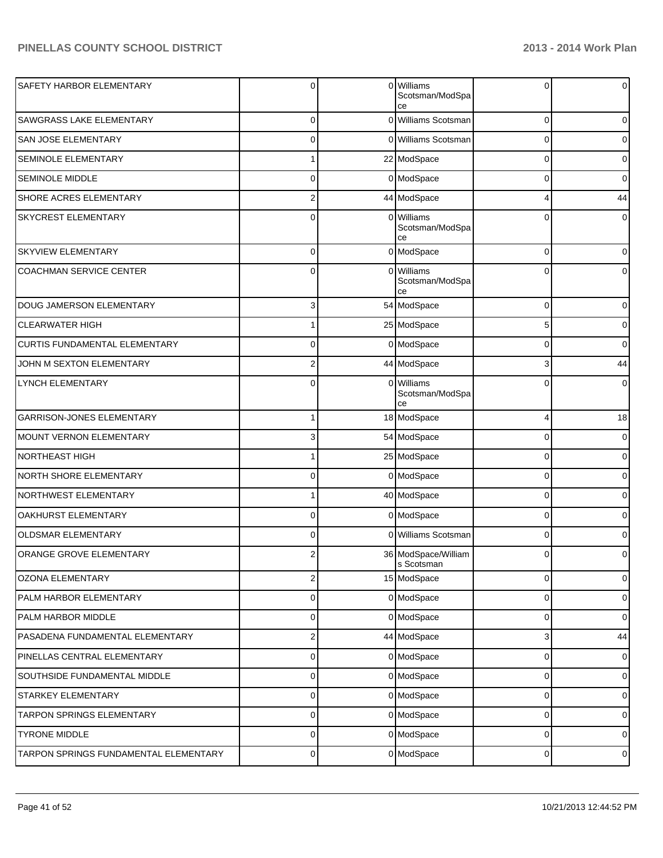| SAFETY HARBOR ELEMENTARY              | 0              |   | 0 Williams<br>Scotsman/ModSpa<br>ce | $\Omega$       | 0        |
|---------------------------------------|----------------|---|-------------------------------------|----------------|----------|
| <b>SAWGRASS LAKE ELEMENTARY</b>       | $\Omega$       | 0 | Williams Scotsman                   | 0              |          |
| <b>SAN JOSE ELEMENTARY</b>            | $\Omega$       |   | 0 Williams Scotsman                 | 0              |          |
| SEMINOLE ELEMENTARY                   |                |   | 22 ModSpace                         | 0              |          |
| <b>SEMINOLE MIDDLE</b>                | $\Omega$       |   | 0 ModSpace                          | 0              |          |
| <b>SHORE ACRES ELEMENTARY</b>         | 2              |   | 44 ModSpace                         | 4              | 44       |
| <b>SKYCREST ELEMENTARY</b>            | $\Omega$       | 0 | Williams<br>Scotsman/ModSpa<br>ce   | 0              |          |
| <b>SKYVIEW ELEMENTARY</b>             | $\Omega$       |   | 0 ModSpace                          | $\mathbf 0$    |          |
| <b>COACHMAN SERVICE CENTER</b>        | $\mathbf{0}$   |   | 0 Williams<br>Scotsman/ModSpa<br>ce | $\Omega$       |          |
| DOUG JAMERSON ELEMENTARY              | $\overline{3}$ |   | 54 ModSpace                         | $\Omega$       | $\Omega$ |
| <b>CLEARWATER HIGH</b>                |                |   | 25 ModSpace                         | 5              | 0        |
| CURTIS FUNDAMENTAL ELEMENTARY         | 0              |   | 0 ModSpace                          | $\Omega$       | $\Omega$ |
| JOHN M SEXTON ELEMENTARY              | $\overline{2}$ |   | 44 ModSpace                         | 3              | 44       |
| <b>LYNCH ELEMENTARY</b>               | 0              |   | 0 Williams<br>Scotsman/ModSpa<br>ce | $\Omega$       |          |
| GARRISON-JONES ELEMENTARY             |                |   | 18 ModSpace                         | 4              | 18       |
| <b>MOUNT VERNON ELEMENTARY</b>        | 3              |   | 54 ModSpace                         | $\Omega$       |          |
| <b>NORTHEAST HIGH</b>                 |                |   | 25 ModSpace                         | 0              | $\Omega$ |
| NORTH SHORE ELEMENTARY                | $\Omega$       |   | 0 ModSpace                          | $\Omega$       |          |
| NORTHWEST ELEMENTARY                  |                |   | 40 ModSpace                         | $\mathbf 0$    |          |
| OAKHURST ELEMENTARY                   | 0              |   | 0 ModSpace                          | 0              |          |
| <b>OLDSMAR ELEMENTARY</b>             | 0              |   | 0 Williams Scotsman                 | 0              |          |
| ORANGE GROVE ELEMENTARY               | 2              |   | 36 ModSpace/William<br>s Scotsman   | $\mathbf 0$    |          |
| OZONA ELEMENTARY                      | 2              |   | 15 ModSpace                         | 0              | 0        |
| PALM HARBOR ELEMENTARY                | $\overline{0}$ |   | 0 ModSpace                          | 0              | 0        |
| PALM HARBOR MIDDLE                    | $\overline{0}$ |   | 0 ModSpace                          | 0              | 0        |
| PASADENA FUNDAMENTAL ELEMENTARY       | $\mathbf{2}$   |   | 44 ModSpace                         | 3              | 44       |
| PINELLAS CENTRAL ELEMENTARY           | $\overline{0}$ |   | 0 ModSpace                          | 0              | 0        |
| SOUTHSIDE FUNDAMENTAL MIDDLE          | $\overline{0}$ |   | 0 ModSpace                          | 0              | 0        |
| STARKEY ELEMENTARY                    | $\overline{0}$ |   | 0 ModSpace                          | 0              | 0        |
| TARPON SPRINGS ELEMENTARY             | $\overline{0}$ |   | 0 ModSpace                          | 0              | 0        |
| <b>TYRONE MIDDLE</b>                  | $\overline{0}$ |   | 0 ModSpace                          | 0              | 0        |
| TARPON SPRINGS FUNDAMENTAL ELEMENTARY | $\overline{0}$ |   | 0 ModSpace                          | $\overline{0}$ | 0        |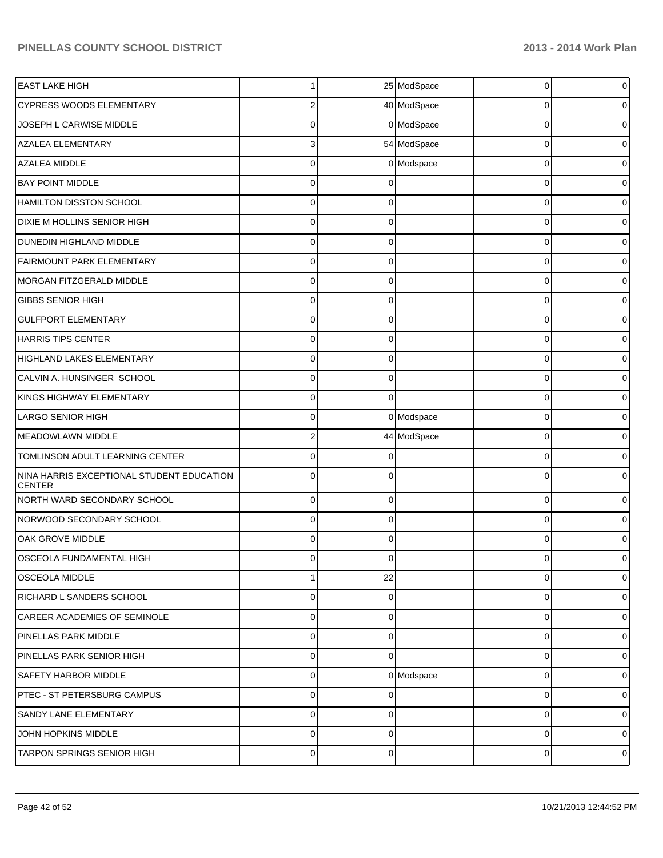| <b>EAST LAKE HIGH</b>                                      |             |          | 25 ModSpace | 0           | $\overline{0}$ |
|------------------------------------------------------------|-------------|----------|-------------|-------------|----------------|
| <b>CYPRESS WOODS ELEMENTARY</b>                            | 2           |          | 40 ModSpace | $\Omega$    | 0              |
| JOSEPH L CARWISE MIDDLE                                    | $\Omega$    |          | 0 ModSpace  | $\Omega$    | 0              |
| <b>AZALEA ELEMENTARY</b>                                   | 3           |          | 54 ModSpace | $\Omega$    | 0              |
| AZALEA MIDDLE                                              | 0           |          | 0 Modspace  | $\Omega$    | 0              |
| <b>BAY POINT MIDDLE</b>                                    | $\Omega$    |          |             | $\Omega$    | 0              |
| HAMILTON DISSTON SCHOOL                                    | $\Omega$    |          |             | $\Omega$    | 0              |
| DIXIE M HOLLINS SENIOR HIGH                                | $\Omega$    | ∩        |             | $\Omega$    | 0              |
| DUNEDIN HIGHLAND MIDDLE                                    | 0           |          |             | $\Omega$    | 0              |
| <b>FAIRMOUNT PARK ELEMENTARY</b>                           | 0           |          |             | $\Omega$    | 0              |
| MORGAN FITZGERALD MIDDLE                                   | $\Omega$    | O        |             | $\Omega$    | 0              |
| <b>GIBBS SENIOR HIGH</b>                                   | $\Omega$    | $\Omega$ |             | $\Omega$    | 0              |
| <b>GULFPORT ELEMENTARY</b>                                 | 0           |          |             | $\Omega$    | 0              |
| HARRIS TIPS CENTER                                         | 0           |          |             | 0           | 0              |
| HIGHLAND LAKES ELEMENTARY                                  | 0           |          |             | $\Omega$    | 0              |
| CALVIN A. HUNSINGER SCHOOL                                 | $\Omega$    | $\Omega$ |             | $\Omega$    | 0              |
| KINGS HIGHWAY ELEMENTARY                                   | 0           | $\Omega$ |             | $\Omega$    | 0              |
| <b>LARGO SENIOR HIGH</b>                                   | 0           |          | 0 Modspace  | $\Omega$    | 0              |
| MEADOWLAWN MIDDLE                                          | 2           |          | 44 ModSpace | $\Omega$    | 0              |
| TOMLINSON ADULT LEARNING CENTER                            | $\Omega$    |          |             | $\Omega$    | 0              |
| NINA HARRIS EXCEPTIONAL STUDENT EDUCATION<br><b>CENTER</b> | $\Omega$    |          |             | $\Omega$    | 0              |
| NORTH WARD SECONDARY SCHOOL                                | $\Omega$    | $\Omega$ |             | $\Omega$    | $\mathbf 0$    |
| NORWOOD SECONDARY SCHOOL                                   | $\Omega$    | $\Omega$ |             | $\Omega$    | 0              |
| OAK GROVE MIDDLE                                           | 0           |          |             | $\Omega$    |                |
| OSCEOLA FUNDAMENTAL HIGH                                   | $\Omega$    | $\Omega$ |             | $\Omega$    | 0              |
| <b>OSCEOLA MIDDLE</b>                                      |             | 22       |             | $\Omega$    | 0              |
| <b>RICHARD L SANDERS SCHOOL</b>                            | $\Omega$    | $\Omega$ |             | $\Omega$    | 0              |
| <b>CAREER ACADEMIES OF SEMINOLE</b>                        | $\Omega$    | $\Omega$ |             | $\Omega$    | $\overline{0}$ |
| PINELLAS PARK MIDDLE                                       | $\Omega$    | $\Omega$ |             | $\Omega$    | 0              |
| PINELLAS PARK SENIOR HIGH                                  | $\Omega$    | $\Omega$ |             | $\mathbf 0$ | $\overline{0}$ |
| <b>SAFETY HARBOR MIDDLE</b>                                | $\Omega$    |          | 0 Modspace  | $\Omega$    | $\overline{0}$ |
| PTEC - ST PETERSBURG CAMPUS                                | $\Omega$    | U        |             | $\Omega$    | $\overline{0}$ |
| SANDY LANE ELEMENTARY                                      | $\Omega$    | $\Omega$ |             | $\Omega$    | 0              |
| JOHN HOPKINS MIDDLE                                        | $\Omega$    | $\Omega$ |             | $\mathbf 0$ | $\overline{0}$ |
| TARPON SPRINGS SENIOR HIGH                                 | $\mathbf 0$ | $\Omega$ |             | 0           | $\overline{0}$ |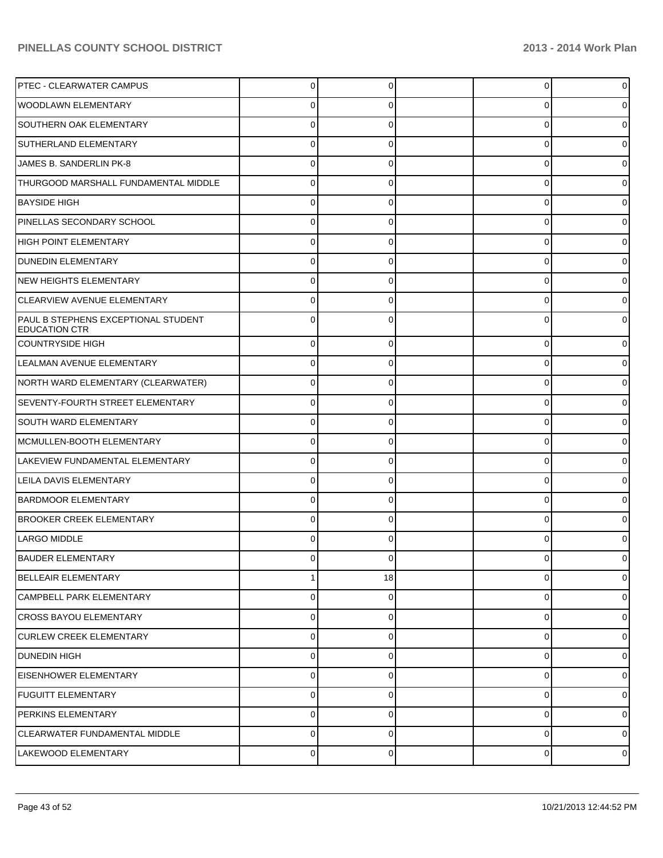| <b>PTEC - CLEARWATER CAMPUS</b>                             | 0        |    | 0              |          |
|-------------------------------------------------------------|----------|----|----------------|----------|
| <b>WOODLAWN ELEMENTARY</b>                                  | 0        |    | 0              |          |
| SOUTHERN OAK ELEMENTARY                                     | 0        |    | 0              |          |
| SUTHERLAND ELEMENTARY                                       | 0        |    | 0              |          |
| JAMES B. SANDERLIN PK-8                                     | 0        |    | 0              |          |
| THURGOOD MARSHALL FUNDAMENTAL MIDDLE                        | 0        |    | 0              |          |
| <b>BAYSIDE HIGH</b>                                         | O        |    | 0              |          |
| PINELLAS SECONDARY SCHOOL                                   | 0        |    | 0              |          |
| HIGH POINT ELEMENTARY                                       | 0        |    | 0              |          |
| <b>DUNEDIN ELEMENTARY</b>                                   | 0        |    | 0              |          |
| NEW HEIGHTS ELEMENTARY                                      |          |    | 0              |          |
| CLEARVIEW AVENUE ELEMENTARY                                 | O        |    | 0              |          |
| PAUL B STEPHENS EXCEPTIONAL STUDENT<br><b>EDUCATION CTR</b> |          |    | 0              |          |
| <b>COUNTRYSIDE HIGH</b>                                     | 0        |    | 0              |          |
| LEALMAN AVENUE ELEMENTARY                                   | 0        | 0  | 0              |          |
| NORTH WARD ELEMENTARY (CLEARWATER)                          | 0        |    | 0              |          |
| SEVENTY-FOURTH STREET ELEMENTARY                            | 0        | 0  | 0              |          |
| <b>SOUTH WARD ELEMENTARY</b>                                | 0        |    | 0              |          |
| MCMULLEN-BOOTH ELEMENTARY                                   | 0        | C  | 0              |          |
| LAKEVIEW FUNDAMENTAL ELEMENTARY                             | 0        |    | $\mathbf 0$    |          |
| LEILA DAVIS ELEMENTARY                                      | 0        | 0  | 0              | o        |
| <b>BARDMOOR ELEMENTARY</b>                                  | $\Omega$ |    | 0              |          |
| <b>BROOKER CREEK ELEMENTARY</b>                             | $\Omega$ |    | 0              |          |
| LARGO MIDDLE                                                |          |    | 0              |          |
| <b>BAUDER ELEMENTARY</b>                                    | 0        |    | 0              |          |
| <b>BELLEAIR ELEMENTARY</b>                                  |          | 18 | 0              | 0        |
| <b>CAMPBELL PARK ELEMENTARY</b>                             | $\Omega$ | 0  | 0              | $\Omega$ |
| <b>ICROSS BAYOU ELEMENTARY</b>                              | 0        | 0  | 0              | 0        |
| <b>CURLEW CREEK ELEMENTARY</b>                              | $\Omega$ |    | 0              | 0        |
| DUNEDIN HIGH                                                | 0        | 0  | 0              | 0        |
| <b>EISENHOWER ELEMENTARY</b>                                | 0        | 0  | 0              | 0        |
| FUGUITT ELEMENTARY                                          | 0        | 0  | 0              | 0        |
| <b>PERKINS ELEMENTARY</b>                                   | $\Omega$ |    | 0              | 0        |
| CLEARWATER FUNDAMENTAL MIDDLE                               | 0        | 0  | 0              | 0        |
| LAKEWOOD ELEMENTARY                                         | 0        | 0  | $\overline{0}$ | 0        |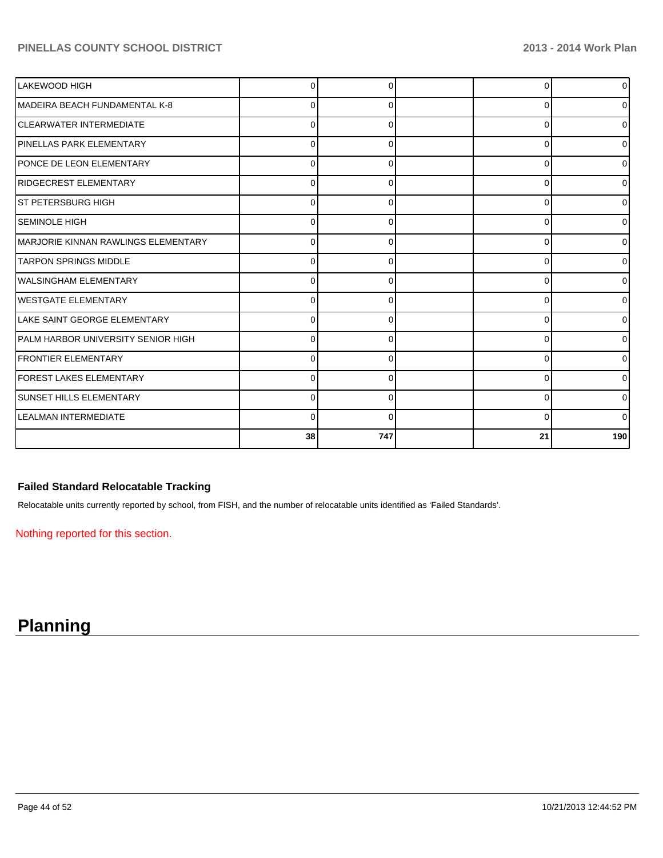| LAKEWOOD HIGH                       |          |     |    | $\overline{0}$   |
|-------------------------------------|----------|-----|----|------------------|
| MADEIRA BEACH FUNDAMENTAL K-8       |          |     |    | $\overline{0}$   |
| <b>CLEARWATER INTERMEDIATE</b>      | U        |     | n  | $\overline{0}$   |
| <b>PINELLAS PARK ELEMENTARY</b>     | 0        |     | C  | $\overline{0}$   |
| PONCE DE LEON ELEMENTARY            | 0        |     | 0  | $\overline{0}$   |
| RIDGECREST ELEMENTARY               | 0        |     | 0  | $\overline{0}$   |
| ST PETERSBURG HIGH                  | 0        |     | 0  | $\overline{0}$   |
| <b>ISEMINOLE HIGH</b>               | U        |     | ∩  | $\overline{0}$   |
| MARJORIE KINNAN RAWLINGS ELEMENTARY | $\Omega$ |     | C  | $\overline{0}$   |
| <b>TARPON SPRINGS MIDDLE</b>        | 0        |     | C  | $\overline{0}$   |
| lwalsingham ElEMENTARY              | $\Omega$ |     | C  | $\overline{0}$   |
| <b>IWESTGATE ELEMENTARY</b>         | 0        |     | C  | $\overline{0}$   |
| LAKE SAINT GEORGE ELEMENTARY        | $\Omega$ |     | C  | $\overline{0}$   |
| PALM HARBOR UNIVERSITY SENIOR HIGH  |          |     | C  | $\overline{0}$   |
| <b>FRONTIER ELEMENTARY</b>          | O        |     | C  | $\overline{0}$   |
| <b>FOREST LAKES ELEMENTARY</b>      | O        |     | ∩  | $\Omega$         |
| <b>SUNSET HILLS ELEMENTARY</b>      | 0        |     | ŋ  | $\Omega$         |
| <b>LEALMAN INTERMEDIATE</b>         | 0        |     | 0  | $\Omega$         |
|                                     | 38       | 747 | 21 | 190 <sup>1</sup> |

## **Failed Standard Relocatable Tracking**

Relocatable units currently reported by school, from FISH, and the number of relocatable units identified as 'Failed Standards'.

Nothing reported for this section.

# **Planning**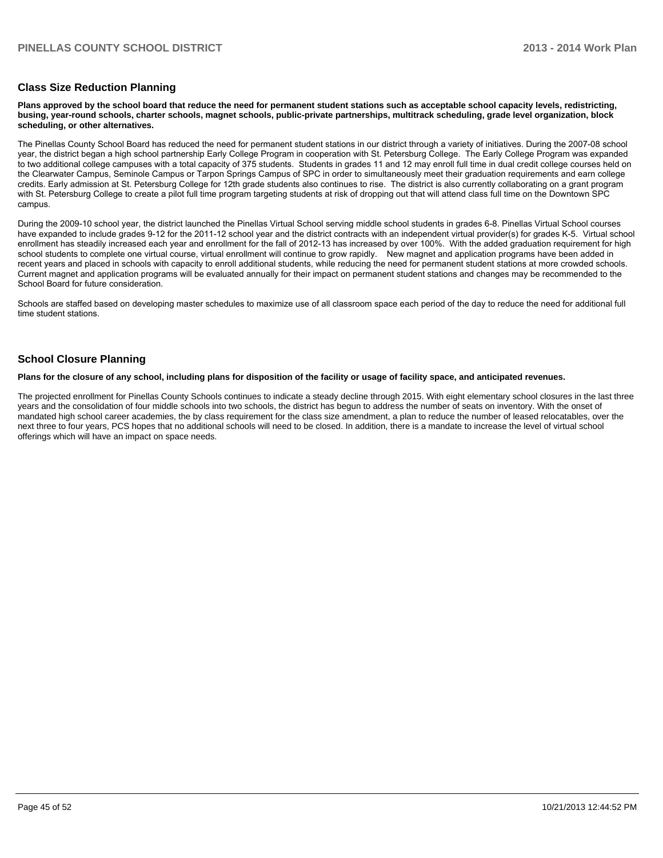#### **Class Size Reduction Planning**

**Plans approved by the school board that reduce the need for permanent student stations such as acceptable school capacity levels, redistricting, busing, year-round schools, charter schools, magnet schools, public-private partnerships, multitrack scheduling, grade level organization, block scheduling, or other alternatives.**

The Pinellas County School Board has reduced the need for permanent student stations in our district through a variety of initiatives. During the 2007-08 school year, the district began a high school partnership Early College Program in cooperation with St. Petersburg College. The Early College Program was expanded to two additional college campuses with a total capacity of 375 students. Students in grades 11 and 12 may enroll full time in qual credit college courses held on the Clearwater Campus, Seminole Campus or Tarpon Springs Campus of SPC in order to simultaneously meet their graduation requirements and earn college credits. Early admission at St. Petersburg College for 12th grade students also continues to rise. The district is also currently collaborating on a grant program with St. Petersburg College to create a pilot full time program targeting students at risk of dropping out that will attend class full time on the Downtown SPC campus

During the 2009-10 school vear, the district launched the Pinellas Virtual School serving middle school students in grades 6-8. Pinellas Virtual School courses have expanded to include grades 9-12 for the 2011-12 school year and the district contracts with an independent virtual provider(s) for grades K-5. Virtual school enrollment has steadily increased each year and enrollment for the fall of 2012-13 has increased by over 100%. With the added graduation requirement for high school students to complete one virtual course, virtual enrollment will continue to grow rapidly. New magnet and application programs have been added in recent years and placed in schools with capacity to enroll additional students, while reducing the need for permanent student stations at more crowded schools. Current magnet and application programs will be evaluated annually for their impact on permanent student stations and changes may be recommended to the School Board for future consideration.

Schools are staffed based on developing master schedules to maximize use of all classroom space each period of the day to reduce the need for additional full time student stations

#### **School Closure Planning**

**Plans for the closure of any school, including plans for disposition of the facility or usage of facility space, and anticipated revenues.**

The projected enrollment for Pinellas County Schools continues to indicate a steady decline through 2015. With eight elementary school closures in the last three years and the consolidation of four middle schools into two schools, the district has begun to address the number of seats on inventory. With the onset of mandated high school career academies, the by class requirement for the class size amendment, a plan to reduce the number of leased relocatables, over the next three to four years, PCS hopes that no additional schools will need to be closed. In addition, there is a mandate to increase the level of virtual school offerings which will have an impact on space needs.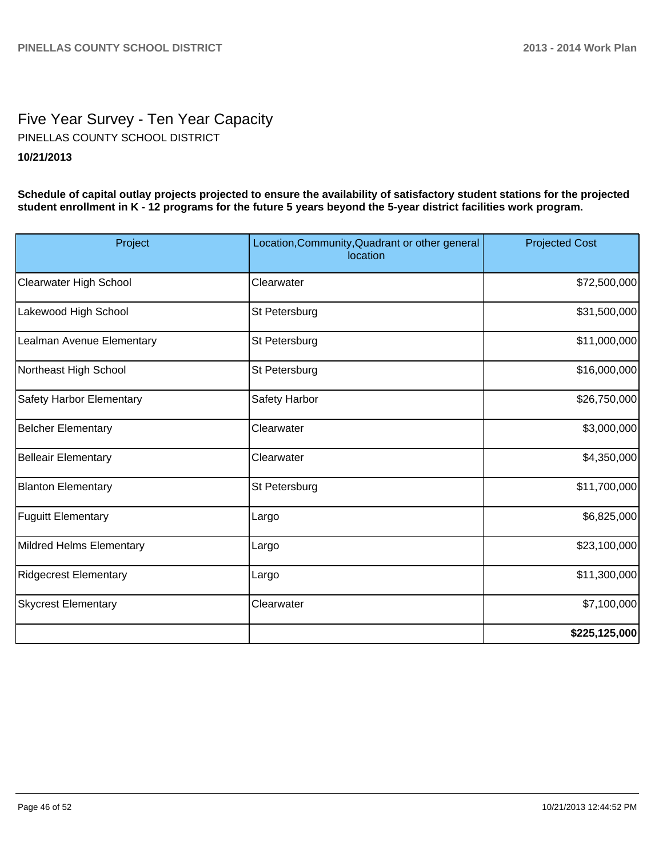# Five Year Survey - Ten Year Capacity **10/21/2013** PINELLAS COUNTY SCHOOL DISTRICT

**Schedule of capital outlay projects projected to ensure the availability of satisfactory student stations for the projected student enrollment in K - 12 programs for the future 5 years beyond the 5-year district facilities work program.**

| Project                    | Location, Community, Quadrant or other general<br>location | <b>Projected Cost</b> |
|----------------------------|------------------------------------------------------------|-----------------------|
| Clearwater High School     | Clearwater                                                 | \$72,500,000          |
| Lakewood High School       | St Petersburg                                              | \$31,500,000          |
| Lealman Avenue Elementary  | St Petersburg                                              | \$11,000,000          |
| Northeast High School      | St Petersburg                                              | \$16,000,000          |
| Safety Harbor Elementary   | Safety Harbor                                              | \$26,750,000          |
| <b>Belcher Elementary</b>  | Clearwater                                                 | \$3,000,000           |
| Belleair Elementary        | Clearwater                                                 | \$4,350,000           |
| <b>Blanton Elementary</b>  | St Petersburg                                              | \$11,700,000          |
| <b>Fuguitt Elementary</b>  | Largo                                                      | \$6,825,000           |
| Mildred Helms Elementary   | Largo                                                      | \$23,100,000          |
| Ridgecrest Elementary      | Largo                                                      | \$11,300,000          |
| <b>Skycrest Elementary</b> | Clearwater                                                 | \$7,100,000           |
|                            |                                                            | \$225,125,000         |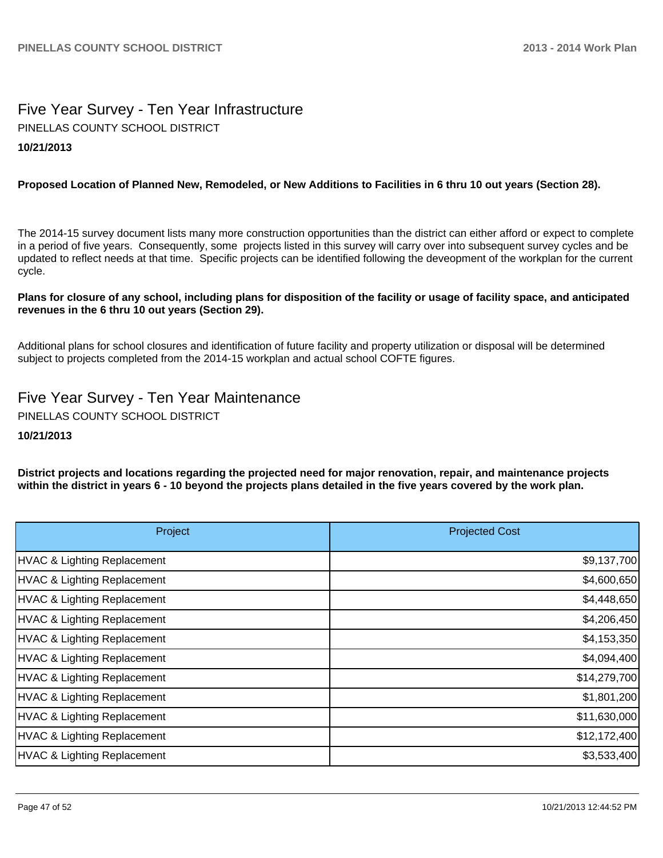# Five Year Survey - Ten Year Infrastructure **10/21/2013** PINELLAS COUNTY SCHOOL DISTRICT

#### **Proposed Location of Planned New, Remodeled, or New Additions to Facilities in 6 thru 10 out years (Section 28).**

The 2014-15 survey document lists many more construction opportunities than the district can either afford or expect to complete in a period of five years. Consequently, some projects listed in this survey will carry over into subsequent survey cycles and be updated to reflect needs at that time. Specific projects can be identified following the deveopment of the workplan for the current cycle.

#### **Plans for closure of any school, including plans for disposition of the facility or usage of facility space, and anticipated revenues in the 6 thru 10 out years (Section 29).**

Additional plans for school closures and identification of future facility and property utilization or disposal will be determined subject to projects completed from the 2014-15 workplan and actual school COFTE figures.

Five Year Survey - Ten Year Maintenance PINELLAS COUNTY SCHOOL DISTRICT

#### **10/21/2013**

**District projects and locations regarding the projected need for major renovation, repair, and maintenance projects within the district in years 6 - 10 beyond the projects plans detailed in the five years covered by the work plan.**

| Project                     | <b>Projected Cost</b> |
|-----------------------------|-----------------------|
| HVAC & Lighting Replacement | \$9,137,700           |
| HVAC & Lighting Replacement | \$4,600,650           |
| HVAC & Lighting Replacement | \$4,448,650           |
| HVAC & Lighting Replacement | \$4,206,450           |
| HVAC & Lighting Replacement | \$4,153,350           |
| HVAC & Lighting Replacement | \$4,094,400           |
| HVAC & Lighting Replacement | \$14,279,700          |
| HVAC & Lighting Replacement | \$1,801,200           |
| HVAC & Lighting Replacement | \$11,630,000          |
| HVAC & Lighting Replacement | \$12,172,400          |
| HVAC & Lighting Replacement | \$3,533,400           |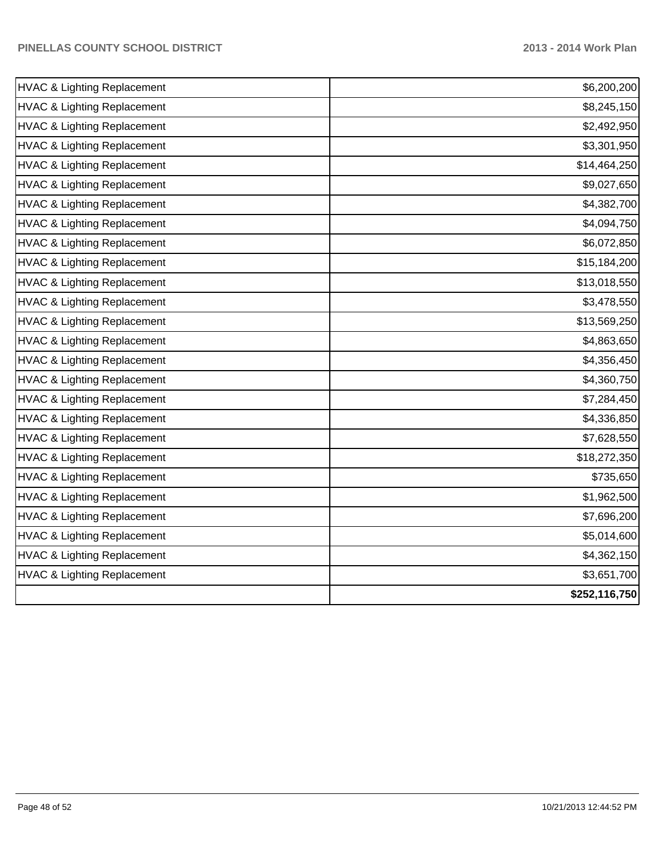| \$6,200,200   |
|---------------|
| \$8,245,150   |
| \$2,492,950   |
| \$3,301,950   |
| \$14,464,250  |
| \$9,027,650   |
| \$4,382,700   |
| \$4,094,750   |
| \$6,072,850   |
| \$15,184,200  |
| \$13,018,550  |
| \$3,478,550   |
| \$13,569,250  |
| \$4,863,650   |
| \$4,356,450   |
| \$4,360,750   |
| \$7,284,450   |
| \$4,336,850   |
| \$7,628,550   |
| \$18,272,350  |
| \$735,650     |
| \$1,962,500   |
| \$7,696,200   |
| \$5,014,600   |
| \$4,362,150   |
| \$3,651,700   |
| \$252,116,750 |
|               |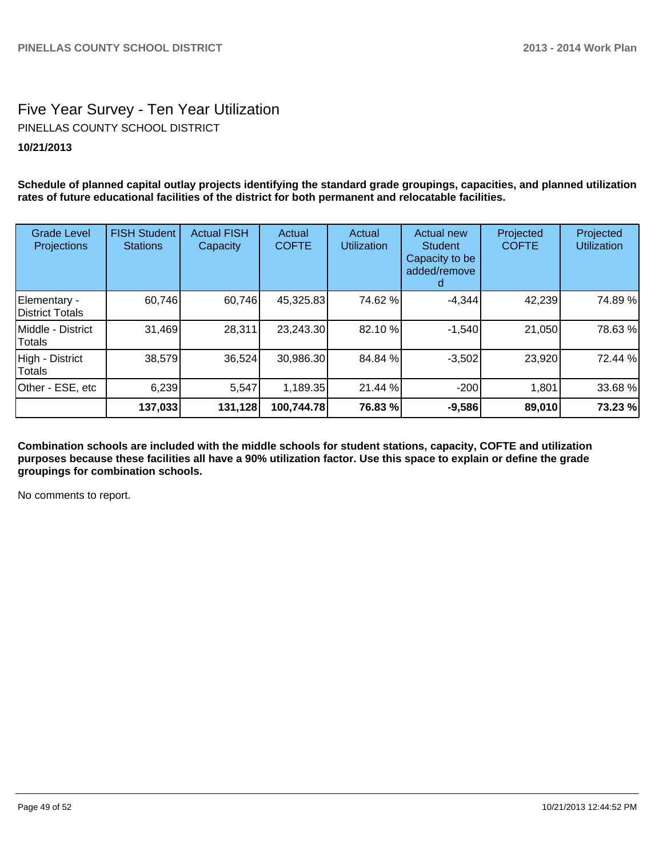# Five Year Survey - Ten Year Utilization **10/21/2013** PINELLAS COUNTY SCHOOL DISTRICT

**Schedule of planned capital outlay projects identifying the standard grade groupings, capacities, and planned utilization rates of future educational facilities of the district for both permanent and relocatable facilities.**

| <b>Grade Level</b><br>Projections      | <b>FISH Student</b><br><b>Stations</b> | <b>Actual FISH</b><br>Capacity | Actual<br><b>COFTE</b> | Actual<br><b>Utilization</b> | <b>Actual new</b><br><b>Student</b><br>Capacity to be<br>added/remove | Projected<br><b>COFTE</b> | Projected<br><b>Utilization</b> |
|----------------------------------------|----------------------------------------|--------------------------------|------------------------|------------------------------|-----------------------------------------------------------------------|---------------------------|---------------------------------|
| Elementary -<br><b>District Totals</b> | 60,746                                 | 60,746                         | 45,325.83              | 74.62 %                      | $-4,344$                                                              | 42,239                    | 74.89%                          |
| Middle - District<br>Totals            | 31,469                                 | 28,311                         | 23,243.30              | 82.10 %                      | $-1,540$                                                              | 21,050                    | 78.63%                          |
| High - District<br>Totals              | 38,579                                 | 36,524                         | 30,986.30              | 84.84 %                      | $-3,502$                                                              | 23,920                    | 72.44 %                         |
| Other - ESE, etc                       | 6,239                                  | 5,547                          | 1,189.35               | 21.44 %                      | $-200$                                                                | 1,801                     | 33.68 %                         |
|                                        | 137,033                                | 131,128                        | 100,744.78             | 76.83 %                      | $-9,586$                                                              | 89,010                    | 73.23 %                         |

**Combination schools are included with the middle schools for student stations, capacity, COFTE and utilization purposes because these facilities all have a 90% utilization factor. Use this space to explain or define the grade groupings for combination schools.**

No comments to report.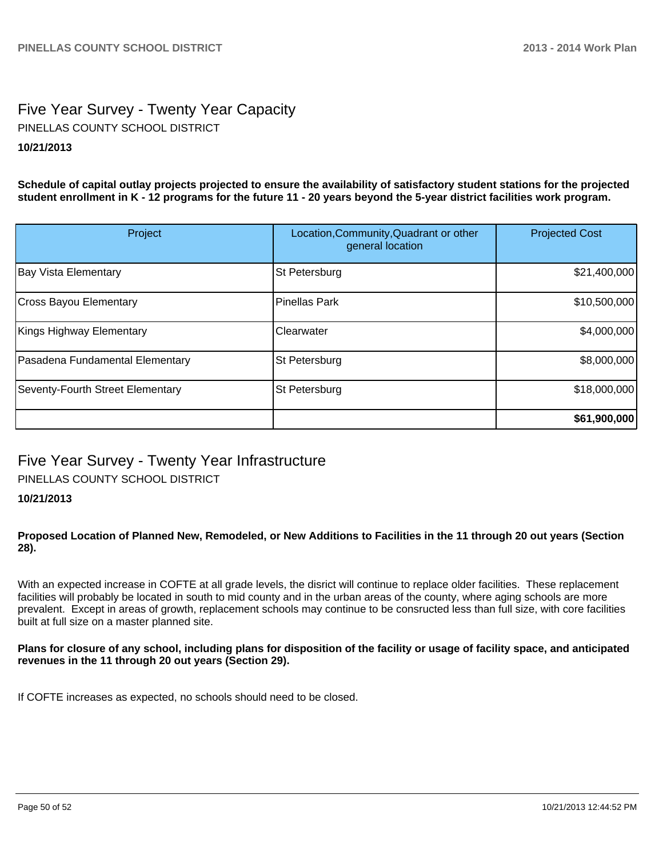# Five Year Survey - Twenty Year Capacity **10/21/2013** PINELLAS COUNTY SCHOOL DISTRICT

**Schedule of capital outlay projects projected to ensure the availability of satisfactory student stations for the projected student enrollment in K - 12 programs for the future 11 - 20 years beyond the 5-year district facilities work program.**

| Project                          | Location, Community, Quadrant or other<br>general location | <b>Projected Cost</b> |
|----------------------------------|------------------------------------------------------------|-----------------------|
| <b>Bay Vista Elementary</b>      | St Petersburg                                              | \$21,400,000          |
| Cross Bayou Elementary           | Pinellas Park                                              | \$10,500,000          |
| Kings Highway Elementary         | Clearwater                                                 | \$4,000,000           |
| Pasadena Fundamental Elementary  | St Petersburg                                              | \$8,000,000           |
| Seventy-Fourth Street Elementary | St Petersburg                                              | \$18,000,000          |
|                                  |                                                            | \$61,900,000          |

# Five Year Survey - Twenty Year Infrastructure PINELLAS COUNTY SCHOOL DISTRICT

# **10/21/2013**

#### **Proposed Location of Planned New, Remodeled, or New Additions to Facilities in the 11 through 20 out years (Section 28).**

With an expected increase in COFTE at all grade levels, the disrict will continue to replace older facilities. These replacement facilities will probably be located in south to mid county and in the urban areas of the county, where aging schools are more prevalent. Except in areas of growth, replacement schools may continue to be consructed less than full size, with core facilities built at full size on a master planned site.

#### **Plans for closure of any school, including plans for disposition of the facility or usage of facility space, and anticipated revenues in the 11 through 20 out years (Section 29).**

If COFTE increases as expected, no schools should need to be closed.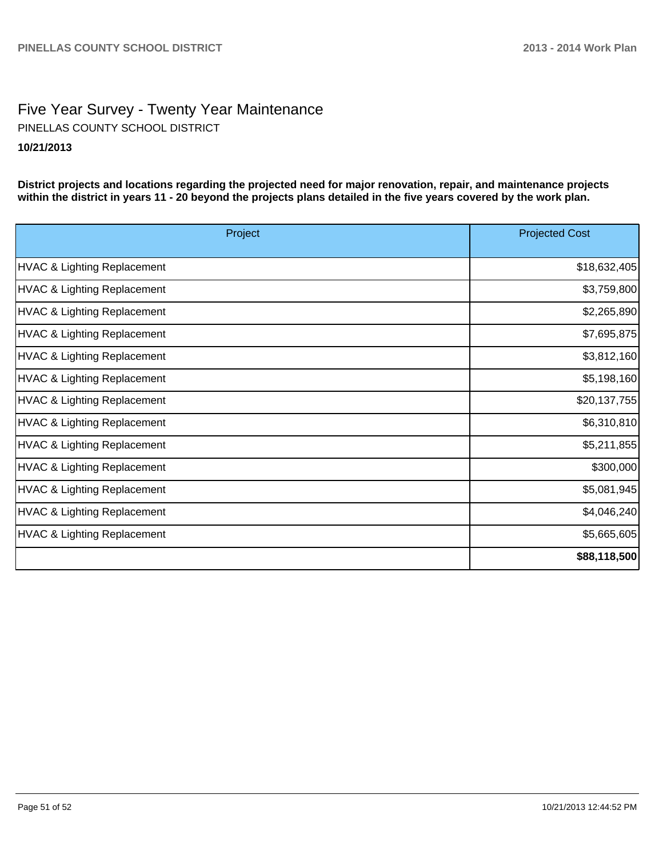# Five Year Survey - Twenty Year Maintenance **10/21/2013** PINELLAS COUNTY SCHOOL DISTRICT

**District projects and locations regarding the projected need for major renovation, repair, and maintenance projects within the district in years 11 - 20 beyond the projects plans detailed in the five years covered by the work plan.**

| Project                     | <b>Projected Cost</b> |
|-----------------------------|-----------------------|
| HVAC & Lighting Replacement | \$18,632,405          |
| HVAC & Lighting Replacement | \$3,759,800           |
| HVAC & Lighting Replacement | \$2,265,890           |
| HVAC & Lighting Replacement | \$7,695,875           |
| HVAC & Lighting Replacement | \$3,812,160           |
| HVAC & Lighting Replacement | \$5,198,160           |
| HVAC & Lighting Replacement | \$20,137,755          |
| HVAC & Lighting Replacement | \$6,310,810           |
| HVAC & Lighting Replacement | \$5,211,855           |
| HVAC & Lighting Replacement | \$300,000             |
| HVAC & Lighting Replacement | \$5,081,945           |
| HVAC & Lighting Replacement | \$4,046,240           |
| HVAC & Lighting Replacement | \$5,665,605           |
|                             | \$88,118,500          |